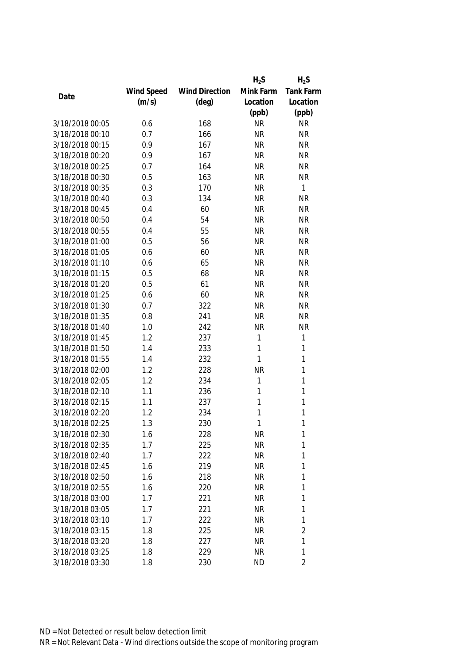|                 |            |                       | $H_2S$    | $H_2S$         |
|-----------------|------------|-----------------------|-----------|----------------|
|                 | Wind Speed | <b>Wind Direction</b> | Mink Farm | Tank Farm      |
| Date            | (m/s)      | $(\text{deg})$        | Location  | Location       |
|                 |            |                       | (ppb)     | (ppb)          |
| 3/18/2018 00:05 | 0.6        | 168                   | <b>NR</b> | <b>NR</b>      |
| 3/18/2018 00:10 | 0.7        | 166                   | <b>NR</b> | <b>NR</b>      |
| 3/18/2018 00:15 | 0.9        | 167                   | <b>NR</b> | <b>NR</b>      |
| 3/18/2018 00:20 | 0.9        | 167                   | <b>NR</b> | <b>NR</b>      |
| 3/18/2018 00:25 | 0.7        | 164                   | <b>NR</b> | <b>NR</b>      |
| 3/18/2018 00:30 | 0.5        | 163                   | <b>NR</b> | <b>NR</b>      |
| 3/18/2018 00:35 | 0.3        | 170                   | <b>NR</b> | $\mathbf{1}$   |
| 3/18/2018 00:40 | 0.3        | 134                   | <b>NR</b> | <b>NR</b>      |
| 3/18/2018 00:45 | 0.4        | 60                    | <b>NR</b> | <b>NR</b>      |
| 3/18/2018 00:50 | 0.4        | 54                    | <b>NR</b> | <b>NR</b>      |
| 3/18/2018 00:55 | 0.4        | 55                    | <b>NR</b> | <b>NR</b>      |
| 3/18/2018 01:00 | 0.5        | 56                    | <b>NR</b> | <b>NR</b>      |
| 3/18/2018 01:05 | 0.6        | 60                    | <b>NR</b> | <b>NR</b>      |
| 3/18/2018 01:10 | 0.6        | 65                    | <b>NR</b> | <b>NR</b>      |
| 3/18/2018 01:15 | 0.5        | 68                    | <b>NR</b> | <b>NR</b>      |
| 3/18/2018 01:20 | 0.5        | 61                    | <b>NR</b> | <b>NR</b>      |
| 3/18/2018 01:25 | 0.6        | 60                    | <b>NR</b> | <b>NR</b>      |
| 3/18/2018 01:30 | 0.7        | 322                   | <b>NR</b> | <b>NR</b>      |
| 3/18/2018 01:35 | 0.8        | 241                   | <b>NR</b> | <b>NR</b>      |
| 3/18/2018 01:40 | 1.0        | 242                   | <b>NR</b> | <b>NR</b>      |
| 3/18/2018 01:45 | 1.2        | 237                   | 1         | 1              |
| 3/18/2018 01:50 | 1.4        | 233                   | 1         | $\mathbf{1}$   |
| 3/18/2018 01:55 | 1.4        | 232                   | 1         | $\mathbf{1}$   |
| 3/18/2018 02:00 | 1.2        | 228                   | <b>NR</b> | $\mathbf{1}$   |
| 3/18/2018 02:05 | 1.2        | 234                   | 1         | $\mathbf{1}$   |
| 3/18/2018 02:10 | 1.1        | 236                   | 1         | 1              |
| 3/18/2018 02:15 | 1.1        | 237                   | 1         | 1              |
| 3/18/2018 02:20 | 1.2        | 234                   | 1         | 1              |
| 3/18/2018 02:25 | 1.3        | 230                   | 1         | 1              |
| 3/18/2018 02:30 | 1.6        | 228                   | <b>NR</b> | 1              |
| 3/18/2018 02:35 | 1.7        | 225                   | <b>NR</b> | 1              |
| 3/18/2018 02:40 | 1.7        | 222                   | <b>NR</b> | 1              |
| 3/18/2018 02:45 | 1.6        | 219                   | <b>NR</b> | 1              |
| 3/18/2018 02:50 | 1.6        | 218                   | NR        | 1              |
| 3/18/2018 02:55 | 1.6        | 220                   | <b>NR</b> | 1              |
| 3/18/2018 03:00 | 1.7        | 221                   | <b>NR</b> | 1              |
| 3/18/2018 03:05 | 1.7        | 221                   | <b>NR</b> | 1              |
| 3/18/2018 03:10 | 1.7        | 222                   | <b>NR</b> | 1              |
| 3/18/2018 03:15 | 1.8        | 225                   | <b>NR</b> | $\overline{2}$ |
| 3/18/2018 03:20 | 1.8        | 227                   | <b>NR</b> | 1              |
| 3/18/2018 03:25 | 1.8        | 229                   | <b>NR</b> | 1              |
| 3/18/2018 03:30 | 1.8        | 230                   | <b>ND</b> | $\overline{2}$ |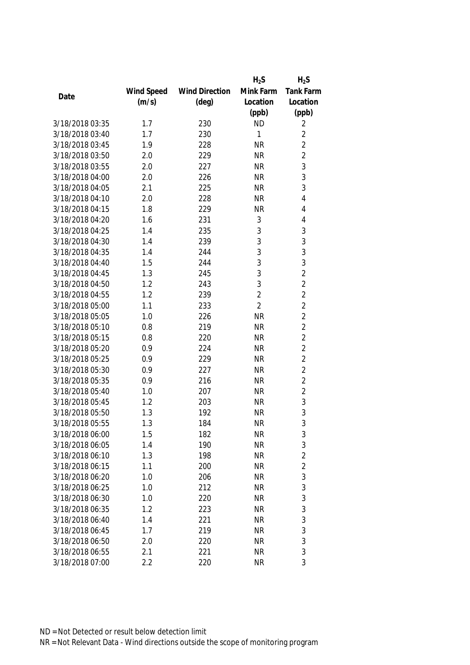|                 |            |                       | $H_2S$         | $H_2S$           |
|-----------------|------------|-----------------------|----------------|------------------|
|                 | Wind Speed | <b>Wind Direction</b> | Mink Farm      | <b>Tank Farm</b> |
| Date            | (m/s)      | $(\text{deg})$        | Location       | Location         |
|                 |            |                       | (ppb)          | (ppb)            |
| 3/18/2018 03:35 | 1.7        | 230                   | <b>ND</b>      | 2                |
| 3/18/2018 03:40 | 1.7        | 230                   | 1              | $\overline{2}$   |
| 3/18/2018 03:45 | 1.9        | 228                   | <b>NR</b>      | $\overline{2}$   |
| 3/18/2018 03:50 | 2.0        | 229                   | <b>NR</b>      | $\overline{2}$   |
| 3/18/2018 03:55 | 2.0        | 227                   | <b>NR</b>      | 3                |
| 3/18/2018 04:00 | 2.0        | 226                   | <b>NR</b>      | 3                |
| 3/18/2018 04:05 | 2.1        | 225                   | <b>NR</b>      | 3                |
| 3/18/2018 04:10 | 2.0        | 228                   | <b>NR</b>      | 4                |
| 3/18/2018 04:15 | 1.8        | 229                   | <b>NR</b>      | 4                |
| 3/18/2018 04:20 | 1.6        | 231                   | 3              | 4                |
| 3/18/2018 04:25 | 1.4        | 235                   | 3              | 3                |
| 3/18/2018 04:30 | 1.4        | 239                   | 3              | 3                |
| 3/18/2018 04:35 | 1.4        | 244                   | 3              | 3                |
| 3/18/2018 04:40 | 1.5        | 244                   | 3              | 3                |
| 3/18/2018 04:45 | 1.3        | 245                   | 3              | $\overline{2}$   |
| 3/18/2018 04:50 | 1.2        | 243                   | 3              | $\overline{2}$   |
| 3/18/2018 04:55 | 1.2        | 239                   | $\overline{2}$ | $\overline{2}$   |
| 3/18/2018 05:00 | 1.1        | 233                   | $\overline{2}$ | $\overline{2}$   |
| 3/18/2018 05:05 | 1.0        | 226                   | <b>NR</b>      | $\overline{2}$   |
| 3/18/2018 05:10 | 0.8        | 219                   | <b>NR</b>      | $\overline{2}$   |
| 3/18/2018 05:15 | 0.8        | 220                   | <b>NR</b>      | $\overline{2}$   |
| 3/18/2018 05:20 | 0.9        | 224                   | <b>NR</b>      | $\overline{2}$   |
| 3/18/2018 05:25 | 0.9        | 229                   | <b>NR</b>      | $\overline{2}$   |
| 3/18/2018 05:30 | 0.9        | 227                   | <b>NR</b>      | $\overline{2}$   |
| 3/18/2018 05:35 | 0.9        | 216                   | <b>NR</b>      | $\overline{2}$   |
| 3/18/2018 05:40 | 1.0        | 207                   | <b>NR</b>      | $\overline{2}$   |
| 3/18/2018 05:45 | 1.2        | 203                   | <b>NR</b>      | 3                |
| 3/18/2018 05:50 | 1.3        | 192                   | <b>NR</b>      | 3                |
| 3/18/2018 05:55 | 1.3        | 184                   | <b>NR</b>      | 3                |
| 3/18/2018 06:00 | 1.5        | 182                   | <b>NR</b>      | 3                |
| 3/18/2018 06:05 | 1.4        | 190                   | <b>NR</b>      | $\mathfrak{Z}$   |
| 3/18/2018 06:10 | 1.3        | 198                   | <b>NR</b>      | $\overline{2}$   |
| 3/18/2018 06:15 | 1.1        | 200                   | <b>NR</b>      | $\overline{2}$   |
| 3/18/2018 06:20 | 1.0        | 206                   | <b>NR</b>      | 3                |
| 3/18/2018 06:25 | 1.0        | 212                   | <b>NR</b>      | 3                |
| 3/18/2018 06:30 | 1.0        | 220                   | <b>NR</b>      | 3                |
| 3/18/2018 06:35 | 1.2        | 223                   | <b>NR</b>      | $\mathfrak{Z}$   |
| 3/18/2018 06:40 | 1.4        | 221                   | <b>NR</b>      | $\mathfrak{Z}$   |
| 3/18/2018 06:45 | 1.7        | 219                   | <b>NR</b>      | 3                |
| 3/18/2018 06:50 | 2.0        | 220                   | <b>NR</b>      | 3                |
| 3/18/2018 06:55 | 2.1        | 221                   | <b>NR</b>      | $\mathfrak{Z}$   |
| 3/18/2018 07:00 | 2.2        | 220                   | <b>NR</b>      | 3                |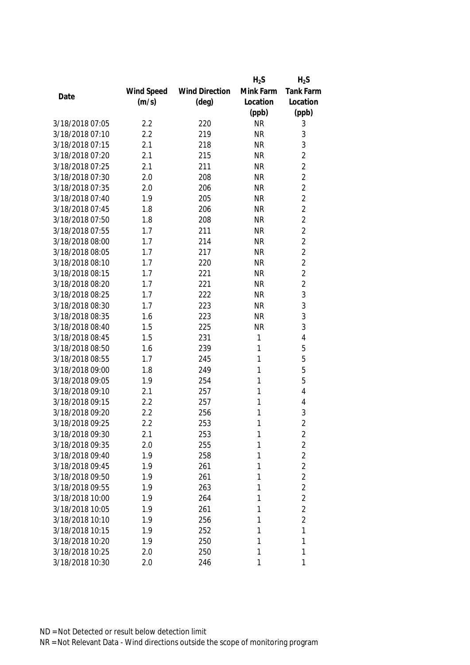|                 |            |                       | $H_2S$    | $H_2S$         |
|-----------------|------------|-----------------------|-----------|----------------|
|                 | Wind Speed | <b>Wind Direction</b> | Mink Farm | Tank Farm      |
| Date            | (m/s)      | $(\text{deg})$        | Location  | Location       |
|                 |            |                       | (ppb)     | (ppb)          |
| 3/18/2018 07:05 | 2.2        | 220                   | <b>NR</b> | 3              |
| 3/18/2018 07:10 | 2.2        | 219                   | <b>NR</b> | 3              |
| 3/18/2018 07:15 | 2.1        | 218                   | <b>NR</b> | 3              |
| 3/18/2018 07:20 | 2.1        | 215                   | <b>NR</b> | $\overline{2}$ |
| 3/18/2018 07:25 | 2.1        | 211                   | <b>NR</b> | $\overline{2}$ |
| 3/18/2018 07:30 | 2.0        | 208                   | <b>NR</b> | $\overline{2}$ |
| 3/18/2018 07:35 | 2.0        | 206                   | <b>NR</b> | $\overline{2}$ |
| 3/18/2018 07:40 | 1.9        | 205                   | <b>NR</b> | $\overline{2}$ |
| 3/18/2018 07:45 | 1.8        | 206                   | <b>NR</b> | $\overline{2}$ |
| 3/18/2018 07:50 | 1.8        | 208                   | <b>NR</b> | $\overline{2}$ |
| 3/18/2018 07:55 | 1.7        | 211                   | <b>NR</b> | $\overline{2}$ |
| 3/18/2018 08:00 | 1.7        | 214                   | <b>NR</b> | $\overline{2}$ |
| 3/18/2018 08:05 | 1.7        | 217                   | <b>NR</b> | $\overline{2}$ |
| 3/18/2018 08:10 | 1.7        | 220                   | <b>NR</b> | $\overline{2}$ |
| 3/18/2018 08:15 | 1.7        | 221                   | <b>NR</b> | $\overline{2}$ |
| 3/18/2018 08:20 | 1.7        | 221                   | <b>NR</b> | $\overline{2}$ |
| 3/18/2018 08:25 | 1.7        | 222                   | <b>NR</b> | 3              |
| 3/18/2018 08:30 | 1.7        | 223                   | <b>NR</b> | 3              |
| 3/18/2018 08:35 | 1.6        | 223                   | <b>NR</b> | 3              |
| 3/18/2018 08:40 | 1.5        | 225                   | <b>NR</b> | 3              |
| 3/18/2018 08:45 | 1.5        | 231                   | 1         | 4              |
| 3/18/2018 08:50 | 1.6        | 239                   | 1         | 5              |
| 3/18/2018 08:55 | 1.7        | 245                   | 1         | 5              |
| 3/18/2018 09:00 | 1.8        | 249                   | 1         | 5              |
| 3/18/2018 09:05 | 1.9        | 254                   | 1         | 5              |
| 3/18/2018 09:10 | 2.1        | 257                   | 1         | 4              |
| 3/18/2018 09:15 | 2.2        | 257                   | 1         | 4              |
| 3/18/2018 09:20 | 2.2        | 256                   | 1         | 3              |
| 3/18/2018 09:25 | 2.2        | 253                   | 1         | $\overline{2}$ |
| 3/18/2018 09:30 | 2.1        | 253                   | 1         | 2              |
| 3/18/2018 09:35 | 2.0        | 255                   | 1         | $\overline{2}$ |
| 3/18/2018 09:40 | 1.9        | 258                   | 1         | $\overline{2}$ |
| 3/18/2018 09:45 | 1.9        | 261                   | 1         | $\overline{2}$ |
| 3/18/2018 09:50 | 1.9        | 261                   | 1         | $\overline{2}$ |
| 3/18/2018 09:55 | 1.9        | 263                   | 1         | $\overline{2}$ |
| 3/18/2018 10:00 | 1.9        | 264                   | 1         | $\overline{2}$ |
| 3/18/2018 10:05 | 1.9        | 261                   | 1         | $\overline{2}$ |
| 3/18/2018 10:10 | 1.9        | 256                   | 1         | $\overline{2}$ |
| 3/18/2018 10:15 | 1.9        | 252                   | 1         | 1              |
| 3/18/2018 10:20 | 1.9        | 250                   | 1         | 1              |
| 3/18/2018 10:25 | 2.0        | 250                   | 1         | 1              |
| 3/18/2018 10:30 | 2.0        | 246                   | 1         | 1              |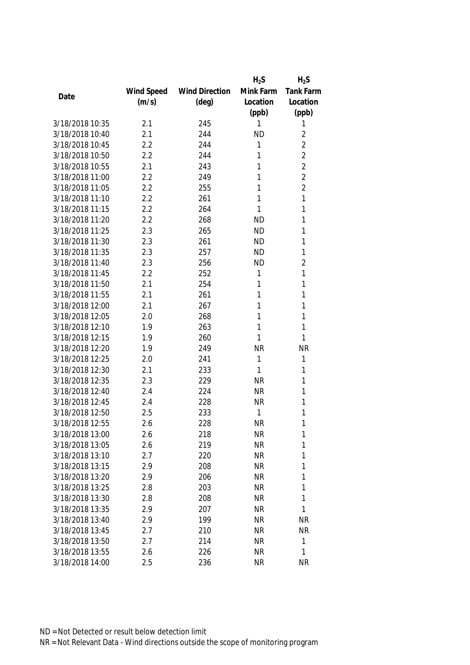|                 |            |                       | $H_2S$    | $H_2S$           |
|-----------------|------------|-----------------------|-----------|------------------|
|                 | Wind Speed | <b>Wind Direction</b> | Mink Farm | <b>Tank Farm</b> |
| Date            | (m/s)      | $(\text{deg})$        | Location  | Location         |
|                 |            |                       | (ppb)     | (ppb)            |
| 3/18/2018 10:35 | 2.1        | 245                   | 1         | 1                |
| 3/18/2018 10:40 | 2.1        | 244                   | <b>ND</b> | 2                |
| 3/18/2018 10:45 | 2.2        | 244                   | 1         | $\overline{2}$   |
| 3/18/2018 10:50 | 2.2        | 244                   | 1         | $\overline{2}$   |
| 3/18/2018 10:55 | 2.1        | 243                   | 1         | $\overline{2}$   |
| 3/18/2018 11:00 | 2.2        | 249                   | 1         | $\overline{2}$   |
| 3/18/2018 11:05 | 2.2        | 255                   | 1         | $\overline{2}$   |
| 3/18/2018 11:10 | 2.2        | 261                   | 1         | 1                |
| 3/18/2018 11:15 | 2.2        | 264                   | 1         | 1                |
| 3/18/2018 11:20 | 2.2        | 268                   | <b>ND</b> | 1                |
| 3/18/2018 11:25 | 2.3        | 265                   | <b>ND</b> | 1                |
| 3/18/2018 11:30 | 2.3        | 261                   | <b>ND</b> | 1                |
| 3/18/2018 11:35 | 2.3        | 257                   | <b>ND</b> | 1                |
| 3/18/2018 11:40 | 2.3        | 256                   | <b>ND</b> | $\overline{2}$   |
| 3/18/2018 11:45 | 2.2        | 252                   | 1         | 1                |
| 3/18/2018 11:50 | 2.1        | 254                   | 1         | 1                |
| 3/18/2018 11:55 | 2.1        | 261                   | 1         | 1                |
| 3/18/2018 12:00 | 2.1        | 267                   | 1         | 1                |
| 3/18/2018 12:05 | 2.0        | 268                   | 1         | 1                |
| 3/18/2018 12:10 | 1.9        | 263                   | 1         | 1                |
| 3/18/2018 12:15 | 1.9        | 260                   | 1         | 1                |
| 3/18/2018 12:20 | 1.9        | 249                   | <b>NR</b> | <b>NR</b>        |
| 3/18/2018 12:25 | 2.0        | 241                   | 1         | 1                |
| 3/18/2018 12:30 | 2.1        | 233                   | 1         | 1                |
| 3/18/2018 12:35 | 2.3        | 229                   | <b>NR</b> | 1                |
| 3/18/2018 12:40 | 2.4        | 224                   | <b>NR</b> | 1                |
| 3/18/2018 12:45 | 2.4        | 228                   | <b>NR</b> | 1                |
| 3/18/2018 12:50 | 2.5        | 233                   | 1         | 1                |
| 3/18/2018 12:55 | 2.6        | 228                   | <b>NR</b> | 1                |
| 3/18/2018 13:00 | 2.6        | 218                   | <b>NR</b> | 1                |
| 3/18/2018 13:05 | 2.6        | 219                   | <b>NR</b> | 1                |
| 3/18/2018 13:10 | 2.7        | 220                   | <b>NR</b> | 1                |
| 3/18/2018 13:15 | 2.9        | 208                   | <b>NR</b> | 1                |
| 3/18/2018 13:20 | 2.9        | 206                   | NR        | 1                |
| 3/18/2018 13:25 | 2.8        | 203                   | <b>NR</b> | 1                |
| 3/18/2018 13:30 | 2.8        | 208                   | <b>NR</b> | 1                |
| 3/18/2018 13:35 | 2.9        | 207                   | <b>NR</b> | 1                |
| 3/18/2018 13:40 | 2.9        | 199                   | <b>NR</b> | <b>NR</b>        |
| 3/18/2018 13:45 | 2.7        | 210                   | <b>NR</b> | <b>NR</b>        |
| 3/18/2018 13:50 | 2.7        | 214                   | <b>NR</b> | 1                |
| 3/18/2018 13:55 | 2.6        | 226                   | <b>NR</b> | 1                |
| 3/18/2018 14:00 | 2.5        | 236                   | <b>NR</b> | <b>NR</b>        |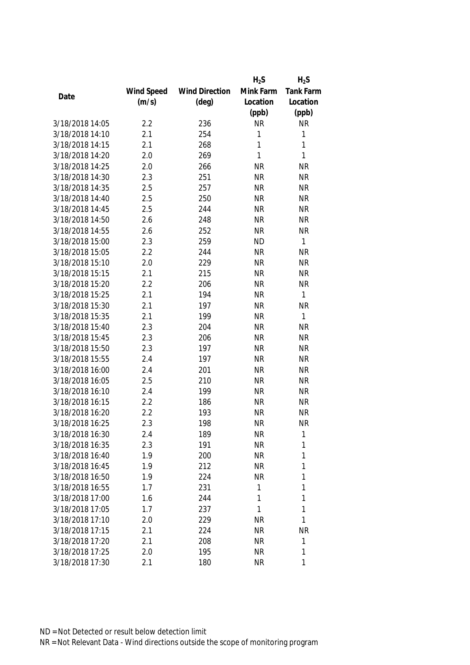|                 |            |                       | $H_2S$    | $H_2S$           |
|-----------------|------------|-----------------------|-----------|------------------|
|                 | Wind Speed | <b>Wind Direction</b> | Mink Farm | <b>Tank Farm</b> |
| Date            | (m/s)      | $(\text{deg})$        | Location  | Location         |
|                 |            |                       | (ppb)     | (ppb)            |
| 3/18/2018 14:05 | 2.2        | 236                   | <b>NR</b> | <b>NR</b>        |
| 3/18/2018 14:10 | 2.1        | 254                   | 1         | $\mathbf{1}$     |
| 3/18/2018 14:15 | 2.1        | 268                   | 1         | 1                |
| 3/18/2018 14:20 | 2.0        | 269                   | 1         | 1                |
| 3/18/2018 14:25 | 2.0        | 266                   | <b>NR</b> | <b>NR</b>        |
| 3/18/2018 14:30 | 2.3        | 251                   | <b>NR</b> | <b>NR</b>        |
| 3/18/2018 14:35 | 2.5        | 257                   | <b>NR</b> | <b>NR</b>        |
| 3/18/2018 14:40 | 2.5        | 250                   | <b>NR</b> | <b>NR</b>        |
| 3/18/2018 14:45 | 2.5        | 244                   | <b>NR</b> | <b>NR</b>        |
| 3/18/2018 14:50 | 2.6        | 248                   | <b>NR</b> | <b>NR</b>        |
| 3/18/2018 14:55 | 2.6        | 252                   | <b>NR</b> | <b>NR</b>        |
| 3/18/2018 15:00 | 2.3        | 259                   | <b>ND</b> | $\mathbf{1}$     |
| 3/18/2018 15:05 | 2.2        | 244                   | <b>NR</b> | <b>NR</b>        |
| 3/18/2018 15:10 | 2.0        | 229                   | <b>NR</b> | <b>NR</b>        |
| 3/18/2018 15:15 | 2.1        | 215                   | <b>NR</b> | <b>NR</b>        |
| 3/18/2018 15:20 | 2.2        | 206                   | <b>NR</b> | <b>NR</b>        |
| 3/18/2018 15:25 | 2.1        | 194                   | <b>NR</b> | $\mathbf{1}$     |
| 3/18/2018 15:30 | 2.1        | 197                   | <b>NR</b> | <b>NR</b>        |
| 3/18/2018 15:35 | 2.1        | 199                   | <b>NR</b> | $\mathbf{1}$     |
| 3/18/2018 15:40 | 2.3        | 204                   | <b>NR</b> | <b>NR</b>        |
| 3/18/2018 15:45 | 2.3        | 206                   | <b>NR</b> | <b>NR</b>        |
| 3/18/2018 15:50 | 2.3        | 197                   | <b>NR</b> | <b>NR</b>        |
| 3/18/2018 15:55 | 2.4        | 197                   | <b>NR</b> | <b>NR</b>        |
| 3/18/2018 16:00 | 2.4        | 201                   | <b>NR</b> | <b>NR</b>        |
| 3/18/2018 16:05 | 2.5        | 210                   | <b>NR</b> | <b>NR</b>        |
| 3/18/2018 16:10 | 2.4        | 199                   | <b>NR</b> | <b>NR</b>        |
| 3/18/2018 16:15 | 2.2        | 186                   | <b>NR</b> | <b>NR</b>        |
| 3/18/2018 16:20 | 2.2        | 193                   | <b>NR</b> | <b>NR</b>        |
| 3/18/2018 16:25 | 2.3        | 198                   | <b>NR</b> | <b>NR</b>        |
| 3/18/2018 16:30 | 2.4        | 189                   | <b>NR</b> | 1                |
| 3/18/2018 16:35 | 2.3        | 191                   | <b>NR</b> | 1                |
| 3/18/2018 16:40 | 1.9        | 200                   | <b>NR</b> | 1                |
| 3/18/2018 16:45 | 1.9        | 212                   | <b>NR</b> | 1                |
| 3/18/2018 16:50 | 1.9        | 224                   | <b>NR</b> | 1                |
| 3/18/2018 16:55 | 1.7        | 231                   | 1         | 1                |
| 3/18/2018 17:00 | 1.6        | 244                   | 1         | 1                |
| 3/18/2018 17:05 | 1.7        | 237                   | 1         | 1                |
| 3/18/2018 17:10 | 2.0        | 229                   | <b>NR</b> | 1                |
| 3/18/2018 17:15 | 2.1        | 224                   | <b>NR</b> | <b>NR</b>        |
| 3/18/2018 17:20 | 2.1        | 208                   | <b>NR</b> | 1                |
| 3/18/2018 17:25 | 2.0        | 195                   | <b>NR</b> | 1                |
| 3/18/2018 17:30 | 2.1        | 180                   | <b>NR</b> | 1                |
|                 |            |                       |           |                  |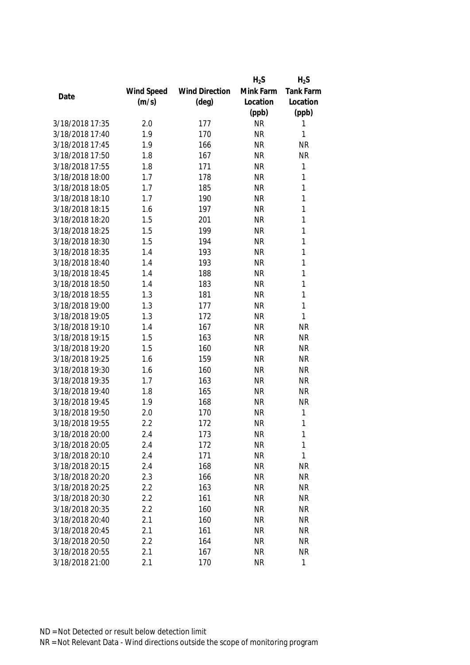|                 |            |                       | $H_2S$    | $H_2S$    |
|-----------------|------------|-----------------------|-----------|-----------|
|                 | Wind Speed | <b>Wind Direction</b> | Mink Farm | Tank Farm |
| Date            | (m/s)      | $(\text{deg})$        | Location  | Location  |
|                 |            |                       | (ppb)     | (ppb)     |
| 3/18/2018 17:35 | 2.0        | 177                   | <b>NR</b> | 1         |
| 3/18/2018 17:40 | 1.9        | 170                   | <b>NR</b> | 1         |
| 3/18/2018 17:45 | 1.9        | 166                   | <b>NR</b> | <b>NR</b> |
| 3/18/2018 17:50 | 1.8        | 167                   | <b>NR</b> | <b>NR</b> |
| 3/18/2018 17:55 | 1.8        | 171                   | <b>NR</b> | 1         |
| 3/18/2018 18:00 | 1.7        | 178                   | <b>NR</b> | 1         |
| 3/18/2018 18:05 | 1.7        | 185                   | <b>NR</b> | 1         |
| 3/18/2018 18:10 | 1.7        | 190                   | <b>NR</b> | 1         |
| 3/18/2018 18:15 | 1.6        | 197                   | <b>NR</b> | 1         |
| 3/18/2018 18:20 | 1.5        | 201                   | <b>NR</b> | 1         |
| 3/18/2018 18:25 | 1.5        | 199                   | <b>NR</b> | 1         |
| 3/18/2018 18:30 | 1.5        | 194                   | <b>NR</b> | 1         |
| 3/18/2018 18:35 | 1.4        | 193                   | <b>NR</b> | 1         |
| 3/18/2018 18:40 | 1.4        | 193                   | <b>NR</b> | 1         |
| 3/18/2018 18:45 | 1.4        | 188                   | <b>NR</b> | 1         |
| 3/18/2018 18:50 | 1.4        | 183                   | <b>NR</b> | 1         |
| 3/18/2018 18:55 | 1.3        | 181                   | <b>NR</b> | 1         |
| 3/18/2018 19:00 | 1.3        | 177                   | <b>NR</b> | 1         |
| 3/18/2018 19:05 | 1.3        | 172                   | <b>NR</b> | 1         |
| 3/18/2018 19:10 | 1.4        | 167                   | <b>NR</b> | <b>NR</b> |
| 3/18/2018 19:15 | 1.5        | 163                   | <b>NR</b> | <b>NR</b> |
| 3/18/2018 19:20 | 1.5        | 160                   | <b>NR</b> | <b>NR</b> |
| 3/18/2018 19:25 | 1.6        | 159                   | <b>NR</b> | <b>NR</b> |
| 3/18/2018 19:30 | 1.6        | 160                   | <b>NR</b> | <b>NR</b> |
| 3/18/2018 19:35 | 1.7        | 163                   | <b>NR</b> | <b>NR</b> |
| 3/18/2018 19:40 | 1.8        | 165                   | <b>NR</b> | <b>NR</b> |
| 3/18/2018 19:45 | 1.9        | 168                   | <b>NR</b> | <b>NR</b> |
| 3/18/2018 19:50 | 2.0        | 170                   | <b>NR</b> | 1         |
| 3/18/2018 19:55 | 2.2        | 172                   | <b>NR</b> | 1         |
| 3/18/2018 20:00 | 2.4        | 173                   | NR        | 1         |
| 3/18/2018 20:05 | 2.4        | 172                   | <b>NR</b> | 1         |
| 3/18/2018 20:10 | 2.4        | 171                   | <b>NR</b> | 1         |
| 3/18/2018 20:15 | 2.4        | 168                   | <b>NR</b> | <b>NR</b> |
| 3/18/2018 20:20 | 2.3        | 166                   | <b>NR</b> | <b>NR</b> |
| 3/18/2018 20:25 | 2.2        | 163                   | <b>NR</b> | <b>NR</b> |
| 3/18/2018 20:30 | 2.2        | 161                   | <b>NR</b> | <b>NR</b> |
| 3/18/2018 20:35 | 2.2        | 160                   | <b>NR</b> | <b>NR</b> |
| 3/18/2018 20:40 | 2.1        | 160                   | <b>NR</b> | <b>NR</b> |
| 3/18/2018 20:45 | 2.1        | 161                   | <b>NR</b> | <b>NR</b> |
| 3/18/2018 20:50 | 2.2        | 164                   | <b>NR</b> | <b>NR</b> |
| 3/18/2018 20:55 | 2.1        | 167                   | <b>NR</b> | <b>NR</b> |
| 3/18/2018 21:00 | 2.1        | 170                   | <b>NR</b> | 1         |
|                 |            |                       |           |           |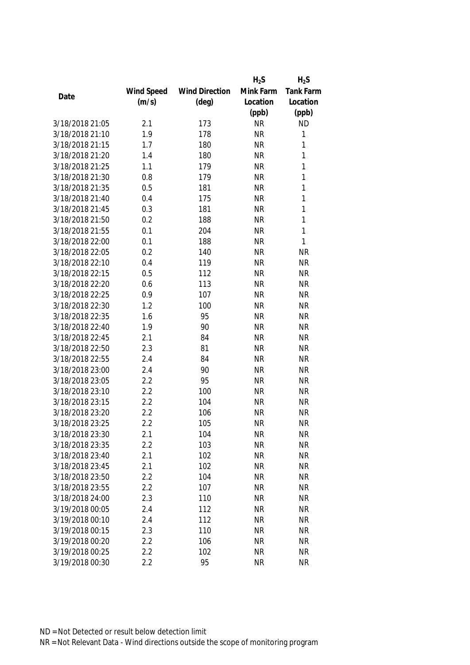|                 |            |                       | $H_2S$    | $H_2S$    |
|-----------------|------------|-----------------------|-----------|-----------|
|                 | Wind Speed | <b>Wind Direction</b> | Mink Farm | Tank Farm |
| Date            | (m/s)      | $(\text{deg})$        | Location  | Location  |
|                 |            |                       | (ppb)     | (ppb)     |
| 3/18/2018 21:05 | 2.1        | 173                   | <b>NR</b> | <b>ND</b> |
| 3/18/2018 21:10 | 1.9        | 178                   | <b>NR</b> | 1         |
| 3/18/2018 21:15 | 1.7        | 180                   | <b>NR</b> | 1         |
| 3/18/2018 21:20 | 1.4        | 180                   | <b>NR</b> | 1         |
| 3/18/2018 21:25 | 1.1        | 179                   | <b>NR</b> | 1         |
| 3/18/2018 21:30 | 0.8        | 179                   | <b>NR</b> | 1         |
| 3/18/2018 21:35 | 0.5        | 181                   | <b>NR</b> | 1         |
| 3/18/2018 21:40 | 0.4        | 175                   | <b>NR</b> | 1         |
| 3/18/2018 21:45 | 0.3        | 181                   | <b>NR</b> | 1         |
| 3/18/2018 21:50 | 0.2        | 188                   | <b>NR</b> | 1         |
| 3/18/2018 21:55 | 0.1        | 204                   | <b>NR</b> | 1         |
| 3/18/2018 22:00 | 0.1        | 188                   | <b>NR</b> | 1         |
| 3/18/2018 22:05 | 0.2        | 140                   | <b>NR</b> | <b>NR</b> |
| 3/18/2018 22:10 | 0.4        | 119                   | <b>NR</b> | <b>NR</b> |
| 3/18/2018 22:15 | 0.5        | 112                   | <b>NR</b> | <b>NR</b> |
| 3/18/2018 22:20 | 0.6        | 113                   | <b>NR</b> | <b>NR</b> |
| 3/18/2018 22:25 | 0.9        | 107                   | <b>NR</b> | <b>NR</b> |
| 3/18/2018 22:30 | 1.2        | 100                   | <b>NR</b> | <b>NR</b> |
| 3/18/2018 22:35 | 1.6        | 95                    | <b>NR</b> | <b>NR</b> |
| 3/18/2018 22:40 | 1.9        | 90                    | <b>NR</b> | <b>NR</b> |
| 3/18/2018 22:45 | 2.1        | 84                    | <b>NR</b> | <b>NR</b> |
| 3/18/2018 22:50 | 2.3        | 81                    | <b>NR</b> | <b>NR</b> |
| 3/18/2018 22:55 | 2.4        | 84                    | <b>NR</b> | <b>NR</b> |
| 3/18/2018 23:00 | 2.4        | 90                    | <b>NR</b> | <b>NR</b> |
| 3/18/2018 23:05 | 2.2        | 95                    | <b>NR</b> | <b>NR</b> |
| 3/18/2018 23:10 | 2.2        | 100                   | <b>NR</b> | <b>NR</b> |
| 3/18/2018 23:15 | 2.2        | 104                   | <b>NR</b> | <b>NR</b> |
| 3/18/2018 23:20 | 2.2        | 106                   | <b>NR</b> | <b>NR</b> |
| 3/18/2018 23:25 | 2.2        | 105                   | <b>NR</b> | <b>NR</b> |
| 3/18/2018 23:30 | 2.1        | 104                   | <b>NR</b> | ΝR        |
| 3/18/2018 23:35 | 2.2        | 103                   | <b>NR</b> | <b>NR</b> |
| 3/18/2018 23:40 | 2.1        | 102                   | <b>NR</b> | <b>NR</b> |
| 3/18/2018 23:45 | 2.1        | 102                   | <b>NR</b> | <b>NR</b> |
| 3/18/2018 23:50 | 2.2        | 104                   | <b>NR</b> | <b>NR</b> |
| 3/18/2018 23:55 | 2.2        | 107                   | <b>NR</b> | <b>NR</b> |
| 3/18/2018 24:00 | 2.3        | 110                   | <b>NR</b> | <b>NR</b> |
| 3/19/2018 00:05 | 2.4        | 112                   | <b>NR</b> | <b>NR</b> |
| 3/19/2018 00:10 | 2.4        | 112                   | <b>NR</b> | <b>NR</b> |
| 3/19/2018 00:15 | 2.3        | 110                   | <b>NR</b> | <b>NR</b> |
| 3/19/2018 00:20 | 2.2        | 106                   | <b>NR</b> | <b>NR</b> |
| 3/19/2018 00:25 | 2.2        | 102                   | <b>NR</b> | <b>NR</b> |
| 3/19/2018 00:30 | 2.2        | 95                    | <b>NR</b> | <b>NR</b> |
|                 |            |                       |           |           |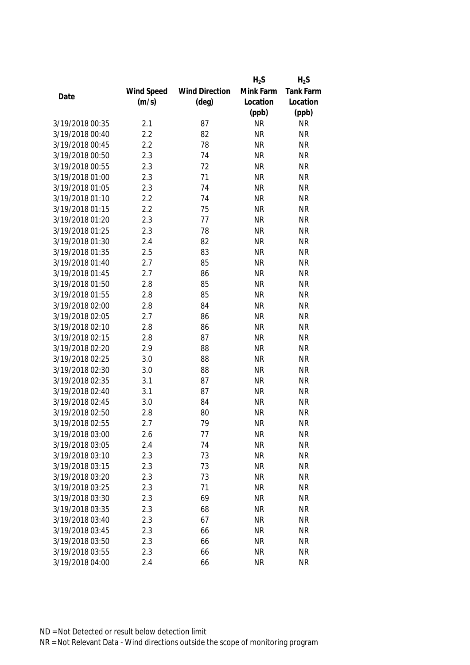|                 |            |                       | $H_2S$    | $H_2S$           |
|-----------------|------------|-----------------------|-----------|------------------|
|                 | Wind Speed | <b>Wind Direction</b> | Mink Farm | <b>Tank Farm</b> |
| Date            | (m/s)      | $(\text{deg})$        | Location  | Location         |
|                 |            |                       | (ppb)     | (ppb)            |
| 3/19/2018 00:35 | 2.1        | 87                    | <b>NR</b> | <b>NR</b>        |
| 3/19/2018 00:40 | 2.2        | 82                    | <b>NR</b> | <b>NR</b>        |
| 3/19/2018 00:45 | 2.2        | 78                    | <b>NR</b> | <b>NR</b>        |
| 3/19/2018 00:50 | 2.3        | 74                    | <b>NR</b> | <b>NR</b>        |
| 3/19/2018 00:55 | 2.3        | 72                    | <b>NR</b> | <b>NR</b>        |
| 3/19/2018 01:00 | 2.3        | 71                    | <b>NR</b> | <b>NR</b>        |
| 3/19/2018 01:05 | 2.3        | 74                    | <b>NR</b> | <b>NR</b>        |
| 3/19/2018 01:10 | 2.2        | 74                    | <b>NR</b> | <b>NR</b>        |
| 3/19/2018 01:15 | 2.2        | 75                    | <b>NR</b> | <b>NR</b>        |
| 3/19/2018 01:20 | 2.3        | 77                    | <b>NR</b> | <b>NR</b>        |
| 3/19/2018 01:25 | 2.3        | 78                    | <b>NR</b> | <b>NR</b>        |
| 3/19/2018 01:30 | 2.4        | 82                    | <b>NR</b> | <b>NR</b>        |
| 3/19/2018 01:35 | 2.5        | 83                    | <b>NR</b> | <b>NR</b>        |
| 3/19/2018 01:40 | 2.7        | 85                    | <b>NR</b> | <b>NR</b>        |
| 3/19/2018 01:45 | 2.7        | 86                    | <b>NR</b> | <b>NR</b>        |
| 3/19/2018 01:50 | 2.8        | 85                    | <b>NR</b> | <b>NR</b>        |
| 3/19/2018 01:55 | 2.8        | 85                    | <b>NR</b> | <b>NR</b>        |
| 3/19/2018 02:00 | 2.8        | 84                    | <b>NR</b> | <b>NR</b>        |
| 3/19/2018 02:05 | 2.7        | 86                    | <b>NR</b> | <b>NR</b>        |
| 3/19/2018 02:10 | 2.8        | 86                    | <b>NR</b> | <b>NR</b>        |
| 3/19/2018 02:15 | 2.8        | 87                    | <b>NR</b> | <b>NR</b>        |
| 3/19/2018 02:20 | 2.9        | 88                    | <b>NR</b> | <b>NR</b>        |
| 3/19/2018 02:25 | 3.0        | 88                    | <b>NR</b> | <b>NR</b>        |
| 3/19/2018 02:30 | 3.0        | 88                    | <b>NR</b> | <b>NR</b>        |
| 3/19/2018 02:35 | 3.1        | 87                    | <b>NR</b> | <b>NR</b>        |
| 3/19/2018 02:40 | 3.1        | 87                    | <b>NR</b> | <b>NR</b>        |
| 3/19/2018 02:45 | 3.0        | 84                    | <b>NR</b> | <b>NR</b>        |
| 3/19/2018 02:50 | 2.8        | 80                    | <b>NR</b> | <b>NR</b>        |
| 3/19/2018 02:55 | 2.7        | 79                    | <b>NR</b> | <b>NR</b>        |
| 3/19/2018 03:00 | 2.6        | 77                    | <b>NR</b> | <b>NR</b>        |
| 3/19/2018 03:05 | 2.4        | 74                    | <b>NR</b> | <b>NR</b>        |
| 3/19/2018 03:10 | 2.3        | 73                    | <b>NR</b> | <b>NR</b>        |
| 3/19/2018 03:15 | 2.3        | 73                    | <b>NR</b> | <b>NR</b>        |
| 3/19/2018 03:20 | 2.3        | 73                    | <b>NR</b> | <b>NR</b>        |
| 3/19/2018 03:25 | 2.3        | 71                    | <b>NR</b> | <b>NR</b>        |
| 3/19/2018 03:30 | 2.3        | 69                    | <b>NR</b> | <b>NR</b>        |
| 3/19/2018 03:35 | 2.3        | 68                    | <b>NR</b> | <b>NR</b>        |
| 3/19/2018 03:40 | 2.3        | 67                    | <b>NR</b> | <b>NR</b>        |
| 3/19/2018 03:45 | 2.3        | 66                    | <b>NR</b> | <b>NR</b>        |
| 3/19/2018 03:50 | 2.3        | 66                    | <b>NR</b> | <b>NR</b>        |
| 3/19/2018 03:55 | 2.3        | 66                    | <b>NR</b> | <b>NR</b>        |
| 3/19/2018 04:00 | 2.4        | 66                    | <b>NR</b> | <b>NR</b>        |
|                 |            |                       |           |                  |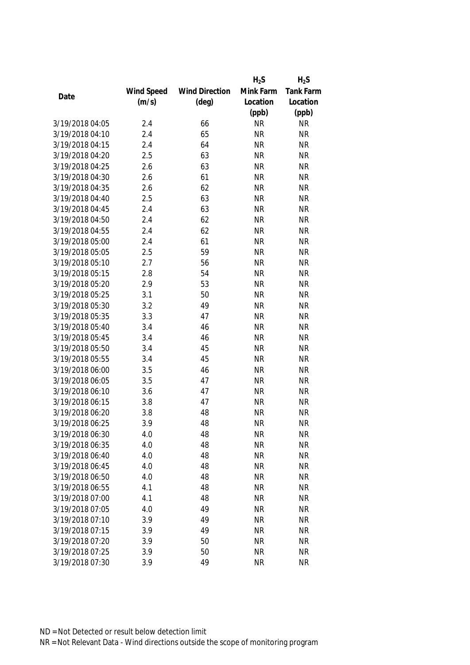|                 |            |                       | $H_2S$    | $H_2S$           |
|-----------------|------------|-----------------------|-----------|------------------|
|                 | Wind Speed | <b>Wind Direction</b> | Mink Farm | <b>Tank Farm</b> |
| Date            | (m/s)      | $(\text{deg})$        | Location  | Location         |
|                 |            |                       | (ppb)     | (ppb)            |
| 3/19/2018 04:05 | 2.4        | 66                    | <b>NR</b> | <b>NR</b>        |
| 3/19/2018 04:10 | 2.4        | 65                    | <b>NR</b> | <b>NR</b>        |
| 3/19/2018 04:15 | 2.4        | 64                    | <b>NR</b> | <b>NR</b>        |
| 3/19/2018 04:20 | 2.5        | 63                    | <b>NR</b> | <b>NR</b>        |
| 3/19/2018 04:25 | 2.6        | 63                    | <b>NR</b> | <b>NR</b>        |
| 3/19/2018 04:30 | 2.6        | 61                    | <b>NR</b> | <b>NR</b>        |
| 3/19/2018 04:35 | 2.6        | 62                    | <b>NR</b> | <b>NR</b>        |
| 3/19/2018 04:40 | 2.5        | 63                    | <b>NR</b> | <b>NR</b>        |
| 3/19/2018 04:45 | 2.4        | 63                    | <b>NR</b> | <b>NR</b>        |
| 3/19/2018 04:50 | 2.4        | 62                    | <b>NR</b> | <b>NR</b>        |
| 3/19/2018 04:55 | 2.4        | 62                    | <b>NR</b> | <b>NR</b>        |
| 3/19/2018 05:00 | 2.4        | 61                    | <b>NR</b> | <b>NR</b>        |
| 3/19/2018 05:05 | 2.5        | 59                    | <b>NR</b> | <b>NR</b>        |
| 3/19/2018 05:10 | 2.7        | 56                    | <b>NR</b> | <b>NR</b>        |
| 3/19/2018 05:15 | 2.8        | 54                    | <b>NR</b> | <b>NR</b>        |
| 3/19/2018 05:20 | 2.9        | 53                    | <b>NR</b> | <b>NR</b>        |
| 3/19/2018 05:25 | 3.1        | 50                    | <b>NR</b> | <b>NR</b>        |
| 3/19/2018 05:30 | 3.2        | 49                    | <b>NR</b> | <b>NR</b>        |
| 3/19/2018 05:35 | 3.3        | 47                    | <b>NR</b> | <b>NR</b>        |
| 3/19/2018 05:40 | 3.4        | 46                    | <b>NR</b> | <b>NR</b>        |
| 3/19/2018 05:45 | 3.4        | 46                    | <b>NR</b> | <b>NR</b>        |
| 3/19/2018 05:50 | 3.4        | 45                    | <b>NR</b> | <b>NR</b>        |
| 3/19/2018 05:55 | 3.4        | 45                    | <b>NR</b> | <b>NR</b>        |
| 3/19/2018 06:00 | 3.5        | 46                    | <b>NR</b> | <b>NR</b>        |
| 3/19/2018 06:05 | 3.5        | 47                    | <b>NR</b> | <b>NR</b>        |
| 3/19/2018 06:10 | 3.6        | 47                    | <b>NR</b> | <b>NR</b>        |
| 3/19/2018 06:15 | 3.8        | 47                    | <b>NR</b> | <b>NR</b>        |
| 3/19/2018 06:20 | 3.8        | 48                    | <b>NR</b> | <b>NR</b>        |
| 3/19/2018 06:25 | 3.9        | 48                    | <b>NR</b> | <b>NR</b>        |
| 3/19/2018 06:30 | 4.0        | 48                    | <b>NR</b> | <b>NR</b>        |
| 3/19/2018 06:35 | 4.0        | 48                    | <b>NR</b> | <b>NR</b>        |
| 3/19/2018 06:40 | 4.0        | 48                    | <b>NR</b> | <b>NR</b>        |
| 3/19/2018 06:45 | 4.0        | 48                    | <b>NR</b> | <b>NR</b>        |
| 3/19/2018 06:50 | 4.0        | 48                    | <b>NR</b> | <b>NR</b>        |
| 3/19/2018 06:55 | 4.1        | 48                    | <b>NR</b> | <b>NR</b>        |
| 3/19/2018 07:00 | 4.1        | 48                    | <b>NR</b> | <b>NR</b>        |
| 3/19/2018 07:05 | 4.0        | 49                    | <b>NR</b> | <b>NR</b>        |
| 3/19/2018 07:10 | 3.9        | 49                    | <b>NR</b> | <b>NR</b>        |
| 3/19/2018 07:15 | 3.9        | 49                    | <b>NR</b> | <b>NR</b>        |
| 3/19/2018 07:20 | 3.9        | 50                    | <b>NR</b> | <b>NR</b>        |
| 3/19/2018 07:25 | 3.9        | 50                    | <b>NR</b> | <b>NR</b>        |
|                 |            |                       |           |                  |
| 3/19/2018 07:30 | 3.9        | 49                    | <b>NR</b> | <b>NR</b>        |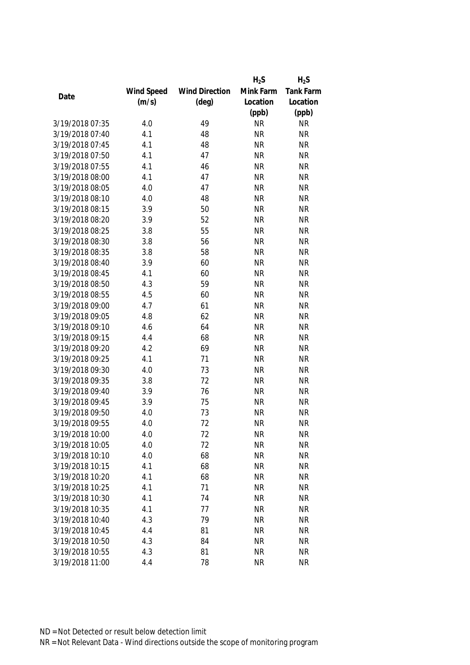|                 |            |                       | $H_2S$    | $H_2S$           |
|-----------------|------------|-----------------------|-----------|------------------|
|                 | Wind Speed | <b>Wind Direction</b> | Mink Farm | <b>Tank Farm</b> |
| Date            | (m/s)      | $(\text{deg})$        | Location  | Location         |
|                 |            |                       | (ppb)     | (ppb)            |
| 3/19/2018 07:35 | 4.0        | 49                    | <b>NR</b> | <b>NR</b>        |
| 3/19/2018 07:40 | 4.1        | 48                    | <b>NR</b> | <b>NR</b>        |
| 3/19/2018 07:45 | 4.1        | 48                    | <b>NR</b> | <b>NR</b>        |
| 3/19/2018 07:50 | 4.1        | 47                    | <b>NR</b> | <b>NR</b>        |
| 3/19/2018 07:55 | 4.1        | 46                    | <b>NR</b> | <b>NR</b>        |
| 3/19/2018 08:00 | 4.1        | 47                    | <b>NR</b> | <b>NR</b>        |
| 3/19/2018 08:05 | 4.0        | 47                    | <b>NR</b> | <b>NR</b>        |
| 3/19/2018 08:10 | 4.0        | 48                    | <b>NR</b> | <b>NR</b>        |
| 3/19/2018 08:15 | 3.9        | 50                    | <b>NR</b> | <b>NR</b>        |
| 3/19/2018 08:20 | 3.9        | 52                    | <b>NR</b> | <b>NR</b>        |
| 3/19/2018 08:25 | 3.8        | 55                    | <b>NR</b> | <b>NR</b>        |
| 3/19/2018 08:30 | 3.8        | 56                    | <b>NR</b> | <b>NR</b>        |
| 3/19/2018 08:35 | 3.8        | 58                    | <b>NR</b> | <b>NR</b>        |
| 3/19/2018 08:40 | 3.9        | 60                    | <b>NR</b> | <b>NR</b>        |
| 3/19/2018 08:45 | 4.1        | 60                    | <b>NR</b> | <b>NR</b>        |
| 3/19/2018 08:50 | 4.3        | 59                    | <b>NR</b> | <b>NR</b>        |
| 3/19/2018 08:55 | 4.5        | 60                    | <b>NR</b> | <b>NR</b>        |
| 3/19/2018 09:00 | 4.7        | 61                    | <b>NR</b> | <b>NR</b>        |
| 3/19/2018 09:05 | 4.8        | 62                    | <b>NR</b> | <b>NR</b>        |
| 3/19/2018 09:10 | 4.6        | 64                    | <b>NR</b> | <b>NR</b>        |
| 3/19/2018 09:15 | 4.4        | 68                    | <b>NR</b> | <b>NR</b>        |
| 3/19/2018 09:20 | 4.2        | 69                    | <b>NR</b> | <b>NR</b>        |
| 3/19/2018 09:25 | 4.1        | 71                    | <b>NR</b> | <b>NR</b>        |
| 3/19/2018 09:30 | 4.0        | 73                    | <b>NR</b> | <b>NR</b>        |
| 3/19/2018 09:35 | 3.8        | 72                    | <b>NR</b> | <b>NR</b>        |
| 3/19/2018 09:40 | 3.9        | 76                    | <b>NR</b> | <b>NR</b>        |
| 3/19/2018 09:45 | 3.9        | 75                    | <b>NR</b> | <b>NR</b>        |
| 3/19/2018 09:50 | 4.0        | 73                    | <b>NR</b> | <b>NR</b>        |
| 3/19/2018 09:55 | 4.0        | 72                    | <b>NR</b> | <b>NR</b>        |
| 3/19/2018 10:00 | 4.0        | 72                    | <b>NR</b> | <b>NR</b>        |
| 3/19/2018 10:05 | 4.0        | 72                    | <b>NR</b> | <b>NR</b>        |
| 3/19/2018 10:10 | 4.0        | 68                    | <b>NR</b> | <b>NR</b>        |
| 3/19/2018 10:15 | 4.1        | 68                    | <b>NR</b> | <b>NR</b>        |
| 3/19/2018 10:20 | 4.1        | 68                    | <b>NR</b> | <b>NR</b>        |
| 3/19/2018 10:25 | 4.1        | 71                    | <b>NR</b> | <b>NR</b>        |
| 3/19/2018 10:30 | 4.1        | 74                    | <b>NR</b> | <b>NR</b>        |
| 3/19/2018 10:35 | 4.1        | 77                    | <b>NR</b> | <b>NR</b>        |
| 3/19/2018 10:40 | 4.3        | 79                    | <b>NR</b> | <b>NR</b>        |
| 3/19/2018 10:45 | 4.4        | 81                    | <b>NR</b> | <b>NR</b>        |
| 3/19/2018 10:50 | 4.3        | 84                    | <b>NR</b> | <b>NR</b>        |
| 3/19/2018 10:55 | 4.3        | 81                    | <b>NR</b> | <b>NR</b>        |
| 3/19/2018 11:00 |            |                       |           |                  |
|                 | 4.4        | 78                    | <b>NR</b> | <b>NR</b>        |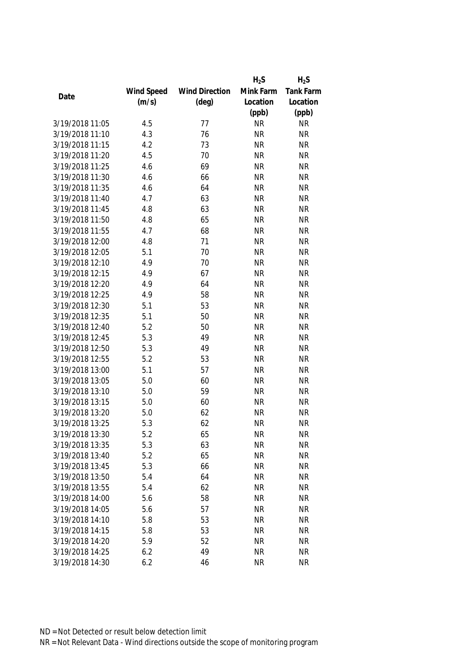|                 |            |                       | $H_2S$    | $H_2S$           |
|-----------------|------------|-----------------------|-----------|------------------|
|                 | Wind Speed | <b>Wind Direction</b> | Mink Farm | <b>Tank Farm</b> |
| Date            | (m/s)      | $(\text{deg})$        | Location  | Location         |
|                 |            |                       | (ppb)     | (ppb)            |
| 3/19/2018 11:05 | 4.5        | 77                    | <b>NR</b> | <b>NR</b>        |
| 3/19/2018 11:10 | 4.3        | 76                    | <b>NR</b> | <b>NR</b>        |
| 3/19/2018 11:15 | 4.2        | 73                    | <b>NR</b> | <b>NR</b>        |
| 3/19/2018 11:20 | 4.5        | 70                    | <b>NR</b> | <b>NR</b>        |
| 3/19/2018 11:25 | 4.6        | 69                    | <b>NR</b> | <b>NR</b>        |
| 3/19/2018 11:30 | 4.6        | 66                    | <b>NR</b> | <b>NR</b>        |
| 3/19/2018 11:35 | 4.6        | 64                    | <b>NR</b> | <b>NR</b>        |
| 3/19/2018 11:40 | 4.7        | 63                    | <b>NR</b> | <b>NR</b>        |
| 3/19/2018 11:45 | 4.8        | 63                    | <b>NR</b> | <b>NR</b>        |
| 3/19/2018 11:50 | 4.8        | 65                    | <b>NR</b> | <b>NR</b>        |
| 3/19/2018 11:55 | 4.7        | 68                    | <b>NR</b> | <b>NR</b>        |
| 3/19/2018 12:00 | 4.8        | 71                    | <b>NR</b> | <b>NR</b>        |
| 3/19/2018 12:05 | 5.1        | 70                    | <b>NR</b> | <b>NR</b>        |
| 3/19/2018 12:10 | 4.9        | 70                    | <b>NR</b> | <b>NR</b>        |
| 3/19/2018 12:15 | 4.9        | 67                    | <b>NR</b> | <b>NR</b>        |
| 3/19/2018 12:20 | 4.9        | 64                    | <b>NR</b> | <b>NR</b>        |
| 3/19/2018 12:25 | 4.9        | 58                    | <b>NR</b> | <b>NR</b>        |
| 3/19/2018 12:30 | 5.1        | 53                    | <b>NR</b> | <b>NR</b>        |
| 3/19/2018 12:35 | 5.1        | 50                    | <b>NR</b> | <b>NR</b>        |
| 3/19/2018 12:40 | 5.2        | 50                    | <b>NR</b> | <b>NR</b>        |
| 3/19/2018 12:45 | 5.3        | 49                    | <b>NR</b> | <b>NR</b>        |
| 3/19/2018 12:50 | 5.3        | 49                    | <b>NR</b> | <b>NR</b>        |
| 3/19/2018 12:55 | 5.2        | 53                    | <b>NR</b> | <b>NR</b>        |
| 3/19/2018 13:00 | 5.1        | 57                    | <b>NR</b> | <b>NR</b>        |
| 3/19/2018 13:05 | 5.0        | 60                    | <b>NR</b> | <b>NR</b>        |
| 3/19/2018 13:10 | 5.0        | 59                    | <b>NR</b> | <b>NR</b>        |
| 3/19/2018 13:15 | 5.0        | 60                    | <b>NR</b> | <b>NR</b>        |
| 3/19/2018 13:20 | 5.0        | 62                    | <b>NR</b> | <b>NR</b>        |
| 3/19/2018 13:25 | 5.3        | 62                    | <b>NR</b> | <b>NR</b>        |
| 3/19/2018 13:30 | 5.2        | 65                    | <b>NR</b> | <b>NR</b>        |
| 3/19/2018 13:35 | 5.3        | 63                    | <b>NR</b> | <b>NR</b>        |
| 3/19/2018 13:40 | 5.2        | 65                    | <b>NR</b> | <b>NR</b>        |
| 3/19/2018 13:45 | 5.3        | 66                    | <b>NR</b> | <b>NR</b>        |
| 3/19/2018 13:50 | 5.4        | 64                    | <b>NR</b> | NR               |
| 3/19/2018 13:55 | 5.4        | 62                    | <b>NR</b> | <b>NR</b>        |
| 3/19/2018 14:00 | 5.6        | 58                    | <b>NR</b> | <b>NR</b>        |
| 3/19/2018 14:05 | 5.6        | 57                    | <b>NR</b> | <b>NR</b>        |
| 3/19/2018 14:10 | 5.8        | 53                    | <b>NR</b> | <b>NR</b>        |
| 3/19/2018 14:15 | 5.8        | 53                    | <b>NR</b> | <b>NR</b>        |
| 3/19/2018 14:20 | 5.9        | 52                    | <b>NR</b> | <b>NR</b>        |
| 3/19/2018 14:25 | 6.2        | 49                    | <b>NR</b> | <b>NR</b>        |
| 3/19/2018 14:30 |            |                       |           |                  |
|                 | 6.2        | 46                    | <b>NR</b> | <b>NR</b>        |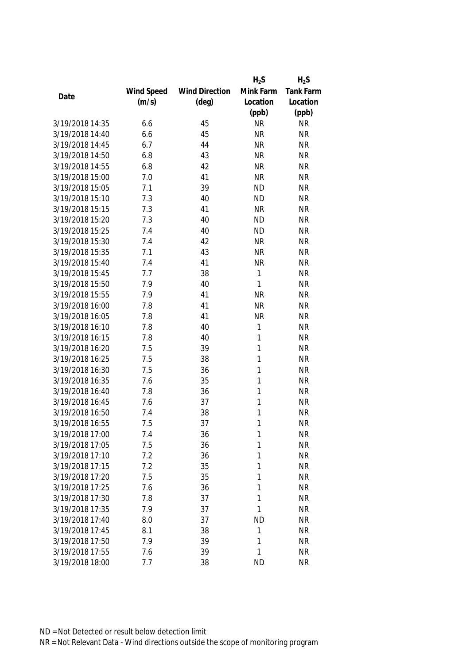|                 |            |                       | $H_2S$         | $H_2S$    |
|-----------------|------------|-----------------------|----------------|-----------|
|                 | Wind Speed | <b>Wind Direction</b> | Mink Farm      | Tank Farm |
| Date            | (m/s)      | $(\text{deg})$        | Location       | Location  |
|                 |            |                       | (ppb)          | (ppb)     |
| 3/19/2018 14:35 | 6.6        | 45                    | <b>NR</b>      | <b>NR</b> |
| 3/19/2018 14:40 | 6.6        | 45                    | <b>NR</b>      | <b>NR</b> |
| 3/19/2018 14:45 | 6.7        | 44                    | <b>NR</b>      | <b>NR</b> |
| 3/19/2018 14:50 | 6.8        | 43                    | <b>NR</b>      | <b>NR</b> |
| 3/19/2018 14:55 | 6.8        | 42                    | <b>NR</b>      | <b>NR</b> |
| 3/19/2018 15:00 | 7.0        | 41                    | <b>NR</b>      | <b>NR</b> |
| 3/19/2018 15:05 | 7.1        | 39                    | <b>ND</b>      | <b>NR</b> |
| 3/19/2018 15:10 | 7.3        | 40                    | <b>ND</b>      | <b>NR</b> |
| 3/19/2018 15:15 | 7.3        | 41                    | <b>NR</b>      | <b>NR</b> |
| 3/19/2018 15:20 | 7.3        | 40                    | <b>ND</b>      | <b>NR</b> |
| 3/19/2018 15:25 | 7.4        | 40                    | <b>ND</b>      | <b>NR</b> |
| 3/19/2018 15:30 | 7.4        | 42                    | <b>NR</b>      | <b>NR</b> |
| 3/19/2018 15:35 | 7.1        | 43                    | <b>NR</b>      | <b>NR</b> |
| 3/19/2018 15:40 | 7.4        | 41                    | <b>NR</b>      | <b>NR</b> |
| 3/19/2018 15:45 | 7.7        | 38                    | 1              | <b>NR</b> |
| 3/19/2018 15:50 | 7.9        | 40                    | 1              | <b>NR</b> |
| 3/19/2018 15:55 | 7.9        | 41                    | <b>NR</b>      | <b>NR</b> |
| 3/19/2018 16:00 | 7.8        | 41                    | <b>NR</b>      | <b>NR</b> |
| 3/19/2018 16:05 | 7.8        | 41                    | <b>NR</b>      | <b>NR</b> |
| 3/19/2018 16:10 | 7.8        | 40                    | 1              | <b>NR</b> |
| 3/19/2018 16:15 | 7.8        | 40                    | 1              | <b>NR</b> |
| 3/19/2018 16:20 | 7.5        | 39                    | 1              | <b>NR</b> |
| 3/19/2018 16:25 | 7.5        | 38                    | 1              | <b>NR</b> |
| 3/19/2018 16:30 | 7.5        | 36                    | $\mathbf{1}$   | <b>NR</b> |
| 3/19/2018 16:35 | 7.6        | 35                    | 1              | <b>NR</b> |
| 3/19/2018 16:40 | 7.8        | 36                    | 1              | <b>NR</b> |
| 3/19/2018 16:45 | 7.6        | 37                    | 1              | <b>NR</b> |
| 3/19/2018 16:50 | 7.4        | 38                    | 1              | <b>NR</b> |
| 3/19/2018 16:55 | 7.5        | 37                    | 1              | <b>NR</b> |
| 3/19/2018 17:00 | 7.4        | 36                    | 1              | <b>NR</b> |
| 3/19/2018 17:05 | 7.5        | 36                    | 1              | <b>NR</b> |
| 3/19/2018 17:10 | 7.2        | 36                    | 1              | <b>NR</b> |
| 3/19/2018 17:15 | 7.2        | 35                    | 1              | <b>NR</b> |
| 3/19/2018 17:20 | 7.5        | 35                    | 1              | <b>NR</b> |
| 3/19/2018 17:25 | 7.6        | 36                    | 1              | <b>NR</b> |
| 3/19/2018 17:30 | 7.8        | 37                    | 1              | <b>NR</b> |
| 3/19/2018 17:35 | 7.9        | 37                    | 1              | <b>NR</b> |
| 3/19/2018 17:40 |            |                       |                |           |
| 3/19/2018 17:45 | 8.0        | 37                    | <b>ND</b><br>1 | <b>NR</b> |
|                 | 8.1        | 38                    |                | <b>NR</b> |
| 3/19/2018 17:50 | 7.9        | 39                    | 1              | <b>NR</b> |
| 3/19/2018 17:55 | 7.6        | 39                    | 1              | <b>NR</b> |
| 3/19/2018 18:00 | 7.7        | 38                    | <b>ND</b>      | <b>NR</b> |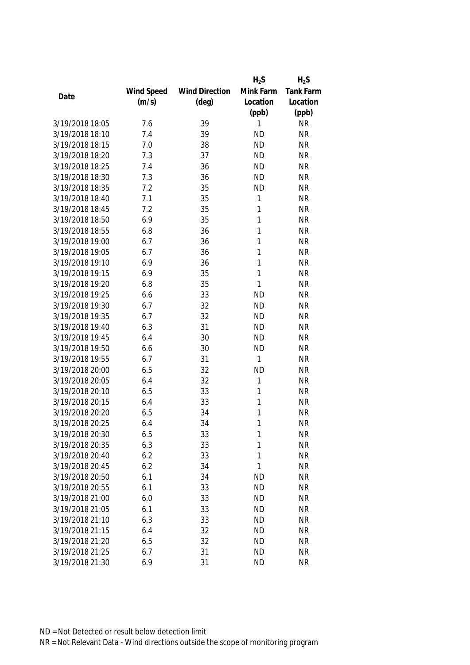|                 |            |                       | $H_2S$    | $H_2S$           |
|-----------------|------------|-----------------------|-----------|------------------|
|                 | Wind Speed | <b>Wind Direction</b> | Mink Farm | <b>Tank Farm</b> |
| Date            | (m/s)      | $(\text{deg})$        | Location  | Location         |
|                 |            |                       | (ppb)     | (ppb)            |
| 3/19/2018 18:05 | 7.6        | 39                    | 1         | <b>NR</b>        |
| 3/19/2018 18:10 | 7.4        | 39                    | <b>ND</b> | <b>NR</b>        |
| 3/19/2018 18:15 | 7.0        | 38                    | <b>ND</b> | <b>NR</b>        |
| 3/19/2018 18:20 | 7.3        | 37                    | <b>ND</b> | <b>NR</b>        |
| 3/19/2018 18:25 | 7.4        | 36                    | <b>ND</b> | <b>NR</b>        |
| 3/19/2018 18:30 | 7.3        | 36                    | <b>ND</b> | <b>NR</b>        |
| 3/19/2018 18:35 | 7.2        | 35                    | <b>ND</b> | <b>NR</b>        |
| 3/19/2018 18:40 | 7.1        | 35                    | 1         | <b>NR</b>        |
| 3/19/2018 18:45 | 7.2        | 35                    | 1         | <b>NR</b>        |
| 3/19/2018 18:50 | 6.9        | 35                    | 1         | <b>NR</b>        |
| 3/19/2018 18:55 | 6.8        | 36                    | 1         | <b>NR</b>        |
| 3/19/2018 19:00 | 6.7        | 36                    | 1         | <b>NR</b>        |
| 3/19/2018 19:05 | 6.7        | 36                    | 1         | <b>NR</b>        |
| 3/19/2018 19:10 | 6.9        | 36                    | 1         | <b>NR</b>        |
| 3/19/2018 19:15 | 6.9        | 35                    | 1         | <b>NR</b>        |
| 3/19/2018 19:20 | 6.8        | 35                    | 1         | <b>NR</b>        |
| 3/19/2018 19:25 | 6.6        | 33                    | <b>ND</b> | <b>NR</b>        |
| 3/19/2018 19:30 | 6.7        | 32                    | <b>ND</b> | <b>NR</b>        |
| 3/19/2018 19:35 | 6.7        | 32                    | <b>ND</b> | <b>NR</b>        |
| 3/19/2018 19:40 | 6.3        | 31                    | <b>ND</b> | <b>NR</b>        |
| 3/19/2018 19:45 | 6.4        | 30                    | <b>ND</b> | <b>NR</b>        |
| 3/19/2018 19:50 | 6.6        | 30                    | <b>ND</b> | <b>NR</b>        |
| 3/19/2018 19:55 | 6.7        | 31                    | 1         | <b>NR</b>        |
| 3/19/2018 20:00 | 6.5        | 32                    | <b>ND</b> | <b>NR</b>        |
| 3/19/2018 20:05 | 6.4        | 32                    | 1         | <b>NR</b>        |
| 3/19/2018 20:10 | 6.5        | 33                    | 1         | <b>NR</b>        |
| 3/19/2018 20:15 | 6.4        | 33                    | 1         | <b>NR</b>        |
| 3/19/2018 20:20 | 6.5        | 34                    | 1         | <b>NR</b>        |
| 3/19/2018 20:25 | 6.4        | 34                    | 1         | <b>NR</b>        |
| 3/19/2018 20:30 | 6.5        | 33                    | 1         | <b>NR</b>        |
| 3/19/2018 20:35 | 6.3        | 33                    | 1         | <b>NR</b>        |
| 3/19/2018 20:40 | 6.2        | 33                    | 1         | <b>NR</b>        |
| 3/19/2018 20:45 | 6.2        | 34                    | 1         | <b>NR</b>        |
| 3/19/2018 20:50 | 6.1        | 34                    | <b>ND</b> | <b>NR</b>        |
| 3/19/2018 20:55 | 6.1        | 33                    | <b>ND</b> | <b>NR</b>        |
| 3/19/2018 21:00 | 6.0        | 33                    | <b>ND</b> | <b>NR</b>        |
| 3/19/2018 21:05 | 6.1        | 33                    | <b>ND</b> | <b>NR</b>        |
| 3/19/2018 21:10 | 6.3        | 33                    | <b>ND</b> | <b>NR</b>        |
| 3/19/2018 21:15 | 6.4        | 32                    | <b>ND</b> | <b>NR</b>        |
| 3/19/2018 21:20 | 6.5        | 32                    | <b>ND</b> | <b>NR</b>        |
| 3/19/2018 21:25 | 6.7        | 31                    | <b>ND</b> | NR               |
| 3/19/2018 21:30 | 6.9        | 31                    | <b>ND</b> | <b>NR</b>        |
|                 |            |                       |           |                  |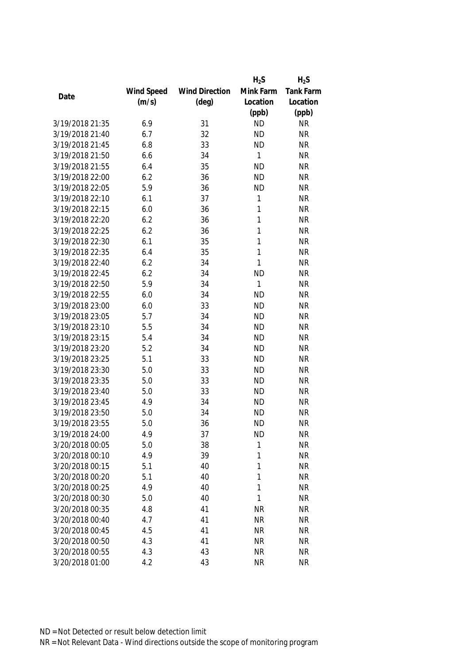|                 |            |                       | $H_2S$       | $H_2S$           |
|-----------------|------------|-----------------------|--------------|------------------|
|                 | Wind Speed | <b>Wind Direction</b> | Mink Farm    | <b>Tank Farm</b> |
| Date            | (m/s)      | $(\text{deg})$        | Location     | Location         |
|                 |            |                       | (ppb)        | (ppb)            |
| 3/19/2018 21:35 | 6.9        | 31                    | <b>ND</b>    | <b>NR</b>        |
| 3/19/2018 21:40 | 6.7        | 32                    | <b>ND</b>    | <b>NR</b>        |
| 3/19/2018 21:45 | 6.8        | 33                    | <b>ND</b>    | <b>NR</b>        |
| 3/19/2018 21:50 | 6.6        | 34                    | $\mathbf{1}$ | <b>NR</b>        |
| 3/19/2018 21:55 | 6.4        | 35                    | <b>ND</b>    | <b>NR</b>        |
| 3/19/2018 22:00 | 6.2        | 36                    | <b>ND</b>    | <b>NR</b>        |
| 3/19/2018 22:05 | 5.9        | 36                    | <b>ND</b>    | <b>NR</b>        |
| 3/19/2018 22:10 | 6.1        | 37                    | 1            | <b>NR</b>        |
| 3/19/2018 22:15 | 6.0        | 36                    | 1            | <b>NR</b>        |
| 3/19/2018 22:20 | 6.2        | 36                    | 1            | <b>NR</b>        |
| 3/19/2018 22:25 | 6.2        | 36                    | 1            | <b>NR</b>        |
| 3/19/2018 22:30 | 6.1        | 35                    | 1            | <b>NR</b>        |
| 3/19/2018 22:35 | 6.4        | 35                    | 1            | <b>NR</b>        |
| 3/19/2018 22:40 | 6.2        | 34                    | 1            | <b>NR</b>        |
| 3/19/2018 22:45 | 6.2        | 34                    | <b>ND</b>    | <b>NR</b>        |
| 3/19/2018 22:50 | 5.9        | 34                    | 1            | <b>NR</b>        |
| 3/19/2018 22:55 | 6.0        | 34                    | <b>ND</b>    | <b>NR</b>        |
| 3/19/2018 23:00 | 6.0        | 33                    | <b>ND</b>    | <b>NR</b>        |
| 3/19/2018 23:05 | 5.7        | 34                    | <b>ND</b>    | <b>NR</b>        |
| 3/19/2018 23:10 | 5.5        | 34                    | <b>ND</b>    | <b>NR</b>        |
| 3/19/2018 23:15 | 5.4        | 34                    | <b>ND</b>    | <b>NR</b>        |
| 3/19/2018 23:20 | 5.2        | 34                    | <b>ND</b>    | <b>NR</b>        |
| 3/19/2018 23:25 | 5.1        | 33                    | <b>ND</b>    | <b>NR</b>        |
| 3/19/2018 23:30 | 5.0        | 33                    | <b>ND</b>    | <b>NR</b>        |
| 3/19/2018 23:35 | 5.0        | 33                    | <b>ND</b>    | <b>NR</b>        |
| 3/19/2018 23:40 | 5.0        | 33                    | <b>ND</b>    | <b>NR</b>        |
| 3/19/2018 23:45 | 4.9        | 34                    | <b>ND</b>    | <b>NR</b>        |
| 3/19/2018 23:50 | 5.0        | 34                    | <b>ND</b>    | <b>NR</b>        |
| 3/19/2018 23:55 | 5.0        | 36                    | <b>ND</b>    | <b>NR</b>        |
| 3/19/2018 24:00 | 4.9        | 37                    | <b>ND</b>    | <b>NR</b>        |
| 3/20/2018 00:05 | 5.0        | 38                    | 1            | <b>NR</b>        |
| 3/20/2018 00:10 | 4.9        | 39                    | 1            | <b>NR</b>        |
| 3/20/2018 00:15 | 5.1        | 40                    | 1            | <b>NR</b>        |
| 3/20/2018 00:20 | 5.1        | 40                    | 1            | <b>NR</b>        |
| 3/20/2018 00:25 | 4.9        | 40                    | 1            | <b>NR</b>        |
| 3/20/2018 00:30 | 5.0        | 40                    | 1            | <b>NR</b>        |
| 3/20/2018 00:35 | 4.8        | 41                    | <b>NR</b>    | <b>NR</b>        |
| 3/20/2018 00:40 | 4.7        | 41                    | <b>NR</b>    | <b>NR</b>        |
| 3/20/2018 00:45 | 4.5        | 41                    | <b>NR</b>    | <b>NR</b>        |
| 3/20/2018 00:50 | 4.3        | 41                    | <b>NR</b>    | <b>NR</b>        |
| 3/20/2018 00:55 | 4.3        | 43                    | <b>NR</b>    | <b>NR</b>        |
| 3/20/2018 01:00 | 4.2        | 43                    | <b>NR</b>    | <b>NR</b>        |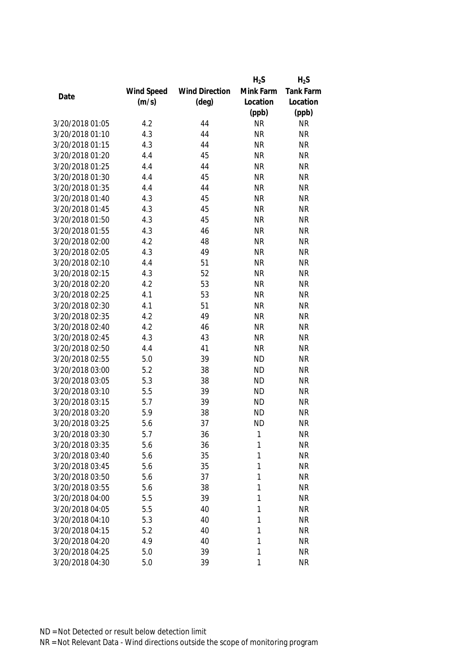|                 |            |                       | $H_2S$    | $H_2S$    |
|-----------------|------------|-----------------------|-----------|-----------|
|                 | Wind Speed | <b>Wind Direction</b> | Mink Farm | Tank Farm |
| Date            | (m/s)      | $(\text{deg})$        | Location  | Location  |
|                 |            |                       | (ppb)     | (ppb)     |
| 3/20/2018 01:05 | 4.2        | 44                    | <b>NR</b> | <b>NR</b> |
| 3/20/2018 01:10 | 4.3        | 44                    | <b>NR</b> | <b>NR</b> |
| 3/20/2018 01:15 | 4.3        | 44                    | <b>NR</b> | <b>NR</b> |
| 3/20/2018 01:20 | 4.4        | 45                    | <b>NR</b> | <b>NR</b> |
| 3/20/2018 01:25 | 4.4        | 44                    | <b>NR</b> | <b>NR</b> |
| 3/20/2018 01:30 | 4.4        | 45                    | <b>NR</b> | <b>NR</b> |
| 3/20/2018 01:35 | 4.4        | 44                    | <b>NR</b> | <b>NR</b> |
| 3/20/2018 01:40 | 4.3        | 45                    | <b>NR</b> | <b>NR</b> |
| 3/20/2018 01:45 | 4.3        | 45                    | <b>NR</b> | <b>NR</b> |
| 3/20/2018 01:50 | 4.3        | 45                    | <b>NR</b> | <b>NR</b> |
| 3/20/2018 01:55 | 4.3        | 46                    | <b>NR</b> | <b>NR</b> |
| 3/20/2018 02:00 | 4.2        | 48                    | <b>NR</b> | <b>NR</b> |
| 3/20/2018 02:05 | 4.3        | 49                    | <b>NR</b> | <b>NR</b> |
| 3/20/2018 02:10 | 4.4        | 51                    | <b>NR</b> | <b>NR</b> |
| 3/20/2018 02:15 | 4.3        | 52                    | <b>NR</b> | <b>NR</b> |
| 3/20/2018 02:20 | 4.2        | 53                    | <b>NR</b> | <b>NR</b> |
| 3/20/2018 02:25 | 4.1        | 53                    | <b>NR</b> | <b>NR</b> |
| 3/20/2018 02:30 | 4.1        | 51                    | <b>NR</b> | <b>NR</b> |
| 3/20/2018 02:35 | 4.2        | 49                    | <b>NR</b> | <b>NR</b> |
| 3/20/2018 02:40 | 4.2        | 46                    | <b>NR</b> | <b>NR</b> |
| 3/20/2018 02:45 | 4.3        | 43                    | <b>NR</b> | <b>NR</b> |
| 3/20/2018 02:50 | 4.4        | 41                    | <b>NR</b> | <b>NR</b> |
| 3/20/2018 02:55 | 5.0        | 39                    | <b>ND</b> | <b>NR</b> |
| 3/20/2018 03:00 | 5.2        | 38                    | <b>ND</b> | <b>NR</b> |
| 3/20/2018 03:05 | 5.3        | 38                    | <b>ND</b> | <b>NR</b> |
| 3/20/2018 03:10 | 5.5        | 39                    | <b>ND</b> | <b>NR</b> |
| 3/20/2018 03:15 | 5.7        | 39                    | <b>ND</b> | <b>NR</b> |
| 3/20/2018 03:20 | 5.9        | 38                    | <b>ND</b> | <b>NR</b> |
| 3/20/2018 03:25 | 5.6        | 37                    | <b>ND</b> | <b>NR</b> |
| 3/20/2018 03:30 | 5.7        | 36                    | 1         | <b>NR</b> |
| 3/20/2018 03:35 | 5.6        | 36                    | 1         | <b>NR</b> |
| 3/20/2018 03:40 | 5.6        | 35                    | 1         | <b>NR</b> |
| 3/20/2018 03:45 | 5.6        | 35                    | 1         | <b>NR</b> |
| 3/20/2018 03:50 | 5.6        | 37                    | 1         | <b>NR</b> |
| 3/20/2018 03:55 | 5.6        | 38                    | 1         | <b>NR</b> |
| 3/20/2018 04:00 | 5.5        | 39                    | 1         | <b>NR</b> |
| 3/20/2018 04:05 | 5.5        | 40                    | 1         | <b>NR</b> |
| 3/20/2018 04:10 | 5.3        | 40                    | 1         | <b>NR</b> |
| 3/20/2018 04:15 | 5.2        | 40                    | 1         | <b>NR</b> |
| 3/20/2018 04:20 | 4.9        | 40                    | 1         | <b>NR</b> |
| 3/20/2018 04:25 | 5.0        | 39                    | 1         | <b>NR</b> |
| 3/20/2018 04:30 | 5.0        | 39                    | 1         | <b>NR</b> |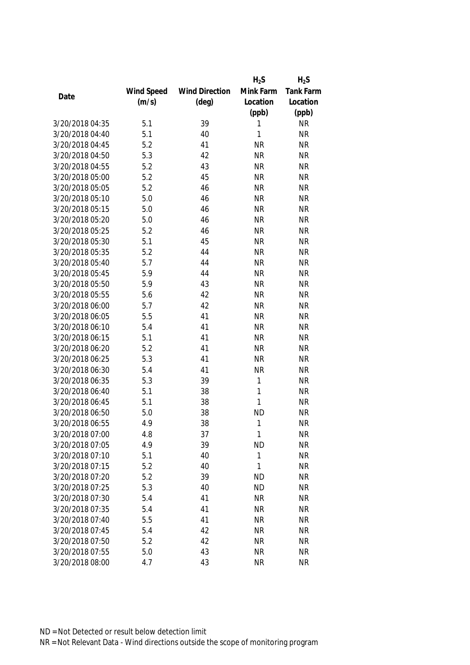|                 |            |                       | $H_2S$    | $H_2S$           |
|-----------------|------------|-----------------------|-----------|------------------|
|                 | Wind Speed | <b>Wind Direction</b> | Mink Farm | <b>Tank Farm</b> |
| Date            | (m/s)      | $(\text{deg})$        | Location  | Location         |
|                 |            |                       | (ppb)     | (ppb)            |
| 3/20/2018 04:35 | 5.1        | 39                    | 1         | <b>NR</b>        |
| 3/20/2018 04:40 | 5.1        | 40                    | 1         | <b>NR</b>        |
| 3/20/2018 04:45 | 5.2        | 41                    | <b>NR</b> | <b>NR</b>        |
| 3/20/2018 04:50 | 5.3        | 42                    | <b>NR</b> | <b>NR</b>        |
| 3/20/2018 04:55 | 5.2        | 43                    | <b>NR</b> | <b>NR</b>        |
| 3/20/2018 05:00 | 5.2        | 45                    | <b>NR</b> | <b>NR</b>        |
| 3/20/2018 05:05 | 5.2        | 46                    | <b>NR</b> | <b>NR</b>        |
| 3/20/2018 05:10 | 5.0        | 46                    | <b>NR</b> | <b>NR</b>        |
| 3/20/2018 05:15 | 5.0        | 46                    | <b>NR</b> | <b>NR</b>        |
| 3/20/2018 05:20 | 5.0        | 46                    | <b>NR</b> | <b>NR</b>        |
| 3/20/2018 05:25 | 5.2        | 46                    | <b>NR</b> | <b>NR</b>        |
| 3/20/2018 05:30 | 5.1        | 45                    | <b>NR</b> | <b>NR</b>        |
| 3/20/2018 05:35 | 5.2        | 44                    | <b>NR</b> | <b>NR</b>        |
| 3/20/2018 05:40 | 5.7        | 44                    | <b>NR</b> | <b>NR</b>        |
| 3/20/2018 05:45 | 5.9        | 44                    | <b>NR</b> | <b>NR</b>        |
| 3/20/2018 05:50 | 5.9        | 43                    | <b>NR</b> | <b>NR</b>        |
| 3/20/2018 05:55 | 5.6        | 42                    | <b>NR</b> | <b>NR</b>        |
| 3/20/2018 06:00 | 5.7        | 42                    | <b>NR</b> | <b>NR</b>        |
| 3/20/2018 06:05 | 5.5        | 41                    | <b>NR</b> | <b>NR</b>        |
| 3/20/2018 06:10 | 5.4        | 41                    | <b>NR</b> | <b>NR</b>        |
| 3/20/2018 06:15 | 5.1        | 41                    | <b>NR</b> | <b>NR</b>        |
| 3/20/2018 06:20 | 5.2        | 41                    | <b>NR</b> | <b>NR</b>        |
| 3/20/2018 06:25 | 5.3        | 41                    | <b>NR</b> | <b>NR</b>        |
| 3/20/2018 06:30 | 5.4        | 41                    | <b>NR</b> | <b>NR</b>        |
| 3/20/2018 06:35 | 5.3        | 39                    | 1         | <b>NR</b>        |
| 3/20/2018 06:40 | 5.1        | 38                    | 1         | <b>NR</b>        |
| 3/20/2018 06:45 | 5.1        | 38                    | 1         | <b>NR</b>        |
| 3/20/2018 06:50 | 5.0        | 38                    | <b>ND</b> | <b>NR</b>        |
| 3/20/2018 06:55 | 4.9        | 38                    | 1         | <b>NR</b>        |
| 3/20/2018 07:00 | 4.8        | 37                    | 1         | <b>NR</b>        |
| 3/20/2018 07:05 | 4.9        | 39                    | <b>ND</b> | <b>NR</b>        |
| 3/20/2018 07:10 | 5.1        | 40                    | 1         | <b>NR</b>        |
| 3/20/2018 07:15 | 5.2        | 40                    | 1         | <b>NR</b>        |
| 3/20/2018 07:20 | 5.2        | 39                    | <b>ND</b> | <b>NR</b>        |
| 3/20/2018 07:25 | 5.3        | 40                    | <b>ND</b> | <b>NR</b>        |
| 3/20/2018 07:30 | 5.4        | 41                    | <b>NR</b> | <b>NR</b>        |
| 3/20/2018 07:35 | 5.4        | 41                    | <b>NR</b> | <b>NR</b>        |
| 3/20/2018 07:40 | 5.5        | 41                    | <b>NR</b> | <b>NR</b>        |
| 3/20/2018 07:45 | 5.4        | 42                    | <b>NR</b> | <b>NR</b>        |
| 3/20/2018 07:50 | 5.2        | 42                    | <b>NR</b> | <b>NR</b>        |
| 3/20/2018 07:55 | 5.0        | 43                    | <b>NR</b> | <b>NR</b>        |
| 3/20/2018 08:00 | 4.7        | 43                    | <b>NR</b> | <b>NR</b>        |
|                 |            |                       |           |                  |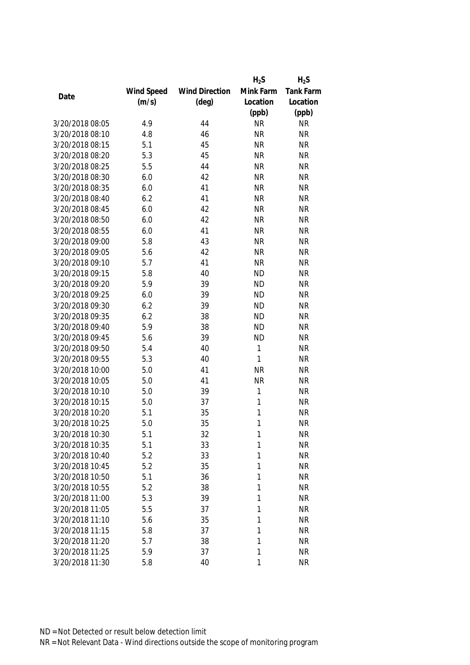|                 |            |                       | $H_2S$    | $H_2S$    |
|-----------------|------------|-----------------------|-----------|-----------|
|                 | Wind Speed | <b>Wind Direction</b> | Mink Farm | Tank Farm |
| Date            | (m/s)      | $(\text{deg})$        | Location  | Location  |
|                 |            |                       | (ppb)     | (ppb)     |
| 3/20/2018 08:05 | 4.9        | 44                    | <b>NR</b> | <b>NR</b> |
| 3/20/2018 08:10 | 4.8        | 46                    | <b>NR</b> | <b>NR</b> |
| 3/20/2018 08:15 | 5.1        | 45                    | <b>NR</b> | <b>NR</b> |
| 3/20/2018 08:20 | 5.3        | 45                    | <b>NR</b> | <b>NR</b> |
| 3/20/2018 08:25 | 5.5        | 44                    | <b>NR</b> | <b>NR</b> |
| 3/20/2018 08:30 | 6.0        | 42                    | <b>NR</b> | <b>NR</b> |
| 3/20/2018 08:35 | 6.0        | 41                    | <b>NR</b> | <b>NR</b> |
| 3/20/2018 08:40 | 6.2        | 41                    | <b>NR</b> | <b>NR</b> |
| 3/20/2018 08:45 | 6.0        | 42                    | <b>NR</b> | <b>NR</b> |
| 3/20/2018 08:50 | 6.0        | 42                    | <b>NR</b> | <b>NR</b> |
| 3/20/2018 08:55 | 6.0        | 41                    | <b>NR</b> | <b>NR</b> |
| 3/20/2018 09:00 | 5.8        | 43                    | <b>NR</b> | <b>NR</b> |
| 3/20/2018 09:05 | 5.6        | 42                    | <b>NR</b> | <b>NR</b> |
| 3/20/2018 09:10 | 5.7        | 41                    | <b>NR</b> | <b>NR</b> |
| 3/20/2018 09:15 | 5.8        | 40                    | <b>ND</b> | <b>NR</b> |
| 3/20/2018 09:20 | 5.9        | 39                    | <b>ND</b> | <b>NR</b> |
| 3/20/2018 09:25 | 6.0        | 39                    | <b>ND</b> | <b>NR</b> |
| 3/20/2018 09:30 | 6.2        | 39                    | <b>ND</b> | <b>NR</b> |
| 3/20/2018 09:35 | 6.2        | 38                    | <b>ND</b> | <b>NR</b> |
| 3/20/2018 09:40 | 5.9        | 38                    | <b>ND</b> | <b>NR</b> |
| 3/20/2018 09:45 | 5.6        | 39                    | <b>ND</b> | <b>NR</b> |
| 3/20/2018 09:50 | 5.4        | 40                    | 1         | <b>NR</b> |
| 3/20/2018 09:55 | 5.3        | 40                    | 1         | <b>NR</b> |
| 3/20/2018 10:00 | 5.0        | 41                    | <b>NR</b> | <b>NR</b> |
| 3/20/2018 10:05 | 5.0        | 41                    | <b>NR</b> | <b>NR</b> |
| 3/20/2018 10:10 | 5.0        | 39                    | 1         | <b>NR</b> |
| 3/20/2018 10:15 | 5.0        | 37                    | 1         | <b>NR</b> |
| 3/20/2018 10:20 | 5.1        | 35                    | 1         | <b>NR</b> |
| 3/20/2018 10:25 | 5.0        | 35                    | 1         | <b>NR</b> |
| 3/20/2018 10:30 | 5.1        | 32                    | 1         | <b>NR</b> |
| 3/20/2018 10:35 | 5.1        | 33                    | 1         | <b>NR</b> |
| 3/20/2018 10:40 | 5.2        | 33                    | 1         | <b>NR</b> |
| 3/20/2018 10:45 | 5.2        | 35                    | 1         | <b>NR</b> |
| 3/20/2018 10:50 | 5.1        | 36                    | 1         | <b>NR</b> |
| 3/20/2018 10:55 | 5.2        | 38                    | 1         | <b>NR</b> |
| 3/20/2018 11:00 | 5.3        | 39                    | 1         | <b>NR</b> |
| 3/20/2018 11:05 | 5.5        | 37                    | 1         | <b>NR</b> |
| 3/20/2018 11:10 | 5.6        | 35                    | 1         | <b>NR</b> |
| 3/20/2018 11:15 | 5.8        | 37                    | 1         | <b>NR</b> |
| 3/20/2018 11:20 | 5.7        | 38                    | 1         | <b>NR</b> |
| 3/20/2018 11:25 | 5.9        | 37                    | 1         | <b>NR</b> |
| 3/20/2018 11:30 | 5.8        | 40                    | 1         | <b>NR</b> |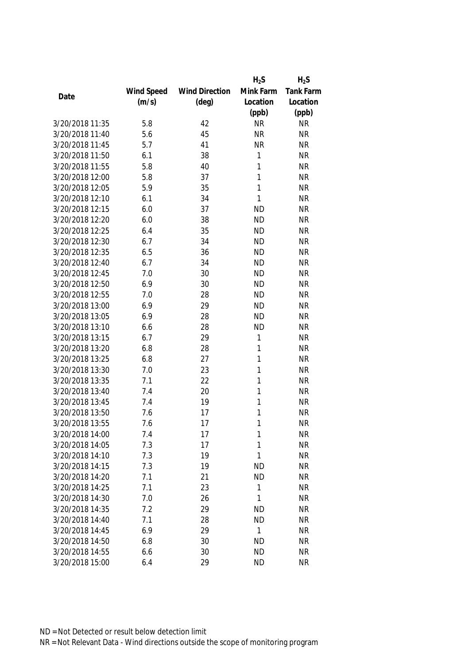|                                    |            |                       | $H_2S$         | $H_2S$           |
|------------------------------------|------------|-----------------------|----------------|------------------|
|                                    | Wind Speed | <b>Wind Direction</b> | Mink Farm      | <b>Tank Farm</b> |
| Date                               | (m/s)      | $(\text{deg})$        | Location       | Location         |
|                                    |            |                       | (ppb)          | (ppb)            |
| 3/20/2018 11:35                    | 5.8        | 42                    | <b>NR</b>      | <b>NR</b>        |
| 3/20/2018 11:40                    | 5.6        | 45                    | <b>NR</b>      | <b>NR</b>        |
| 3/20/2018 11:45                    | 5.7        | 41                    | <b>NR</b>      | <b>NR</b>        |
| 3/20/2018 11:50                    | 6.1        | 38                    | 1              | <b>NR</b>        |
| 3/20/2018 11:55                    | 5.8        | 40                    | 1              | <b>NR</b>        |
| 3/20/2018 12:00                    | 5.8        | 37                    | 1              | <b>NR</b>        |
| 3/20/2018 12:05                    | 5.9        | 35                    | 1              | <b>NR</b>        |
| 3/20/2018 12:10                    | 6.1        | 34                    | 1              | <b>NR</b>        |
| 3/20/2018 12:15                    | 6.0        | 37                    | <b>ND</b>      | <b>NR</b>        |
| 3/20/2018 12:20                    | 6.0        | 38                    | <b>ND</b>      | <b>NR</b>        |
| 3/20/2018 12:25                    | 6.4        | 35                    | <b>ND</b>      | <b>NR</b>        |
| 3/20/2018 12:30                    | 6.7        | 34                    | <b>ND</b>      | <b>NR</b>        |
| 3/20/2018 12:35                    | 6.5        | 36                    | <b>ND</b>      | <b>NR</b>        |
| 3/20/2018 12:40                    | 6.7        | 34                    | <b>ND</b>      | <b>NR</b>        |
| 3/20/2018 12:45                    | 7.0        | 30                    | <b>ND</b>      | <b>NR</b>        |
| 3/20/2018 12:50                    | 6.9        | 30                    | <b>ND</b>      | <b>NR</b>        |
| 3/20/2018 12:55                    | 7.0        | 28                    | <b>ND</b>      | <b>NR</b>        |
| 3/20/2018 13:00                    | 6.9        | 29                    | <b>ND</b>      | <b>NR</b>        |
| 3/20/2018 13:05                    | 6.9        | 28                    | <b>ND</b>      | <b>NR</b>        |
| 3/20/2018 13:10                    | 6.6        | 28                    | <b>ND</b>      | <b>NR</b>        |
| 3/20/2018 13:15                    | 6.7        | 29                    | 1              | <b>NR</b>        |
| 3/20/2018 13:20                    | 6.8        | 28                    | 1              | <b>NR</b>        |
| 3/20/2018 13:25                    | 6.8        | 27                    | 1              | <b>NR</b>        |
| 3/20/2018 13:30                    | 7.0        | 23                    | 1              | <b>NR</b>        |
| 3/20/2018 13:35                    | 7.1        | 22                    | 1              | <b>NR</b>        |
| 3/20/2018 13:40                    | 7.4        | 20                    | 1              | <b>NR</b>        |
| 3/20/2018 13:45                    | 7.4        | 19                    | 1              | <b>NR</b>        |
| 3/20/2018 13:50                    | 7.6        | 17                    | 1              | <b>NR</b>        |
| 3/20/2018 13:55                    | 7.6        | 17                    | 1              | <b>NR</b>        |
| 3/20/2018 14:00                    | 7.4        | 17                    | 1              | <b>NR</b>        |
| 3/20/2018 14:05                    | 7.3        | 17                    | 1              | <b>NR</b>        |
| 3/20/2018 14:10                    | 7.3        | 19                    | 1              | <b>NR</b>        |
| 3/20/2018 14:15                    | 7.3        | 19                    | <b>ND</b>      | <b>NR</b>        |
| 3/20/2018 14:20                    | 7.1        | 21                    | <b>ND</b>      | <b>NR</b>        |
| 3/20/2018 14:25                    | 7.1        | 23                    | 1              | <b>NR</b>        |
| 3/20/2018 14:30                    | 7.0        | 26                    | 1              | <b>NR</b>        |
| 3/20/2018 14:35                    | 7.2        | 29                    | <b>ND</b>      | <b>NR</b>        |
|                                    |            |                       |                |                  |
| 3/20/2018 14:40<br>3/20/2018 14:45 | 7.1        | 28                    | <b>ND</b><br>1 | <b>NR</b>        |
|                                    | 6.9        | 29                    |                | <b>NR</b>        |
| 3/20/2018 14:50                    | 6.8        | 30                    | <b>ND</b>      | <b>NR</b>        |
| 3/20/2018 14:55                    | 6.6        | 30                    | <b>ND</b>      | <b>NR</b>        |
| 3/20/2018 15:00                    | 6.4        | 29                    | <b>ND</b>      | <b>NR</b>        |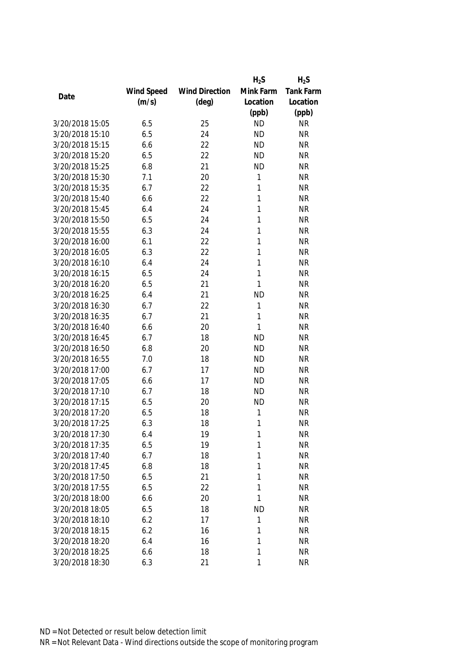|                 |            |                       | $H_2S$    | $H_2S$    |
|-----------------|------------|-----------------------|-----------|-----------|
|                 | Wind Speed | <b>Wind Direction</b> | Mink Farm | Tank Farm |
| Date            | (m/s)      | $(\text{deg})$        | Location  | Location  |
|                 |            |                       | (ppb)     | (ppb)     |
| 3/20/2018 15:05 | 6.5        | 25                    | <b>ND</b> | <b>NR</b> |
| 3/20/2018 15:10 | 6.5        | 24                    | <b>ND</b> | <b>NR</b> |
| 3/20/2018 15:15 | 6.6        | 22                    | <b>ND</b> | <b>NR</b> |
| 3/20/2018 15:20 | 6.5        | 22                    | <b>ND</b> | <b>NR</b> |
| 3/20/2018 15:25 | 6.8        | 21                    | <b>ND</b> | <b>NR</b> |
| 3/20/2018 15:30 | 7.1        | 20                    | 1         | <b>NR</b> |
| 3/20/2018 15:35 | 6.7        | 22                    | 1         | <b>NR</b> |
| 3/20/2018 15:40 | 6.6        | 22                    | 1         | <b>NR</b> |
| 3/20/2018 15:45 | 6.4        | 24                    | 1         | <b>NR</b> |
| 3/20/2018 15:50 | 6.5        | 24                    | 1         | <b>NR</b> |
| 3/20/2018 15:55 | 6.3        | 24                    | 1         | <b>NR</b> |
| 3/20/2018 16:00 | 6.1        | 22                    | 1         | <b>NR</b> |
| 3/20/2018 16:05 | 6.3        | 22                    | 1         | <b>NR</b> |
| 3/20/2018 16:10 | 6.4        | 24                    | 1         | <b>NR</b> |
| 3/20/2018 16:15 | 6.5        | 24                    | 1         | <b>NR</b> |
| 3/20/2018 16:20 | 6.5        | 21                    | 1         | <b>NR</b> |
| 3/20/2018 16:25 | 6.4        | 21                    | <b>ND</b> | <b>NR</b> |
| 3/20/2018 16:30 | 6.7        | 22                    | 1         | <b>NR</b> |
| 3/20/2018 16:35 | 6.7        | 21                    | 1         | <b>NR</b> |
| 3/20/2018 16:40 | 6.6        | 20                    | 1         | <b>NR</b> |
| 3/20/2018 16:45 | 6.7        | 18                    | <b>ND</b> | <b>NR</b> |
| 3/20/2018 16:50 | 6.8        | 20                    | <b>ND</b> | <b>NR</b> |
| 3/20/2018 16:55 | 7.0        | 18                    | <b>ND</b> | <b>NR</b> |
| 3/20/2018 17:00 | 6.7        | 17                    | <b>ND</b> | <b>NR</b> |
| 3/20/2018 17:05 | 6.6        | 17                    | <b>ND</b> | <b>NR</b> |
| 3/20/2018 17:10 | 6.7        | 18                    | <b>ND</b> | <b>NR</b> |
| 3/20/2018 17:15 | 6.5        | 20                    | <b>ND</b> | <b>NR</b> |
| 3/20/2018 17:20 | 6.5        | 18                    | 1         | <b>NR</b> |
| 3/20/2018 17:25 | 6.3        | 18                    | 1         | <b>NR</b> |
| 3/20/2018 17:30 | 6.4        | 19                    | 1         | <b>NR</b> |
| 3/20/2018 17:35 | 6.5        | 19                    | 1         | <b>NR</b> |
| 3/20/2018 17:40 | 6.7        | 18                    | 1         | <b>NR</b> |
| 3/20/2018 17:45 | 6.8        | 18                    | 1         | <b>NR</b> |
| 3/20/2018 17:50 | 6.5        | 21                    | 1         | <b>NR</b> |
| 3/20/2018 17:55 | 6.5        | 22                    | 1         | <b>NR</b> |
| 3/20/2018 18:00 | 6.6        | 20                    | 1         | <b>NR</b> |
| 3/20/2018 18:05 | 6.5        | 18                    | <b>ND</b> | <b>NR</b> |
| 3/20/2018 18:10 | 6.2        | 17                    | 1         | <b>NR</b> |
| 3/20/2018 18:15 | 6.2        | 16                    | 1         | <b>NR</b> |
| 3/20/2018 18:20 | 6.4        | 16                    | 1         | <b>NR</b> |
| 3/20/2018 18:25 | 6.6        | 18                    | 1         | <b>NR</b> |
| 3/20/2018 18:30 | 6.3        | 21                    | 1         | <b>NR</b> |
|                 |            |                       |           |           |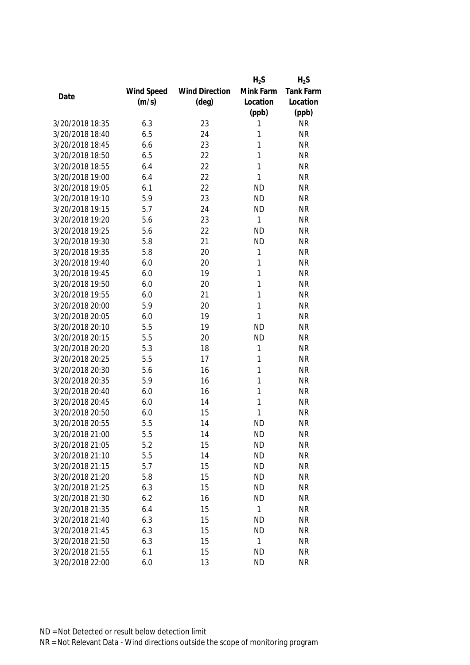|                 |            |                       | $H_2S$    | $H_2S$           |
|-----------------|------------|-----------------------|-----------|------------------|
|                 | Wind Speed | <b>Wind Direction</b> | Mink Farm | <b>Tank Farm</b> |
| Date            | (m/s)      | $(\text{deg})$        | Location  | Location         |
|                 |            |                       | (ppb)     | (ppb)            |
| 3/20/2018 18:35 | 6.3        | 23                    | 1         | <b>NR</b>        |
| 3/20/2018 18:40 | 6.5        | 24                    | 1         | <b>NR</b>        |
| 3/20/2018 18:45 | 6.6        | 23                    | 1         | <b>NR</b>        |
| 3/20/2018 18:50 | 6.5        | 22                    | 1         | <b>NR</b>        |
| 3/20/2018 18:55 | 6.4        | 22                    | 1         | <b>NR</b>        |
| 3/20/2018 19:00 | 6.4        | 22                    | 1         | <b>NR</b>        |
| 3/20/2018 19:05 | 6.1        | 22                    | <b>ND</b> | <b>NR</b>        |
| 3/20/2018 19:10 | 5.9        | 23                    | <b>ND</b> | <b>NR</b>        |
| 3/20/2018 19:15 | 5.7        | 24                    | <b>ND</b> | <b>NR</b>        |
| 3/20/2018 19:20 | 5.6        | 23                    | 1         | <b>NR</b>        |
| 3/20/2018 19:25 | 5.6        | 22                    | <b>ND</b> | <b>NR</b>        |
| 3/20/2018 19:30 | 5.8        | 21                    | <b>ND</b> | <b>NR</b>        |
| 3/20/2018 19:35 | 5.8        | 20                    | 1         | <b>NR</b>        |
| 3/20/2018 19:40 | 6.0        | 20                    | 1         | <b>NR</b>        |
| 3/20/2018 19:45 | 6.0        | 19                    | 1         | <b>NR</b>        |
| 3/20/2018 19:50 | 6.0        | 20                    | 1         | <b>NR</b>        |
| 3/20/2018 19:55 | 6.0        | 21                    | 1         | <b>NR</b>        |
| 3/20/2018 20:00 | 5.9        | 20                    | 1         | <b>NR</b>        |
| 3/20/2018 20:05 | 6.0        | 19                    | 1         | <b>NR</b>        |
| 3/20/2018 20:10 | 5.5        | 19                    | <b>ND</b> | <b>NR</b>        |
| 3/20/2018 20:15 | 5.5        | 20                    | <b>ND</b> | <b>NR</b>        |
| 3/20/2018 20:20 | 5.3        | 18                    | 1         | <b>NR</b>        |
| 3/20/2018 20:25 | 5.5        | 17                    | 1         | <b>NR</b>        |
| 3/20/2018 20:30 | 5.6        | 16                    | 1         | <b>NR</b>        |
| 3/20/2018 20:35 | 5.9        | 16                    | 1         | <b>NR</b>        |
| 3/20/2018 20:40 | 6.0        | 16                    | 1         | <b>NR</b>        |
| 3/20/2018 20:45 | 6.0        | 14                    | 1         | <b>NR</b>        |
| 3/20/2018 20:50 | 6.0        | 15                    | 1         | <b>NR</b>        |
| 3/20/2018 20:55 | 5.5        | 14                    | <b>ND</b> | <b>NR</b>        |
| 3/20/2018 21:00 | 5.5        | 14                    | <b>ND</b> | <b>NR</b>        |
| 3/20/2018 21:05 | 5.2        | 15                    | <b>ND</b> | <b>NR</b>        |
| 3/20/2018 21:10 | 5.5        | 14                    | <b>ND</b> | <b>NR</b>        |
| 3/20/2018 21:15 | 5.7        | 15                    | <b>ND</b> | <b>NR</b>        |
| 3/20/2018 21:20 | 5.8        | 15                    | <b>ND</b> | NR               |
| 3/20/2018 21:25 | 6.3        | 15                    | <b>ND</b> | <b>NR</b>        |
| 3/20/2018 21:30 | 6.2        | 16                    | <b>ND</b> | <b>NR</b>        |
| 3/20/2018 21:35 | 6.4        | 15                    | 1         | <b>NR</b>        |
| 3/20/2018 21:40 | 6.3        | 15                    | <b>ND</b> | <b>NR</b>        |
| 3/20/2018 21:45 | 6.3        | 15                    | <b>ND</b> | <b>NR</b>        |
| 3/20/2018 21:50 | 6.3        | 15                    | 1         | <b>NR</b>        |
| 3/20/2018 21:55 | 6.1        | 15                    | <b>ND</b> | <b>NR</b>        |
| 3/20/2018 22:00 | 6.0        | 13                    | <b>ND</b> | <b>NR</b>        |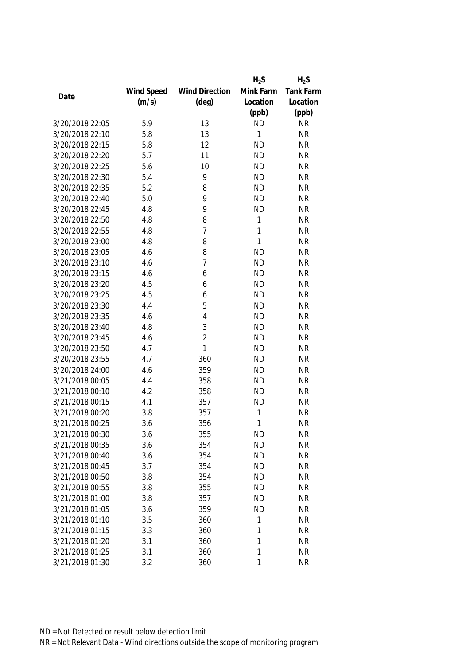|                 |            |                       | $H_2S$    | $H_2S$    |
|-----------------|------------|-----------------------|-----------|-----------|
|                 | Wind Speed | <b>Wind Direction</b> | Mink Farm | Tank Farm |
| Date            | (m/s)      | $(\text{deg})$        | Location  | Location  |
|                 |            |                       | (ppb)     | (ppb)     |
| 3/20/2018 22:05 | 5.9        | 13                    | <b>ND</b> | <b>NR</b> |
| 3/20/2018 22:10 | 5.8        | 13                    | 1         | <b>NR</b> |
| 3/20/2018 22:15 | 5.8        | 12                    | <b>ND</b> | <b>NR</b> |
| 3/20/2018 22:20 | 5.7        | 11                    | <b>ND</b> | <b>NR</b> |
| 3/20/2018 22:25 | 5.6        | 10                    | <b>ND</b> | <b>NR</b> |
| 3/20/2018 22:30 | 5.4        | 9                     | <b>ND</b> | <b>NR</b> |
| 3/20/2018 22:35 | 5.2        | 8                     | <b>ND</b> | <b>NR</b> |
| 3/20/2018 22:40 | 5.0        | 9                     | <b>ND</b> | <b>NR</b> |
| 3/20/2018 22:45 | 4.8        | 9                     | <b>ND</b> | <b>NR</b> |
| 3/20/2018 22:50 | 4.8        | 8                     | 1         | <b>NR</b> |
| 3/20/2018 22:55 | 4.8        | $\overline{7}$        | 1         | <b>NR</b> |
| 3/20/2018 23:00 | 4.8        | 8                     | 1         | <b>NR</b> |
| 3/20/2018 23:05 | 4.6        | 8                     | <b>ND</b> | <b>NR</b> |
| 3/20/2018 23:10 | 4.6        | $\overline{7}$        | <b>ND</b> | <b>NR</b> |
| 3/20/2018 23:15 | 4.6        | 6                     | <b>ND</b> | <b>NR</b> |
| 3/20/2018 23:20 | 4.5        | 6                     | <b>ND</b> | <b>NR</b> |
| 3/20/2018 23:25 | 4.5        | 6                     | <b>ND</b> | <b>NR</b> |
| 3/20/2018 23:30 | 4.4        | 5                     | <b>ND</b> | <b>NR</b> |
| 3/20/2018 23:35 | 4.6        | 4                     | <b>ND</b> | <b>NR</b> |
| 3/20/2018 23:40 | 4.8        | 3                     | <b>ND</b> | <b>NR</b> |
| 3/20/2018 23:45 | 4.6        | $\overline{2}$        | <b>ND</b> | <b>NR</b> |
| 3/20/2018 23:50 | 4.7        | $\mathbf{1}$          | <b>ND</b> | <b>NR</b> |
| 3/20/2018 23:55 | 4.7        | 360                   | <b>ND</b> | <b>NR</b> |
| 3/20/2018 24:00 | 4.6        | 359                   | <b>ND</b> | <b>NR</b> |
| 3/21/2018 00:05 | 4.4        | 358                   | <b>ND</b> | <b>NR</b> |
| 3/21/2018 00:10 | 4.2        | 358                   | <b>ND</b> | <b>NR</b> |
| 3/21/2018 00:15 | 4.1        | 357                   | <b>ND</b> | <b>NR</b> |
| 3/21/2018 00:20 | 3.8        | 357                   | 1         | <b>NR</b> |
| 3/21/2018 00:25 | 3.6        | 356                   | 1         | <b>NR</b> |
| 3/21/2018 00:30 | 3.6        | 355                   | <b>ND</b> | <b>NR</b> |
| 3/21/2018 00:35 | 3.6        | 354                   | <b>ND</b> | <b>NR</b> |
| 3/21/2018 00:40 | 3.6        | 354                   | <b>ND</b> | <b>NR</b> |
| 3/21/2018 00:45 | 3.7        | 354                   | <b>ND</b> | <b>NR</b> |
| 3/21/2018 00:50 | 3.8        | 354                   | <b>ND</b> | <b>NR</b> |
| 3/21/2018 00:55 | 3.8        | 355                   | <b>ND</b> | <b>NR</b> |
| 3/21/2018 01:00 | 3.8        | 357                   | <b>ND</b> | <b>NR</b> |
| 3/21/2018 01:05 | 3.6        | 359                   | <b>ND</b> | <b>NR</b> |
| 3/21/2018 01:10 |            |                       |           |           |
|                 | 3.5        | 360                   | 1         | <b>NR</b> |
| 3/21/2018 01:15 | 3.3        | 360                   | 1         | <b>NR</b> |
| 3/21/2018 01:20 | 3.1        | 360                   | 1         | <b>NR</b> |
| 3/21/2018 01:25 | 3.1        | 360                   | 1         | <b>NR</b> |
| 3/21/2018 01:30 | 3.2        | 360                   | 1         | <b>NR</b> |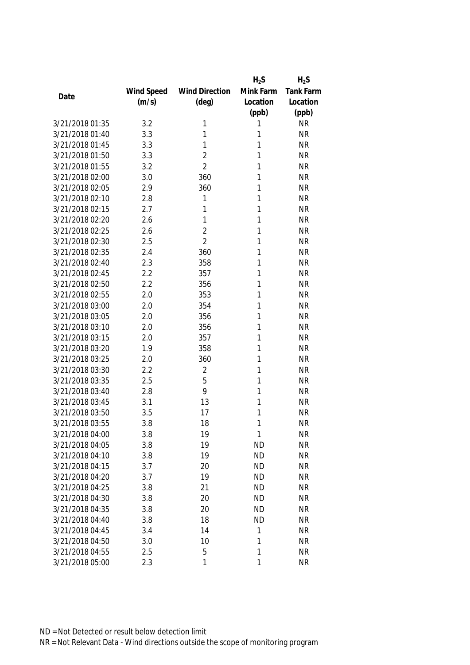|                 |            |                       | $H_2S$    | $H_2S$           |
|-----------------|------------|-----------------------|-----------|------------------|
|                 | Wind Speed | <b>Wind Direction</b> | Mink Farm | <b>Tank Farm</b> |
| Date            | (m/s)      | $(\text{deg})$        | Location  | Location         |
|                 |            |                       | (ppb)     | (ppb)            |
| 3/21/2018 01:35 | 3.2        | 1                     | 1         | <b>NR</b>        |
| 3/21/2018 01:40 | 3.3        | 1                     | 1         | <b>NR</b>        |
| 3/21/2018 01:45 | 3.3        | 1                     | 1         | <b>NR</b>        |
| 3/21/2018 01:50 | 3.3        | $\sqrt{2}$            | 1         | <b>NR</b>        |
| 3/21/2018 01:55 | 3.2        | $\overline{2}$        | 1         | <b>NR</b>        |
| 3/21/2018 02:00 | 3.0        | 360                   | 1         | <b>NR</b>        |
| 3/21/2018 02:05 | 2.9        | 360                   | 1         | <b>NR</b>        |
| 3/21/2018 02:10 | 2.8        | 1                     | 1         | <b>NR</b>        |
| 3/21/2018 02:15 | 2.7        | 1                     | 1         | <b>NR</b>        |
| 3/21/2018 02:20 | 2.6        | 1                     | 1         | <b>NR</b>        |
| 3/21/2018 02:25 | 2.6        | $\overline{2}$        | 1         | <b>NR</b>        |
| 3/21/2018 02:30 | 2.5        | $\overline{2}$        | 1         | <b>NR</b>        |
| 3/21/2018 02:35 | 2.4        | 360                   | 1         | <b>NR</b>        |
| 3/21/2018 02:40 | 2.3        | 358                   | 1         | <b>NR</b>        |
| 3/21/2018 02:45 | 2.2        | 357                   | 1         | <b>NR</b>        |
| 3/21/2018 02:50 | 2.2        | 356                   | 1         | <b>NR</b>        |
| 3/21/2018 02:55 | 2.0        | 353                   | 1         | <b>NR</b>        |
| 3/21/2018 03:00 | 2.0        | 354                   | 1         | <b>NR</b>        |
| 3/21/2018 03:05 | 2.0        | 356                   | 1         | <b>NR</b>        |
| 3/21/2018 03:10 | 2.0        | 356                   | 1         | <b>NR</b>        |
| 3/21/2018 03:15 | 2.0        | 357                   | 1         | <b>NR</b>        |
| 3/21/2018 03:20 | 1.9        | 358                   | 1         | <b>NR</b>        |
| 3/21/2018 03:25 | 2.0        | 360                   | 1         | <b>NR</b>        |
| 3/21/2018 03:30 | 2.2        | $\sqrt{2}$            | 1         | <b>NR</b>        |
| 3/21/2018 03:35 | 2.5        | 5                     | 1         | <b>NR</b>        |
| 3/21/2018 03:40 | 2.8        | 9                     | 1         | <b>NR</b>        |
| 3/21/2018 03:45 | 3.1        | 13                    | 1         | <b>NR</b>        |
| 3/21/2018 03:50 | 3.5        | 17                    | 1         | <b>NR</b>        |
| 3/21/2018 03:55 | 3.8        | 18                    | 1         | <b>NR</b>        |
| 3/21/2018 04:00 | 3.8        | 19                    | 1         | <b>NR</b>        |
| 3/21/2018 04:05 | 3.8        | 19                    | <b>ND</b> | <b>NR</b>        |
| 3/21/2018 04:10 | 3.8        | 19                    | <b>ND</b> | <b>NR</b>        |
| 3/21/2018 04:15 | 3.7        | 20                    | <b>ND</b> | <b>NR</b>        |
| 3/21/2018 04:20 | 3.7        | 19                    | <b>ND</b> | <b>NR</b>        |
| 3/21/2018 04:25 | 3.8        | 21                    | <b>ND</b> | <b>NR</b>        |
| 3/21/2018 04:30 | 3.8        | 20                    | <b>ND</b> | <b>NR</b>        |
| 3/21/2018 04:35 | 3.8        | 20                    | <b>ND</b> | <b>NR</b>        |
| 3/21/2018 04:40 | 3.8        | 18                    | <b>ND</b> | <b>NR</b>        |
| 3/21/2018 04:45 | 3.4        | 14                    | 1         | <b>NR</b>        |
| 3/21/2018 04:50 | 3.0        | 10                    | 1         | <b>NR</b>        |
| 3/21/2018 04:55 | 2.5        | 5                     | 1         | <b>NR</b>        |
| 3/21/2018 05:00 | 2.3        | 1                     | 1         | <b>NR</b>        |
|                 |            |                       |           |                  |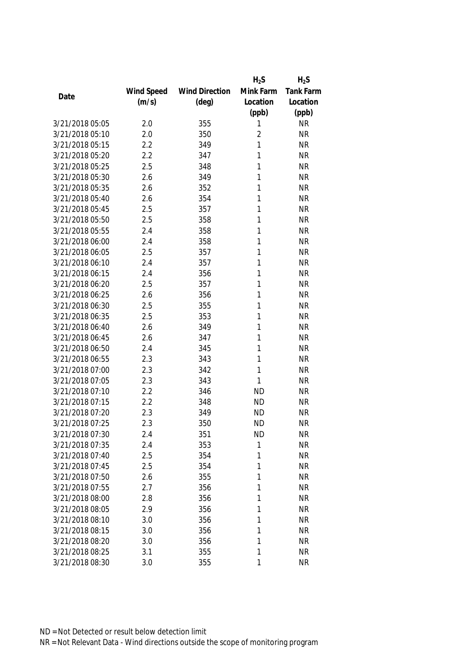|                 |            |                       | $H_2S$         | $H_2S$           |
|-----------------|------------|-----------------------|----------------|------------------|
|                 | Wind Speed | <b>Wind Direction</b> | Mink Farm      | <b>Tank Farm</b> |
| Date            | (m/s)      | $(\text{deg})$        | Location       | Location         |
|                 |            |                       | (ppb)          | (ppb)            |
| 3/21/2018 05:05 | 2.0        | 355                   | 1              | <b>NR</b>        |
| 3/21/2018 05:10 | 2.0        | 350                   | $\overline{2}$ | <b>NR</b>        |
| 3/21/2018 05:15 | 2.2        | 349                   | 1              | <b>NR</b>        |
| 3/21/2018 05:20 | 2.2        | 347                   | 1              | <b>NR</b>        |
| 3/21/2018 05:25 | 2.5        | 348                   | 1              | <b>NR</b>        |
| 3/21/2018 05:30 | 2.6        | 349                   | 1              | <b>NR</b>        |
| 3/21/2018 05:35 | 2.6        | 352                   | 1              | <b>NR</b>        |
| 3/21/2018 05:40 | 2.6        | 354                   | 1              | <b>NR</b>        |
| 3/21/2018 05:45 | 2.5        | 357                   | 1              | <b>NR</b>        |
| 3/21/2018 05:50 | 2.5        | 358                   | 1              | <b>NR</b>        |
| 3/21/2018 05:55 | 2.4        | 358                   | 1              | <b>NR</b>        |
| 3/21/2018 06:00 | 2.4        | 358                   | 1              | <b>NR</b>        |
| 3/21/2018 06:05 | 2.5        | 357                   | 1              | <b>NR</b>        |
| 3/21/2018 06:10 | 2.4        | 357                   | 1              | <b>NR</b>        |
| 3/21/2018 06:15 | 2.4        | 356                   | 1              | <b>NR</b>        |
| 3/21/2018 06:20 | 2.5        | 357                   | 1              | <b>NR</b>        |
| 3/21/2018 06:25 | 2.6        | 356                   | 1              | <b>NR</b>        |
| 3/21/2018 06:30 | 2.5        | 355                   | 1              | <b>NR</b>        |
| 3/21/2018 06:35 | 2.5        | 353                   | 1              | <b>NR</b>        |
| 3/21/2018 06:40 | 2.6        | 349                   | 1              | <b>NR</b>        |
| 3/21/2018 06:45 | 2.6        | 347                   | 1              | <b>NR</b>        |
| 3/21/2018 06:50 | 2.4        | 345                   | 1              | <b>NR</b>        |
| 3/21/2018 06:55 | 2.3        | 343                   | 1              | <b>NR</b>        |
| 3/21/2018 07:00 | 2.3        | 342                   | 1              | <b>NR</b>        |
| 3/21/2018 07:05 | 2.3        | 343                   | 1              | <b>NR</b>        |
| 3/21/2018 07:10 | 2.2        | 346                   | <b>ND</b>      | <b>NR</b>        |
| 3/21/2018 07:15 | 2.2        | 348                   | <b>ND</b>      | <b>NR</b>        |
| 3/21/2018 07:20 | 2.3        | 349                   | <b>ND</b>      | <b>NR</b>        |
| 3/21/2018 07:25 | 2.3        | 350                   | <b>ND</b>      | <b>NR</b>        |
| 3/21/2018 07:30 | 2.4        | 351                   | <b>ND</b>      | <b>NR</b>        |
| 3/21/2018 07:35 | 2.4        | 353                   | 1              | <b>NR</b>        |
| 3/21/2018 07:40 | 2.5        | 354                   | 1              | <b>NR</b>        |
| 3/21/2018 07:45 | 2.5        | 354                   | 1              | <b>NR</b>        |
| 3/21/2018 07:50 | 2.6        | 355                   | 1              | <b>NR</b>        |
| 3/21/2018 07:55 | 2.7        | 356                   | 1              | <b>NR</b>        |
| 3/21/2018 08:00 | 2.8        | 356                   | 1              | <b>NR</b>        |
| 3/21/2018 08:05 | 2.9        | 356                   | 1              | <b>NR</b>        |
| 3/21/2018 08:10 | 3.0        | 356                   | 1              | <b>NR</b>        |
| 3/21/2018 08:15 | 3.0        | 356                   | 1              | <b>NR</b>        |
| 3/21/2018 08:20 | 3.0        | 356                   | 1              | <b>NR</b>        |
| 3/21/2018 08:25 | 3.1        | 355                   | 1              | <b>NR</b>        |
| 3/21/2018 08:30 | 3.0        | 355                   | 1              | <b>NR</b>        |
|                 |            |                       |                |                  |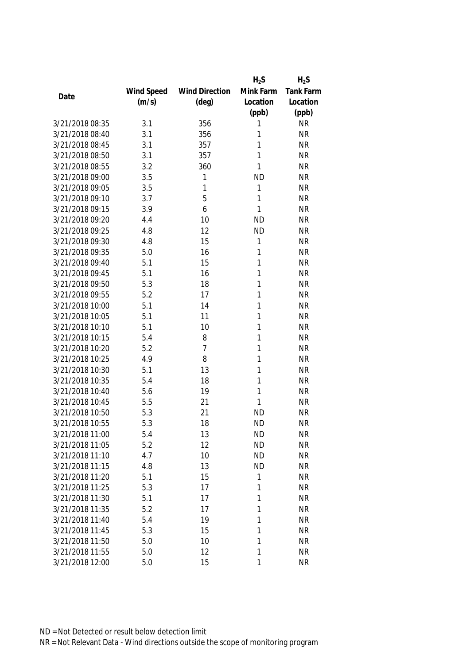|                 |            |                       | $H_2S$       | $H_2S$    |
|-----------------|------------|-----------------------|--------------|-----------|
|                 | Wind Speed | <b>Wind Direction</b> | Mink Farm    | Tank Farm |
| Date            | (m/s)      | $(\text{deg})$        | Location     | Location  |
|                 |            |                       | (ppb)        | (ppb)     |
| 3/21/2018 08:35 | 3.1        | 356                   | 1            | <b>NR</b> |
| 3/21/2018 08:40 | 3.1        | 356                   | 1            | <b>NR</b> |
| 3/21/2018 08:45 | 3.1        | 357                   | 1            | <b>NR</b> |
| 3/21/2018 08:50 | 3.1        | 357                   | 1            | <b>NR</b> |
| 3/21/2018 08:55 | 3.2        | 360                   | 1            | <b>NR</b> |
| 3/21/2018 09:00 | 3.5        | 1                     | <b>ND</b>    | <b>NR</b> |
| 3/21/2018 09:05 | 3.5        | 1                     | 1            | <b>NR</b> |
| 3/21/2018 09:10 | 3.7        | 5                     | 1            | <b>NR</b> |
| 3/21/2018 09:15 | 3.9        | 6                     | $\mathbf{1}$ | <b>NR</b> |
| 3/21/2018 09:20 | 4.4        | 10                    | <b>ND</b>    | <b>NR</b> |
| 3/21/2018 09:25 | 4.8        | 12                    | <b>ND</b>    | <b>NR</b> |
| 3/21/2018 09:30 | 4.8        | 15                    | 1            | <b>NR</b> |
| 3/21/2018 09:35 | 5.0        | 16                    | 1            | <b>NR</b> |
| 3/21/2018 09:40 | 5.1        | 15                    | 1            | <b>NR</b> |
| 3/21/2018 09:45 | 5.1        | 16                    | 1            | <b>NR</b> |
| 3/21/2018 09:50 | 5.3        | 18                    | 1            | <b>NR</b> |
| 3/21/2018 09:55 | 5.2        | 17                    | 1            | <b>NR</b> |
| 3/21/2018 10:00 | 5.1        | 14                    | 1            | <b>NR</b> |
| 3/21/2018 10:05 | 5.1        | 11                    | 1            | <b>NR</b> |
| 3/21/2018 10:10 | 5.1        | 10                    | 1            | <b>NR</b> |
| 3/21/2018 10:15 | 5.4        | 8                     | 1            | <b>NR</b> |
| 3/21/2018 10:20 | 5.2        | $\overline{7}$        | 1            | <b>NR</b> |
| 3/21/2018 10:25 | 4.9        | 8                     | 1            | <b>NR</b> |
| 3/21/2018 10:30 | 5.1        | 13                    | 1            | <b>NR</b> |
| 3/21/2018 10:35 | 5.4        | 18                    | 1            | <b>NR</b> |
| 3/21/2018 10:40 | 5.6        | 19                    | 1            | <b>NR</b> |
| 3/21/2018 10:45 | 5.5        | 21                    | 1            | <b>NR</b> |
| 3/21/2018 10:50 | 5.3        | 21                    | <b>ND</b>    | <b>NR</b> |
| 3/21/2018 10:55 | 5.3        | 18                    | <b>ND</b>    | <b>NR</b> |
| 3/21/2018 11:00 | 5.4        | 13                    | <b>ND</b>    | <b>NR</b> |
| 3/21/2018 11:05 | 5.2        | 12                    | <b>ND</b>    | <b>NR</b> |
| 3/21/2018 11:10 | 4.7        | 10                    | <b>ND</b>    | <b>NR</b> |
| 3/21/2018 11:15 | 4.8        | 13                    | <b>ND</b>    | <b>NR</b> |
| 3/21/2018 11:20 | 5.1        | 15                    | 1            | <b>NR</b> |
| 3/21/2018 11:25 | 5.3        | 17                    | 1            | <b>NR</b> |
| 3/21/2018 11:30 | 5.1        | 17                    | 1            | <b>NR</b> |
| 3/21/2018 11:35 | 5.2        | 17                    | 1            | <b>NR</b> |
| 3/21/2018 11:40 | 5.4        | 19                    | 1            | <b>NR</b> |
| 3/21/2018 11:45 | 5.3        | 15                    | 1            | <b>NR</b> |
| 3/21/2018 11:50 | 5.0        | 10                    | 1            | <b>NR</b> |
| 3/21/2018 11:55 | 5.0        | 12                    | 1            | <b>NR</b> |
| 3/21/2018 12:00 | 5.0        | 15                    | 1            | <b>NR</b> |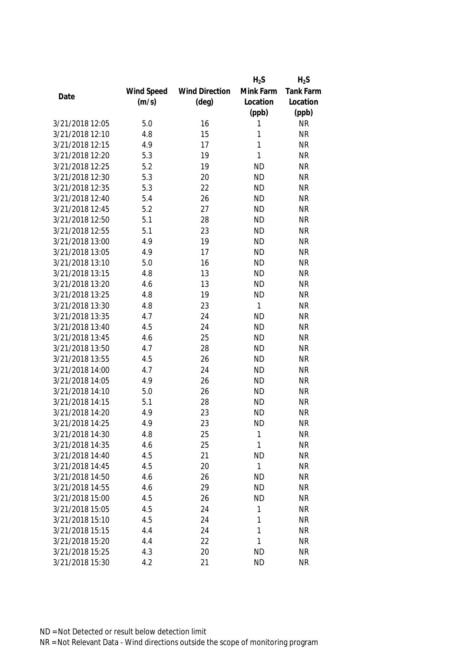|                 |            |                       | $H_2S$      | $H_2S$           |
|-----------------|------------|-----------------------|-------------|------------------|
|                 | Wind Speed | <b>Wind Direction</b> | Mink Farm   | <b>Tank Farm</b> |
| Date            | (m/s)      | $(\text{deg})$        | Location    | Location         |
|                 |            |                       | (ppb)       | (ppb)            |
| 3/21/2018 12:05 | 5.0        | 16                    | 1           | <b>NR</b>        |
| 3/21/2018 12:10 | 4.8        | 15                    | 1           | <b>NR</b>        |
| 3/21/2018 12:15 | 4.9        | 17                    | 1           | <b>NR</b>        |
| 3/21/2018 12:20 | 5.3        | 19                    | 1           | <b>NR</b>        |
| 3/21/2018 12:25 | 5.2        | 19                    | <b>ND</b>   | <b>NR</b>        |
| 3/21/2018 12:30 | 5.3        | 20                    | <b>ND</b>   | <b>NR</b>        |
| 3/21/2018 12:35 | 5.3        | 22                    | <b>ND</b>   | <b>NR</b>        |
| 3/21/2018 12:40 | 5.4        | 26                    | <b>ND</b>   | <b>NR</b>        |
| 3/21/2018 12:45 | 5.2        | 27                    | <b>ND</b>   | <b>NR</b>        |
| 3/21/2018 12:50 | 5.1        | 28                    | <b>ND</b>   | <b>NR</b>        |
| 3/21/2018 12:55 | 5.1        | 23                    | <b>ND</b>   | <b>NR</b>        |
| 3/21/2018 13:00 | 4.9        | 19                    | <b>ND</b>   | <b>NR</b>        |
| 3/21/2018 13:05 | 4.9        | 17                    | <b>ND</b>   | <b>NR</b>        |
| 3/21/2018 13:10 | 5.0        | 16                    | <b>ND</b>   | <b>NR</b>        |
| 3/21/2018 13:15 | 4.8        | 13                    | <b>ND</b>   | <b>NR</b>        |
| 3/21/2018 13:20 | 4.6        | 13                    | <b>ND</b>   | <b>NR</b>        |
| 3/21/2018 13:25 | 4.8        | 19                    | <b>ND</b>   | <b>NR</b>        |
| 3/21/2018 13:30 | 4.8        | 23                    | 1           | <b>NR</b>        |
| 3/21/2018 13:35 | 4.7        | 24                    | <b>ND</b>   | <b>NR</b>        |
| 3/21/2018 13:40 | 4.5        | 24                    | <b>ND</b>   | <b>NR</b>        |
| 3/21/2018 13:45 | 4.6        | 25                    | <b>ND</b>   | <b>NR</b>        |
| 3/21/2018 13:50 | 4.7        | 28                    | <b>ND</b>   | <b>NR</b>        |
| 3/21/2018 13:55 | 4.5        | 26                    | <b>ND</b>   | <b>NR</b>        |
| 3/21/2018 14:00 | 4.7        | 24                    | <b>ND</b>   | <b>NR</b>        |
| 3/21/2018 14:05 | 4.9        | 26                    | <b>ND</b>   | <b>NR</b>        |
| 3/21/2018 14:10 | 5.0        | 26                    | <b>ND</b>   | <b>NR</b>        |
| 3/21/2018 14:15 | 5.1        | 28                    | <b>ND</b>   | <b>NR</b>        |
| 3/21/2018 14:20 | 4.9        | 23                    | <b>ND</b>   | <b>NR</b>        |
| 3/21/2018 14:25 | 4.9        | 23                    | <b>ND</b>   | <b>NR</b>        |
| 3/21/2018 14:30 | 4.8        | 25                    | 1           | <b>NR</b>        |
| 3/21/2018 14:35 | 4.6        | 25                    | $\mathbf 1$ | <b>NR</b>        |
| 3/21/2018 14:40 | 4.5        | 21                    | <b>ND</b>   | <b>NR</b>        |
| 3/21/2018 14:45 | 4.5        | 20                    | 1           | <b>NR</b>        |
| 3/21/2018 14:50 | 4.6        | 26                    | <b>ND</b>   | <b>NR</b>        |
| 3/21/2018 14:55 | 4.6        | 29                    | <b>ND</b>   | <b>NR</b>        |
| 3/21/2018 15:00 | 4.5        | 26                    | <b>ND</b>   | <b>NR</b>        |
| 3/21/2018 15:05 | 4.5        | 24                    | 1           | <b>NR</b>        |
| 3/21/2018 15:10 | 4.5        | 24                    | 1           | <b>NR</b>        |
| 3/21/2018 15:15 | 4.4        | 24                    | 1           | <b>NR</b>        |
| 3/21/2018 15:20 | 4.4        | 22                    | 1           | <b>NR</b>        |
| 3/21/2018 15:25 | 4.3        | 20                    | <b>ND</b>   | <b>NR</b>        |
|                 |            |                       |             |                  |
| 3/21/2018 15:30 | 4.2        | 21                    | <b>ND</b>   | <b>NR</b>        |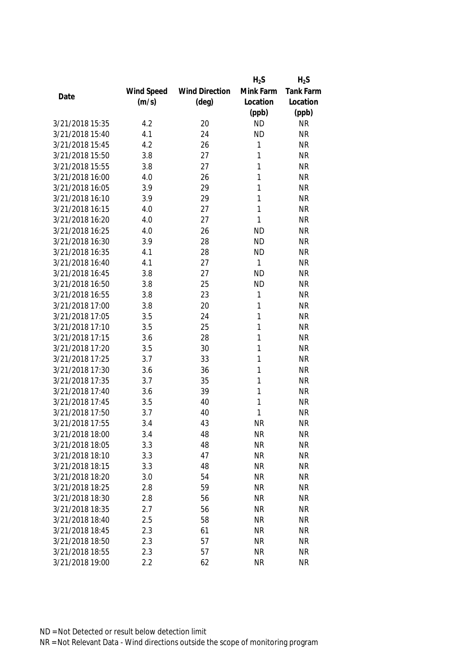|                 |            |                       | $H_2S$    | $H_2S$    |
|-----------------|------------|-----------------------|-----------|-----------|
|                 | Wind Speed | <b>Wind Direction</b> | Mink Farm | Tank Farm |
| Date            | (m/s)      | $(\text{deg})$        | Location  | Location  |
|                 |            |                       | (ppb)     | (ppb)     |
| 3/21/2018 15:35 | 4.2        | 20                    | <b>ND</b> | <b>NR</b> |
| 3/21/2018 15:40 | 4.1        | 24                    | <b>ND</b> | <b>NR</b> |
| 3/21/2018 15:45 | 4.2        | 26                    | 1         | <b>NR</b> |
| 3/21/2018 15:50 | 3.8        | 27                    | 1         | <b>NR</b> |
| 3/21/2018 15:55 | 3.8        | 27                    | 1         | <b>NR</b> |
| 3/21/2018 16:00 | 4.0        | 26                    | 1         | <b>NR</b> |
| 3/21/2018 16:05 | 3.9        | 29                    | 1         | <b>NR</b> |
| 3/21/2018 16:10 | 3.9        | 29                    | 1         | <b>NR</b> |
| 3/21/2018 16:15 | 4.0        | 27                    | 1         | <b>NR</b> |
| 3/21/2018 16:20 | 4.0        | 27                    | 1         | <b>NR</b> |
| 3/21/2018 16:25 | 4.0        | 26                    | <b>ND</b> | <b>NR</b> |
| 3/21/2018 16:30 | 3.9        | 28                    | <b>ND</b> | <b>NR</b> |
| 3/21/2018 16:35 | 4.1        | 28                    | <b>ND</b> | <b>NR</b> |
| 3/21/2018 16:40 | 4.1        | 27                    | 1         | <b>NR</b> |
| 3/21/2018 16:45 | 3.8        | 27                    | <b>ND</b> | <b>NR</b> |
| 3/21/2018 16:50 | 3.8        | 25                    | <b>ND</b> | <b>NR</b> |
| 3/21/2018 16:55 | 3.8        | 23                    | 1         | <b>NR</b> |
| 3/21/2018 17:00 | 3.8        | 20                    | 1         | <b>NR</b> |
| 3/21/2018 17:05 | 3.5        | 24                    | 1         | <b>NR</b> |
| 3/21/2018 17:10 | 3.5        | 25                    | 1         | <b>NR</b> |
| 3/21/2018 17:15 | 3.6        | 28                    | 1         | <b>NR</b> |
| 3/21/2018 17:20 | 3.5        | 30                    | 1         | <b>NR</b> |
| 3/21/2018 17:25 | 3.7        | 33                    | 1         | <b>NR</b> |
| 3/21/2018 17:30 | 3.6        | 36                    | 1         | <b>NR</b> |
| 3/21/2018 17:35 | 3.7        | 35                    | 1         | <b>NR</b> |
| 3/21/2018 17:40 | 3.6        | 39                    | 1         | <b>NR</b> |
| 3/21/2018 17:45 | 3.5        | 40                    | 1         | <b>NR</b> |
| 3/21/2018 17:50 | 3.7        | 40                    | 1         | <b>NR</b> |
| 3/21/2018 17:55 | 3.4        | 43                    | <b>NR</b> | <b>NR</b> |
| 3/21/2018 18:00 | 3.4        | 48                    | <b>NR</b> | <b>NR</b> |
| 3/21/2018 18:05 | 3.3        | 48                    | <b>NR</b> | <b>NR</b> |
| 3/21/2018 18:10 | 3.3        | 47                    | <b>NR</b> | <b>NR</b> |
| 3/21/2018 18:15 | 3.3        | 48                    | <b>NR</b> | <b>NR</b> |
| 3/21/2018 18:20 | 3.0        | 54                    | <b>NR</b> | <b>NR</b> |
| 3/21/2018 18:25 | 2.8        | 59                    | <b>NR</b> | <b>NR</b> |
| 3/21/2018 18:30 | 2.8        | 56                    | <b>NR</b> | <b>NR</b> |
| 3/21/2018 18:35 | 2.7        | 56                    | <b>NR</b> | <b>NR</b> |
| 3/21/2018 18:40 | 2.5        | 58                    | <b>NR</b> | <b>NR</b> |
| 3/21/2018 18:45 | 2.3        | 61                    | <b>NR</b> | <b>NR</b> |
| 3/21/2018 18:50 | 2.3        | 57                    | <b>NR</b> | <b>NR</b> |
| 3/21/2018 18:55 | 2.3        | 57                    | <b>NR</b> | <b>NR</b> |
| 3/21/2018 19:00 | 2.2        | 62                    | <b>NR</b> | <b>NR</b> |
|                 |            |                       |           |           |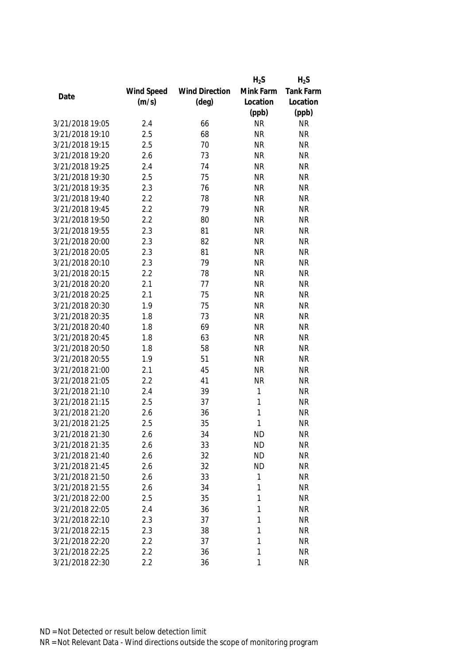|                 |            |                       | $H_2S$    | $H_2S$    |
|-----------------|------------|-----------------------|-----------|-----------|
|                 | Wind Speed | <b>Wind Direction</b> | Mink Farm | Tank Farm |
| Date            | (m/s)      | $(\text{deg})$        | Location  | Location  |
|                 |            |                       | (ppb)     | (ppb)     |
| 3/21/2018 19:05 | 2.4        | 66                    | <b>NR</b> | <b>NR</b> |
| 3/21/2018 19:10 | 2.5        | 68                    | <b>NR</b> | <b>NR</b> |
| 3/21/2018 19:15 | 2.5        | 70                    | <b>NR</b> | <b>NR</b> |
| 3/21/2018 19:20 | 2.6        | 73                    | <b>NR</b> | <b>NR</b> |
| 3/21/2018 19:25 | 2.4        | 74                    | <b>NR</b> | <b>NR</b> |
| 3/21/2018 19:30 | 2.5        | 75                    | <b>NR</b> | <b>NR</b> |
| 3/21/2018 19:35 | 2.3        | 76                    | <b>NR</b> | <b>NR</b> |
| 3/21/2018 19:40 | 2.2        | 78                    | <b>NR</b> | <b>NR</b> |
| 3/21/2018 19:45 | 2.2        | 79                    | <b>NR</b> | <b>NR</b> |
| 3/21/2018 19:50 | 2.2        | 80                    | <b>NR</b> | <b>NR</b> |
| 3/21/2018 19:55 | 2.3        | 81                    | <b>NR</b> | <b>NR</b> |
| 3/21/2018 20:00 | 2.3        | 82                    | <b>NR</b> | <b>NR</b> |
| 3/21/2018 20:05 | 2.3        | 81                    | <b>NR</b> | <b>NR</b> |
| 3/21/2018 20:10 | 2.3        | 79                    | <b>NR</b> | <b>NR</b> |
| 3/21/2018 20:15 | 2.2        | 78                    | <b>NR</b> | <b>NR</b> |
| 3/21/2018 20:20 | 2.1        | 77                    | <b>NR</b> | <b>NR</b> |
| 3/21/2018 20:25 | 2.1        | 75                    | <b>NR</b> | <b>NR</b> |
| 3/21/2018 20:30 | 1.9        | 75                    | <b>NR</b> | <b>NR</b> |
| 3/21/2018 20:35 | 1.8        | 73                    | <b>NR</b> | <b>NR</b> |
| 3/21/2018 20:40 | 1.8        | 69                    | <b>NR</b> | <b>NR</b> |
| 3/21/2018 20:45 | 1.8        | 63                    | <b>NR</b> | <b>NR</b> |
| 3/21/2018 20:50 | 1.8        | 58                    | <b>NR</b> | <b>NR</b> |
| 3/21/2018 20:55 | 1.9        | 51                    | <b>NR</b> | <b>NR</b> |
| 3/21/2018 21:00 | 2.1        | 45                    | <b>NR</b> | <b>NR</b> |
| 3/21/2018 21:05 | 2.2        | 41                    | <b>NR</b> | <b>NR</b> |
| 3/21/2018 21:10 | 2.4        | 39                    | 1         | <b>NR</b> |
| 3/21/2018 21:15 | 2.5        | 37                    | 1         | <b>NR</b> |
| 3/21/2018 21:20 | 2.6        | 36                    | 1         | <b>NR</b> |
| 3/21/2018 21:25 | 2.5        | 35                    | 1         | <b>NR</b> |
| 3/21/2018 21:30 | 2.6        | 34                    | <b>ND</b> | <b>NR</b> |
| 3/21/2018 21:35 | 2.6        | 33                    | <b>ND</b> | <b>NR</b> |
| 3/21/2018 21:40 | 2.6        | 32                    | <b>ND</b> | <b>NR</b> |
| 3/21/2018 21:45 | 2.6        | 32                    | <b>ND</b> | <b>NR</b> |
| 3/21/2018 21:50 | 2.6        | 33                    | 1         | <b>NR</b> |
| 3/21/2018 21:55 | 2.6        | 34                    | 1         | <b>NR</b> |
| 3/21/2018 22:00 | 2.5        | 35                    | 1         | <b>NR</b> |
| 3/21/2018 22:05 | 2.4        | 36                    | 1         | <b>NR</b> |
| 3/21/2018 22:10 | 2.3        | 37                    | 1         | <b>NR</b> |
| 3/21/2018 22:15 | 2.3        | 38                    | 1         | <b>NR</b> |
| 3/21/2018 22:20 | 2.2        | 37                    | 1         | <b>NR</b> |
| 3/21/2018 22:25 | 2.2        | 36                    | 1         | <b>NR</b> |
| 3/21/2018 22:30 | 2.2        | 36                    | 1         | <b>NR</b> |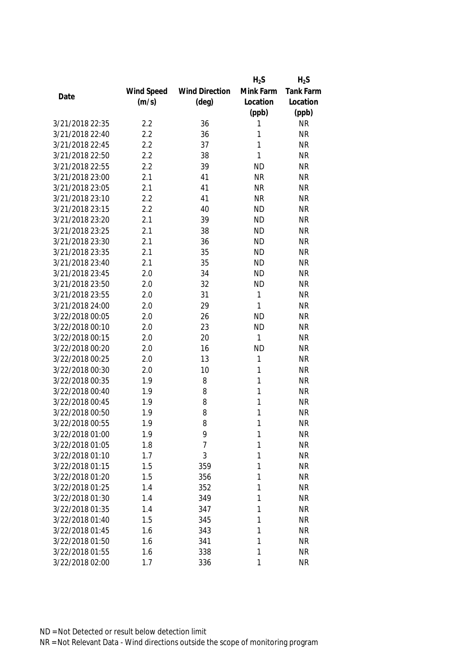|                 |            |                       | $H_2S$    | $H_2S$           |
|-----------------|------------|-----------------------|-----------|------------------|
|                 | Wind Speed | <b>Wind Direction</b> | Mink Farm | <b>Tank Farm</b> |
| Date            | (m/s)      | $(\text{deg})$        | Location  | Location         |
|                 |            |                       | (ppb)     | (ppb)            |
| 3/21/2018 22:35 | 2.2        | 36                    | 1         | <b>NR</b>        |
| 3/21/2018 22:40 | 2.2        | 36                    | 1         | <b>NR</b>        |
| 3/21/2018 22:45 | 2.2        | 37                    | 1         | <b>NR</b>        |
| 3/21/2018 22:50 | 2.2        | 38                    | 1         | <b>NR</b>        |
| 3/21/2018 22:55 | 2.2        | 39                    | <b>ND</b> | <b>NR</b>        |
| 3/21/2018 23:00 | 2.1        | 41                    | <b>NR</b> | <b>NR</b>        |
| 3/21/2018 23:05 | 2.1        | 41                    | <b>NR</b> | <b>NR</b>        |
| 3/21/2018 23:10 | 2.2        | 41                    | <b>NR</b> | <b>NR</b>        |
| 3/21/2018 23:15 | 2.2        | 40                    | <b>ND</b> | <b>NR</b>        |
| 3/21/2018 23:20 | 2.1        | 39                    | <b>ND</b> | <b>NR</b>        |
| 3/21/2018 23:25 | 2.1        | 38                    | <b>ND</b> | <b>NR</b>        |
| 3/21/2018 23:30 | 2.1        | 36                    | <b>ND</b> | <b>NR</b>        |
| 3/21/2018 23:35 | 2.1        | 35                    | <b>ND</b> | <b>NR</b>        |
| 3/21/2018 23:40 | 2.1        | 35                    | <b>ND</b> | <b>NR</b>        |
| 3/21/2018 23:45 | 2.0        | 34                    | <b>ND</b> | <b>NR</b>        |
| 3/21/2018 23:50 | 2.0        | 32                    | <b>ND</b> | <b>NR</b>        |
| 3/21/2018 23:55 | 2.0        | 31                    | 1         | <b>NR</b>        |
| 3/21/2018 24:00 | 2.0        | 29                    | 1         | <b>NR</b>        |
| 3/22/2018 00:05 | 2.0        | 26                    | <b>ND</b> | <b>NR</b>        |
| 3/22/2018 00:10 | 2.0        | 23                    | <b>ND</b> | <b>NR</b>        |
| 3/22/2018 00:15 | 2.0        | 20                    | 1         | <b>NR</b>        |
| 3/22/2018 00:20 | 2.0        | 16                    | <b>ND</b> | <b>NR</b>        |
| 3/22/2018 00:25 | 2.0        | 13                    | 1         | <b>NR</b>        |
| 3/22/2018 00:30 | 2.0        | 10                    | 1         | <b>NR</b>        |
| 3/22/2018 00:35 | 1.9        | 8                     | 1         | <b>NR</b>        |
| 3/22/2018 00:40 | 1.9        | 8                     | 1         | <b>NR</b>        |
| 3/22/2018 00:45 | 1.9        | 8                     | 1         | <b>NR</b>        |
| 3/22/2018 00:50 | 1.9        | 8                     | 1         | <b>NR</b>        |
| 3/22/2018 00:55 | 1.9        | 8                     | 1         | <b>NR</b>        |
| 3/22/2018 01:00 | 1.9        | 9                     | 1         | <b>NR</b>        |
| 3/22/2018 01:05 | 1.8        | 7                     | 1         | <b>NR</b>        |
| 3/22/2018 01:10 | 1.7        | 3                     | 1         | <b>NR</b>        |
| 3/22/2018 01:15 | 1.5        | 359                   | 1         | <b>NR</b>        |
| 3/22/2018 01:20 | 1.5        | 356                   | 1         | <b>NR</b>        |
| 3/22/2018 01:25 | 1.4        | 352                   | 1         | <b>NR</b>        |
| 3/22/2018 01:30 | 1.4        | 349                   | 1         | <b>NR</b>        |
| 3/22/2018 01:35 | 1.4        | 347                   | 1         | <b>NR</b>        |
| 3/22/2018 01:40 | 1.5        | 345                   | 1         | <b>NR</b>        |
| 3/22/2018 01:45 | 1.6        | 343                   | 1         | <b>NR</b>        |
| 3/22/2018 01:50 | 1.6        | 341                   | 1         | <b>NR</b>        |
| 3/22/2018 01:55 | 1.6        | 338                   | 1         | <b>NR</b>        |
|                 |            |                       |           |                  |
| 3/22/2018 02:00 | 1.7        | 336                   | 1         | <b>NR</b>        |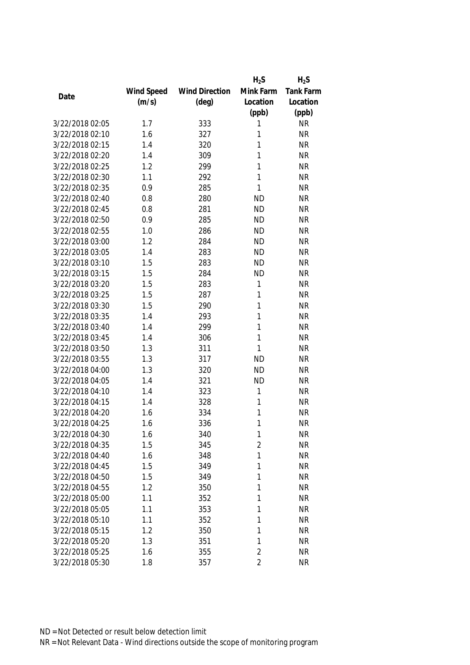|                 |            |                       | $H_2S$         | $H_2S$           |
|-----------------|------------|-----------------------|----------------|------------------|
|                 | Wind Speed | <b>Wind Direction</b> | Mink Farm      | <b>Tank Farm</b> |
| Date            | (m/s)      | $(\text{deg})$        | Location       | Location         |
|                 |            |                       | (ppb)          | (ppb)            |
| 3/22/2018 02:05 | 1.7        | 333                   | 1              | <b>NR</b>        |
| 3/22/2018 02:10 | 1.6        | 327                   | 1              | <b>NR</b>        |
| 3/22/2018 02:15 | 1.4        | 320                   | 1              | <b>NR</b>        |
| 3/22/2018 02:20 | 1.4        | 309                   | 1              | <b>NR</b>        |
| 3/22/2018 02:25 | 1.2        | 299                   | 1              | <b>NR</b>        |
| 3/22/2018 02:30 | 1.1        | 292                   | 1              | <b>NR</b>        |
| 3/22/2018 02:35 | 0.9        | 285                   | 1              | <b>NR</b>        |
| 3/22/2018 02:40 | 0.8        | 280                   | <b>ND</b>      | <b>NR</b>        |
| 3/22/2018 02:45 | 0.8        | 281                   | <b>ND</b>      | <b>NR</b>        |
| 3/22/2018 02:50 | 0.9        | 285                   | <b>ND</b>      | <b>NR</b>        |
| 3/22/2018 02:55 | 1.0        | 286                   | <b>ND</b>      | <b>NR</b>        |
| 3/22/2018 03:00 | 1.2        | 284                   | <b>ND</b>      | <b>NR</b>        |
| 3/22/2018 03:05 | 1.4        | 283                   | <b>ND</b>      | <b>NR</b>        |
| 3/22/2018 03:10 | 1.5        | 283                   | <b>ND</b>      | <b>NR</b>        |
| 3/22/2018 03:15 | 1.5        | 284                   | <b>ND</b>      | <b>NR</b>        |
| 3/22/2018 03:20 | 1.5        | 283                   | 1              | <b>NR</b>        |
| 3/22/2018 03:25 | 1.5        | 287                   | 1              | <b>NR</b>        |
| 3/22/2018 03:30 | 1.5        | 290                   | 1              | <b>NR</b>        |
| 3/22/2018 03:35 | 1.4        | 293                   | 1              | <b>NR</b>        |
| 3/22/2018 03:40 | 1.4        | 299                   | 1              | <b>NR</b>        |
| 3/22/2018 03:45 | 1.4        | 306                   | 1              | <b>NR</b>        |
| 3/22/2018 03:50 | 1.3        | 311                   | 1              | <b>NR</b>        |
| 3/22/2018 03:55 | 1.3        | 317                   | <b>ND</b>      | <b>NR</b>        |
| 3/22/2018 04:00 | 1.3        | 320                   | <b>ND</b>      | <b>NR</b>        |
| 3/22/2018 04:05 | 1.4        | 321                   | <b>ND</b>      | <b>NR</b>        |
| 3/22/2018 04:10 | 1.4        | 323                   | 1              | <b>NR</b>        |
| 3/22/2018 04:15 | 1.4        | 328                   | 1              | <b>NR</b>        |
| 3/22/2018 04:20 | 1.6        | 334                   | 1              | <b>NR</b>        |
| 3/22/2018 04:25 | 1.6        | 336                   | 1              | <b>NR</b>        |
| 3/22/2018 04:30 | 1.6        | 340                   | 1              | <b>NR</b>        |
| 3/22/2018 04:35 | 1.5        | 345                   | $\overline{2}$ | <b>NR</b>        |
| 3/22/2018 04:40 | 1.6        | 348                   | 1              | <b>NR</b>        |
| 3/22/2018 04:45 | 1.5        | 349                   | 1              | <b>NR</b>        |
| 3/22/2018 04:50 | 1.5        | 349                   | 1              | <b>NR</b>        |
| 3/22/2018 04:55 | 1.2        | 350                   | 1              | <b>NR</b>        |
| 3/22/2018 05:00 | 1.1        | 352                   | 1              | <b>NR</b>        |
| 3/22/2018 05:05 | 1.1        | 353                   | 1              | <b>NR</b>        |
| 3/22/2018 05:10 | 1.1        | 352                   | 1              | <b>NR</b>        |
| 3/22/2018 05:15 | 1.2        | 350                   | 1              | <b>NR</b>        |
| 3/22/2018 05:20 | 1.3        | 351                   | 1              | <b>NR</b>        |
| 3/22/2018 05:25 | 1.6        | 355                   | $\overline{2}$ | <b>NR</b>        |
| 3/22/2018 05:30 | 1.8        | 357                   | $\overline{2}$ | <b>NR</b>        |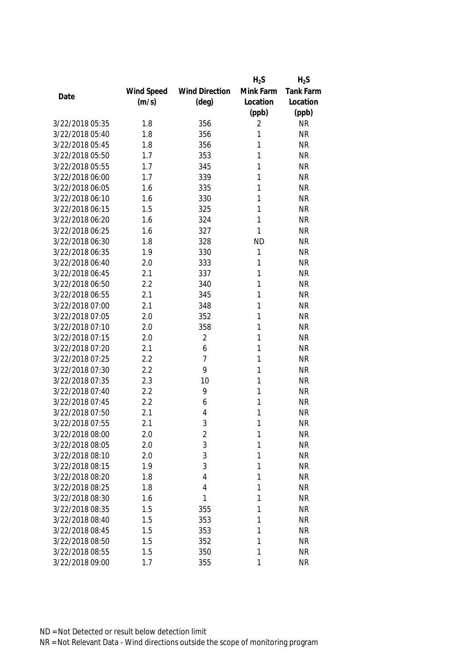|                 |            |                       | $H_2S$    | $H_2S$           |
|-----------------|------------|-----------------------|-----------|------------------|
|                 | Wind Speed | <b>Wind Direction</b> | Mink Farm | <b>Tank Farm</b> |
| Date            | (m/s)      | $(\text{deg})$        | Location  | Location         |
|                 |            |                       | (ppb)     | (ppb)            |
| 3/22/2018 05:35 | 1.8        | 356                   | 2         | <b>NR</b>        |
| 3/22/2018 05:40 | 1.8        | 356                   | 1         | <b>NR</b>        |
| 3/22/2018 05:45 | 1.8        | 356                   | 1         | <b>NR</b>        |
| 3/22/2018 05:50 | 1.7        | 353                   | 1         | <b>NR</b>        |
| 3/22/2018 05:55 | 1.7        | 345                   | 1         | <b>NR</b>        |
| 3/22/2018 06:00 | 1.7        | 339                   | 1         | <b>NR</b>        |
| 3/22/2018 06:05 | 1.6        | 335                   | 1         | <b>NR</b>        |
| 3/22/2018 06:10 | 1.6        | 330                   | 1         | <b>NR</b>        |
| 3/22/2018 06:15 | 1.5        | 325                   | 1         | <b>NR</b>        |
| 3/22/2018 06:20 | 1.6        | 324                   | 1         | <b>NR</b>        |
| 3/22/2018 06:25 | 1.6        | 327                   | 1         | <b>NR</b>        |
| 3/22/2018 06:30 | 1.8        | 328                   | <b>ND</b> | <b>NR</b>        |
| 3/22/2018 06:35 | 1.9        | 330                   | 1         | <b>NR</b>        |
| 3/22/2018 06:40 | 2.0        | 333                   | 1         | <b>NR</b>        |
| 3/22/2018 06:45 | 2.1        | 337                   | 1         | <b>NR</b>        |
| 3/22/2018 06:50 | 2.2        | 340                   | 1         | <b>NR</b>        |
| 3/22/2018 06:55 | 2.1        | 345                   | 1         | <b>NR</b>        |
| 3/22/2018 07:00 | 2.1        | 348                   | 1         | <b>NR</b>        |
| 3/22/2018 07:05 | 2.0        | 352                   | 1         | <b>NR</b>        |
| 3/22/2018 07:10 | 2.0        | 358                   | 1         | <b>NR</b>        |
| 3/22/2018 07:15 | 2.0        | $\overline{2}$        | 1         | <b>NR</b>        |
| 3/22/2018 07:20 | 2.1        | 6                     | 1         | <b>NR</b>        |
| 3/22/2018 07:25 | 2.2        | 7                     | 1         | <b>NR</b>        |
| 3/22/2018 07:30 | 2.2        | 9                     | 1         | <b>NR</b>        |
| 3/22/2018 07:35 | 2.3        | 10                    | 1         | <b>NR</b>        |
| 3/22/2018 07:40 | 2.2        | 9                     | 1         | <b>NR</b>        |
| 3/22/2018 07:45 | 2.2        | 6                     | 1         | <b>NR</b>        |
| 3/22/2018 07:50 | 2.1        | 4                     | 1         | <b>NR</b>        |
| 3/22/2018 07:55 | 2.1        | 3                     | 1         | <b>NR</b>        |
| 3/22/2018 08:00 | 2.0        | 2                     | 1         | <b>NR</b>        |
| 3/22/2018 08:05 | 2.0        | 3                     | 1         | <b>NR</b>        |
| 3/22/2018 08:10 | 2.0        | 3                     | 1         | <b>NR</b>        |
| 3/22/2018 08:15 | 1.9        | 3                     | 1         | <b>NR</b>        |
| 3/22/2018 08:20 | 1.8        | 4                     | 1         | <b>NR</b>        |
| 3/22/2018 08:25 | 1.8        | 4                     | 1         | <b>NR</b>        |
| 3/22/2018 08:30 | 1.6        | 1                     | 1         | <b>NR</b>        |
| 3/22/2018 08:35 | 1.5        | 355                   | 1         | <b>NR</b>        |
| 3/22/2018 08:40 | 1.5        | 353                   | 1         | <b>NR</b>        |
| 3/22/2018 08:45 | 1.5        | 353                   | 1         | <b>NR</b>        |
| 3/22/2018 08:50 | 1.5        | 352                   | 1         | <b>NR</b>        |
| 3/22/2018 08:55 | 1.5        | 350                   | 1         | <b>NR</b>        |
| 3/22/2018 09:00 | 1.7        | 355                   | 1         | <b>NR</b>        |
|                 |            |                       |           |                  |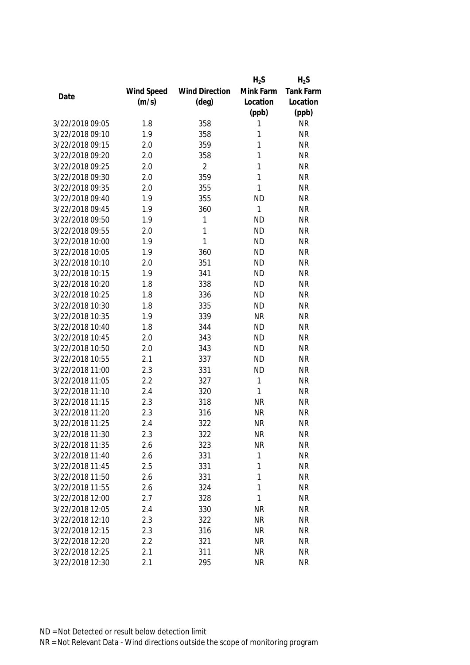|                 |            |                       | $H_2S$    | $H_2S$           |
|-----------------|------------|-----------------------|-----------|------------------|
|                 | Wind Speed | <b>Wind Direction</b> | Mink Farm | <b>Tank Farm</b> |
| Date            | (m/s)      | $(\text{deg})$        | Location  | Location         |
|                 |            |                       | (ppb)     | (ppb)            |
| 3/22/2018 09:05 | 1.8        | 358                   | 1         | <b>NR</b>        |
| 3/22/2018 09:10 | 1.9        | 358                   | 1         | <b>NR</b>        |
| 3/22/2018 09:15 | 2.0        | 359                   | 1         | <b>NR</b>        |
| 3/22/2018 09:20 | 2.0        | 358                   | 1         | <b>NR</b>        |
| 3/22/2018 09:25 | 2.0        | $\overline{2}$        | 1         | <b>NR</b>        |
| 3/22/2018 09:30 | 2.0        | 359                   | 1         | <b>NR</b>        |
| 3/22/2018 09:35 | 2.0        | 355                   | 1         | <b>NR</b>        |
| 3/22/2018 09:40 | 1.9        | 355                   | <b>ND</b> | <b>NR</b>        |
| 3/22/2018 09:45 | 1.9        | 360                   | 1         | <b>NR</b>        |
| 3/22/2018 09:50 | 1.9        | 1                     | <b>ND</b> | <b>NR</b>        |
| 3/22/2018 09:55 | 2.0        | 1                     | <b>ND</b> | <b>NR</b>        |
| 3/22/2018 10:00 | 1.9        | 1                     | <b>ND</b> | <b>NR</b>        |
| 3/22/2018 10:05 | 1.9        | 360                   | <b>ND</b> | <b>NR</b>        |
| 3/22/2018 10:10 | 2.0        | 351                   | <b>ND</b> | <b>NR</b>        |
| 3/22/2018 10:15 | 1.9        | 341                   | <b>ND</b> | <b>NR</b>        |
| 3/22/2018 10:20 | 1.8        | 338                   | <b>ND</b> | <b>NR</b>        |
| 3/22/2018 10:25 | 1.8        | 336                   | <b>ND</b> | <b>NR</b>        |
| 3/22/2018 10:30 | 1.8        | 335                   | <b>ND</b> | <b>NR</b>        |
| 3/22/2018 10:35 | 1.9        | 339                   | <b>NR</b> | <b>NR</b>        |
| 3/22/2018 10:40 | 1.8        | 344                   | <b>ND</b> | <b>NR</b>        |
| 3/22/2018 10:45 | 2.0        | 343                   | <b>ND</b> | <b>NR</b>        |
| 3/22/2018 10:50 | 2.0        | 343                   | <b>ND</b> | <b>NR</b>        |
| 3/22/2018 10:55 | 2.1        | 337                   | <b>ND</b> | <b>NR</b>        |
| 3/22/2018 11:00 | 2.3        | 331                   | <b>ND</b> | <b>NR</b>        |
| 3/22/2018 11:05 | 2.2        | 327                   | 1         | <b>NR</b>        |
| 3/22/2018 11:10 | 2.4        | 320                   | 1         | <b>NR</b>        |
| 3/22/2018 11:15 | 2.3        | 318                   | <b>NR</b> | <b>NR</b>        |
| 3/22/2018 11:20 | 2.3        | 316                   | <b>NR</b> | <b>NR</b>        |
| 3/22/2018 11:25 | 2.4        | 322                   | <b>NR</b> | <b>NR</b>        |
| 3/22/2018 11:30 | 2.3        | 322                   | <b>NR</b> | <b>NR</b>        |
| 3/22/2018 11:35 | 2.6        | 323                   | <b>NR</b> | <b>NR</b>        |
| 3/22/2018 11:40 | 2.6        | 331                   | 1         | <b>NR</b>        |
| 3/22/2018 11:45 | 2.5        | 331                   | 1         | <b>NR</b>        |
| 3/22/2018 11:50 | 2.6        | 331                   | 1         | <b>NR</b>        |
| 3/22/2018 11:55 | 2.6        | 324                   | 1         | <b>NR</b>        |
| 3/22/2018 12:00 | 2.7        | 328                   | 1         | <b>NR</b>        |
| 3/22/2018 12:05 | 2.4        | 330                   | <b>NR</b> | <b>NR</b>        |
| 3/22/2018 12:10 | 2.3        | 322                   | <b>NR</b> | <b>NR</b>        |
| 3/22/2018 12:15 | 2.3        | 316                   | <b>NR</b> | <b>NR</b>        |
| 3/22/2018 12:20 | 2.2        | 321                   | <b>NR</b> | <b>NR</b>        |
| 3/22/2018 12:25 | 2.1        | 311                   | <b>NR</b> | NR               |
| 3/22/2018 12:30 | 2.1        | 295                   | <b>NR</b> | <b>NR</b>        |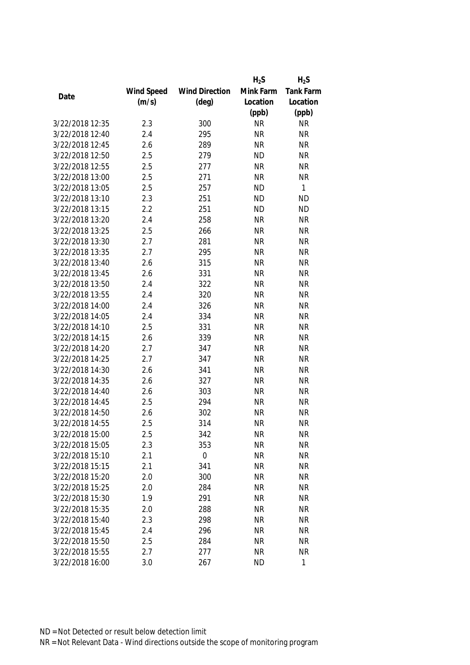|                 |            |                       | $H_2S$    | $H_2S$    |
|-----------------|------------|-----------------------|-----------|-----------|
|                 | Wind Speed | <b>Wind Direction</b> | Mink Farm | Tank Farm |
| Date            | (m/s)      | $(\text{deg})$        | Location  | Location  |
|                 |            |                       | (ppb)     | (ppb)     |
| 3/22/2018 12:35 | 2.3        | 300                   | <b>NR</b> | <b>NR</b> |
| 3/22/2018 12:40 | 2.4        | 295                   | <b>NR</b> | <b>NR</b> |
| 3/22/2018 12:45 | 2.6        | 289                   | <b>NR</b> | <b>NR</b> |
| 3/22/2018 12:50 | 2.5        | 279                   | <b>ND</b> | <b>NR</b> |
| 3/22/2018 12:55 | 2.5        | 277                   | <b>NR</b> | <b>NR</b> |
| 3/22/2018 13:00 | 2.5        | 271                   | <b>NR</b> | <b>NR</b> |
| 3/22/2018 13:05 | 2.5        | 257                   | <b>ND</b> | 1         |
| 3/22/2018 13:10 | 2.3        | 251                   | <b>ND</b> | <b>ND</b> |
| 3/22/2018 13:15 | 2.2        | 251                   | <b>ND</b> | <b>ND</b> |
| 3/22/2018 13:20 | 2.4        | 258                   | <b>NR</b> | <b>NR</b> |
| 3/22/2018 13:25 | 2.5        | 266                   | <b>NR</b> | <b>NR</b> |
| 3/22/2018 13:30 | 2.7        | 281                   | <b>NR</b> | <b>NR</b> |
| 3/22/2018 13:35 | 2.7        | 295                   | <b>NR</b> | <b>NR</b> |
| 3/22/2018 13:40 | 2.6        | 315                   | <b>NR</b> | <b>NR</b> |
| 3/22/2018 13:45 | 2.6        | 331                   | <b>NR</b> | <b>NR</b> |
| 3/22/2018 13:50 | 2.4        | 322                   | <b>NR</b> | <b>NR</b> |
| 3/22/2018 13:55 | 2.4        | 320                   | <b>NR</b> | <b>NR</b> |
| 3/22/2018 14:00 | 2.4        | 326                   | <b>NR</b> | <b>NR</b> |
| 3/22/2018 14:05 | 2.4        | 334                   | <b>NR</b> | <b>NR</b> |
| 3/22/2018 14:10 | 2.5        | 331                   | <b>NR</b> | <b>NR</b> |
| 3/22/2018 14:15 | 2.6        | 339                   | <b>NR</b> | <b>NR</b> |
| 3/22/2018 14:20 | 2.7        | 347                   | <b>NR</b> | <b>NR</b> |
| 3/22/2018 14:25 | 2.7        | 347                   | <b>NR</b> | <b>NR</b> |
| 3/22/2018 14:30 | 2.6        | 341                   | <b>NR</b> | <b>NR</b> |
| 3/22/2018 14:35 | 2.6        | 327                   | <b>NR</b> | <b>NR</b> |
| 3/22/2018 14:40 | 2.6        | 303                   | <b>NR</b> | <b>NR</b> |
| 3/22/2018 14:45 | 2.5        | 294                   | <b>NR</b> | <b>NR</b> |
| 3/22/2018 14:50 | 2.6        | 302                   | <b>NR</b> | <b>NR</b> |
| 3/22/2018 14:55 | 2.5        | 314                   | <b>NR</b> | <b>NR</b> |
| 3/22/2018 15:00 | 2.5        | 342                   | <b>NR</b> | <b>NR</b> |
| 3/22/2018 15:05 | 2.3        | 353                   | <b>NR</b> | <b>NR</b> |
| 3/22/2018 15:10 | 2.1        | $\boldsymbol{0}$      | <b>NR</b> | <b>NR</b> |
| 3/22/2018 15:15 | 2.1        | 341                   | <b>NR</b> | <b>NR</b> |
| 3/22/2018 15:20 | 2.0        | 300                   | <b>NR</b> | <b>NR</b> |
| 3/22/2018 15:25 | 2.0        | 284                   | <b>NR</b> | <b>NR</b> |
| 3/22/2018 15:30 | 1.9        | 291                   | <b>NR</b> | <b>NR</b> |
| 3/22/2018 15:35 | 2.0        | 288                   | <b>NR</b> | <b>NR</b> |
| 3/22/2018 15:40 | 2.3        | 298                   | <b>NR</b> | <b>NR</b> |
| 3/22/2018 15:45 | 2.4        | 296                   | <b>NR</b> | <b>NR</b> |
| 3/22/2018 15:50 | 2.5        | 284                   | <b>NR</b> | <b>NR</b> |
| 3/22/2018 15:55 | 2.7        | 277                   | <b>NR</b> | <b>NR</b> |
|                 |            |                       |           |           |
| 3/22/2018 16:00 | 3.0        | 267                   | <b>ND</b> | 1         |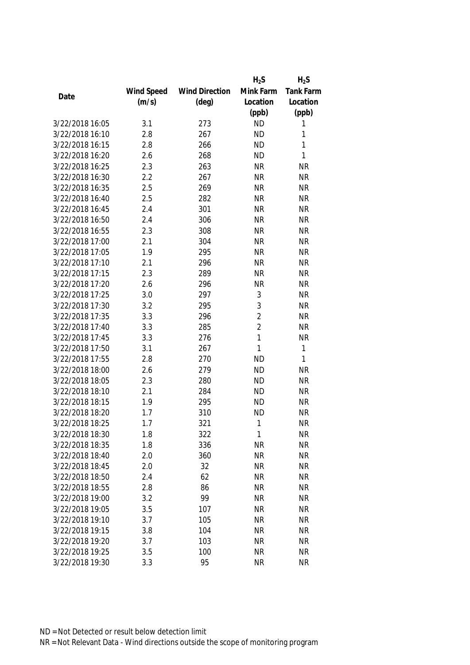|                 |            |                       | $H_2S$         | $H_2S$    |
|-----------------|------------|-----------------------|----------------|-----------|
|                 | Wind Speed | <b>Wind Direction</b> | Mink Farm      | Tank Farm |
| Date            | (m/s)      | $(\text{deg})$        | Location       | Location  |
|                 |            |                       | (ppb)          | (ppb)     |
| 3/22/2018 16:05 | 3.1        | 273                   | <b>ND</b>      | 1         |
| 3/22/2018 16:10 | 2.8        | 267                   | <b>ND</b>      | 1         |
| 3/22/2018 16:15 | 2.8        | 266                   | <b>ND</b>      | 1         |
| 3/22/2018 16:20 | 2.6        | 268                   | <b>ND</b>      | 1         |
| 3/22/2018 16:25 | 2.3        | 263                   | <b>NR</b>      | <b>NR</b> |
| 3/22/2018 16:30 | 2.2        | 267                   | <b>NR</b>      | <b>NR</b> |
| 3/22/2018 16:35 | 2.5        | 269                   | <b>NR</b>      | <b>NR</b> |
| 3/22/2018 16:40 | 2.5        | 282                   | <b>NR</b>      | <b>NR</b> |
| 3/22/2018 16:45 | 2.4        | 301                   | <b>NR</b>      | <b>NR</b> |
| 3/22/2018 16:50 | 2.4        | 306                   | <b>NR</b>      | <b>NR</b> |
| 3/22/2018 16:55 | 2.3        | 308                   | <b>NR</b>      | <b>NR</b> |
| 3/22/2018 17:00 | 2.1        | 304                   | <b>NR</b>      | <b>NR</b> |
| 3/22/2018 17:05 | 1.9        | 295                   | <b>NR</b>      | <b>NR</b> |
| 3/22/2018 17:10 | 2.1        | 296                   | <b>NR</b>      | <b>NR</b> |
| 3/22/2018 17:15 | 2.3        | 289                   | <b>NR</b>      | <b>NR</b> |
| 3/22/2018 17:20 | 2.6        | 296                   | <b>NR</b>      | <b>NR</b> |
| 3/22/2018 17:25 | 3.0        | 297                   | 3              | <b>NR</b> |
| 3/22/2018 17:30 | 3.2        | 295                   | 3              | <b>NR</b> |
| 3/22/2018 17:35 | 3.3        | 296                   | $\overline{2}$ | <b>NR</b> |
| 3/22/2018 17:40 | 3.3        | 285                   | $\overline{2}$ | <b>NR</b> |
| 3/22/2018 17:45 | 3.3        | 276                   | 1              | <b>NR</b> |
| 3/22/2018 17:50 | 3.1        | 267                   | 1              | 1         |
| 3/22/2018 17:55 | 2.8        | 270                   | <b>ND</b>      | 1         |
| 3/22/2018 18:00 | 2.6        | 279                   | <b>ND</b>      | <b>NR</b> |
| 3/22/2018 18:05 | 2.3        | 280                   | <b>ND</b>      | <b>NR</b> |
| 3/22/2018 18:10 | 2.1        | 284                   | <b>ND</b>      | <b>NR</b> |
| 3/22/2018 18:15 | 1.9        | 295                   | <b>ND</b>      | <b>NR</b> |
| 3/22/2018 18:20 | 1.7        | 310                   | <b>ND</b>      | <b>NR</b> |
| 3/22/2018 18:25 | 1.7        | 321                   | 1              | <b>NR</b> |
| 3/22/2018 18:30 | 1.8        | 322                   | 1              | <b>NR</b> |
| 3/22/2018 18:35 | 1.8        | 336                   | <b>NR</b>      | <b>NR</b> |
| 3/22/2018 18:40 | 2.0        | 360                   | <b>NR</b>      | <b>NR</b> |
| 3/22/2018 18:45 | 2.0        | 32                    | <b>NR</b>      | <b>NR</b> |
| 3/22/2018 18:50 | 2.4        | 62                    | <b>NR</b>      | <b>NR</b> |
| 3/22/2018 18:55 | 2.8        | 86                    | <b>NR</b>      | <b>NR</b> |
| 3/22/2018 19:00 | 3.2        | 99                    | <b>NR</b>      | <b>NR</b> |
| 3/22/2018 19:05 | 3.5        | 107                   | <b>NR</b>      | <b>NR</b> |
| 3/22/2018 19:10 | 3.7        | 105                   | <b>NR</b>      | <b>NR</b> |
| 3/22/2018 19:15 | 3.8        | 104                   | <b>NR</b>      | <b>NR</b> |
| 3/22/2018 19:20 | 3.7        | 103                   | <b>NR</b>      | <b>NR</b> |
| 3/22/2018 19:25 | 3.5        | 100                   | <b>NR</b>      | <b>NR</b> |
| 3/22/2018 19:30 | 3.3        | 95                    | <b>NR</b>      | <b>NR</b> |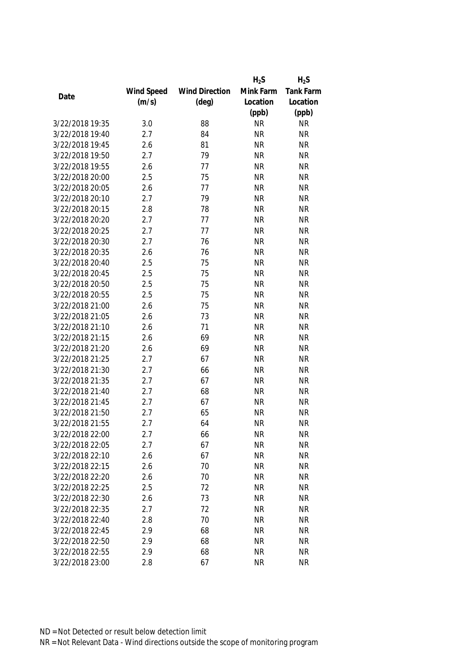|                 |            |                       | $H_2S$    | $H_2S$           |
|-----------------|------------|-----------------------|-----------|------------------|
|                 | Wind Speed | <b>Wind Direction</b> | Mink Farm | <b>Tank Farm</b> |
| Date            | (m/s)      | $(\text{deg})$        | Location  | Location         |
|                 |            |                       | (ppb)     | (ppb)            |
| 3/22/2018 19:35 | 3.0        | 88                    | <b>NR</b> | <b>NR</b>        |
| 3/22/2018 19:40 | 2.7        | 84                    | <b>NR</b> | <b>NR</b>        |
| 3/22/2018 19:45 | 2.6        | 81                    | <b>NR</b> | <b>NR</b>        |
| 3/22/2018 19:50 | 2.7        | 79                    | <b>NR</b> | <b>NR</b>        |
| 3/22/2018 19:55 | 2.6        | 77                    | <b>NR</b> | <b>NR</b>        |
| 3/22/2018 20:00 | 2.5        | 75                    | <b>NR</b> | <b>NR</b>        |
| 3/22/2018 20:05 | 2.6        | 77                    | <b>NR</b> | <b>NR</b>        |
| 3/22/2018 20:10 | 2.7        | 79                    | <b>NR</b> | <b>NR</b>        |
| 3/22/2018 20:15 | 2.8        | 78                    | <b>NR</b> | <b>NR</b>        |
| 3/22/2018 20:20 | 2.7        | 77                    | <b>NR</b> | <b>NR</b>        |
| 3/22/2018 20:25 | 2.7        | 77                    | <b>NR</b> | <b>NR</b>        |
| 3/22/2018 20:30 | 2.7        | 76                    | <b>NR</b> | <b>NR</b>        |
| 3/22/2018 20:35 | 2.6        | 76                    | <b>NR</b> | <b>NR</b>        |
| 3/22/2018 20:40 | 2.5        | 75                    | <b>NR</b> | <b>NR</b>        |
| 3/22/2018 20:45 | 2.5        | 75                    | <b>NR</b> | <b>NR</b>        |
| 3/22/2018 20:50 | 2.5        | 75                    | <b>NR</b> | <b>NR</b>        |
| 3/22/2018 20:55 | 2.5        | 75                    | <b>NR</b> | <b>NR</b>        |
| 3/22/2018 21:00 | 2.6        | 75                    | <b>NR</b> | <b>NR</b>        |
| 3/22/2018 21:05 | 2.6        | 73                    | <b>NR</b> | <b>NR</b>        |
| 3/22/2018 21:10 | 2.6        | 71                    | <b>NR</b> | <b>NR</b>        |
| 3/22/2018 21:15 | 2.6        | 69                    | <b>NR</b> | <b>NR</b>        |
| 3/22/2018 21:20 | 2.6        | 69                    | <b>NR</b> | <b>NR</b>        |
| 3/22/2018 21:25 | 2.7        | 67                    | <b>NR</b> | <b>NR</b>        |
| 3/22/2018 21:30 | 2.7        | 66                    | <b>NR</b> | <b>NR</b>        |
| 3/22/2018 21:35 | 2.7        | 67                    | <b>NR</b> | <b>NR</b>        |
| 3/22/2018 21:40 | 2.7        | 68                    | <b>NR</b> | <b>NR</b>        |
| 3/22/2018 21:45 | 2.7        | 67                    | <b>NR</b> | <b>NR</b>        |
| 3/22/2018 21:50 | 2.7        | 65                    | <b>NR</b> | <b>NR</b>        |
| 3/22/2018 21:55 | 2.7        | 64                    | <b>NR</b> | <b>NR</b>        |
| 3/22/2018 22:00 | 2.7        | 66                    | <b>NR</b> | <b>NR</b>        |
| 3/22/2018 22:05 | 2.7        | 67                    | <b>NR</b> | <b>NR</b>        |
| 3/22/2018 22:10 | 2.6        | 67                    | <b>NR</b> | <b>NR</b>        |
| 3/22/2018 22:15 | 2.6        | 70                    | <b>NR</b> | <b>NR</b>        |
| 3/22/2018 22:20 | 2.6        | 70                    | <b>NR</b> | <b>NR</b>        |
| 3/22/2018 22:25 | 2.5        | 72                    | <b>NR</b> | <b>NR</b>        |
| 3/22/2018 22:30 | 2.6        | 73                    | <b>NR</b> | <b>NR</b>        |
| 3/22/2018 22:35 | 2.7        | 72                    | <b>NR</b> | <b>NR</b>        |
| 3/22/2018 22:40 | 2.8        | 70                    | <b>NR</b> | <b>NR</b>        |
| 3/22/2018 22:45 | 2.9        | 68                    | <b>NR</b> | <b>NR</b>        |
| 3/22/2018 22:50 | 2.9        | 68                    | <b>NR</b> | <b>NR</b>        |
| 3/22/2018 22:55 | 2.9        | 68                    | <b>NR</b> | NR               |
| 3/22/2018 23:00 | 2.8        | 67                    | <b>NR</b> | <b>NR</b>        |
|                 |            |                       |           |                  |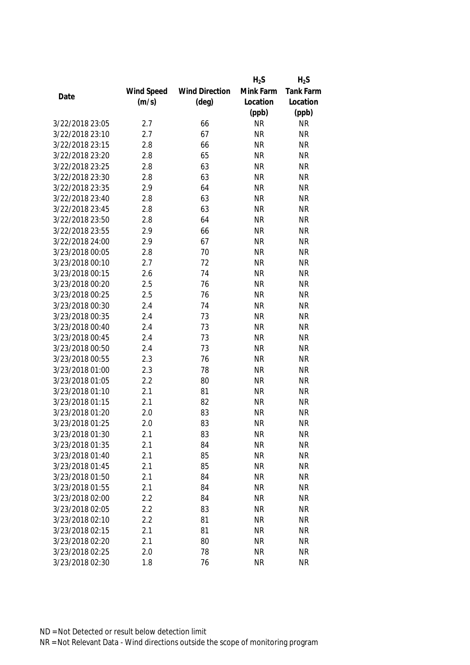|                 |            |                       | $H_2S$    | $H_2S$           |
|-----------------|------------|-----------------------|-----------|------------------|
|                 | Wind Speed | <b>Wind Direction</b> | Mink Farm | <b>Tank Farm</b> |
| Date            | (m/s)      | $(\text{deg})$        | Location  | Location         |
|                 |            |                       | (ppb)     | (ppb)            |
| 3/22/2018 23:05 | 2.7        | 66                    | <b>NR</b> | <b>NR</b>        |
| 3/22/2018 23:10 | 2.7        | 67                    | <b>NR</b> | <b>NR</b>        |
| 3/22/2018 23:15 | 2.8        | 66                    | <b>NR</b> | <b>NR</b>        |
| 3/22/2018 23:20 | 2.8        | 65                    | <b>NR</b> | <b>NR</b>        |
| 3/22/2018 23:25 | 2.8        | 63                    | <b>NR</b> | <b>NR</b>        |
| 3/22/2018 23:30 | 2.8        | 63                    | <b>NR</b> | <b>NR</b>        |
| 3/22/2018 23:35 | 2.9        | 64                    | <b>NR</b> | <b>NR</b>        |
| 3/22/2018 23:40 | 2.8        | 63                    | <b>NR</b> | <b>NR</b>        |
| 3/22/2018 23:45 | 2.8        | 63                    | <b>NR</b> | <b>NR</b>        |
| 3/22/2018 23:50 | 2.8        | 64                    | <b>NR</b> | <b>NR</b>        |
| 3/22/2018 23:55 | 2.9        | 66                    | <b>NR</b> | <b>NR</b>        |
| 3/22/2018 24:00 | 2.9        | 67                    | <b>NR</b> | <b>NR</b>        |
| 3/23/2018 00:05 | 2.8        | 70                    | <b>NR</b> | <b>NR</b>        |
| 3/23/2018 00:10 | 2.7        | 72                    | <b>NR</b> | <b>NR</b>        |
| 3/23/2018 00:15 | 2.6        | 74                    | <b>NR</b> | <b>NR</b>        |
| 3/23/2018 00:20 | 2.5        | 76                    | <b>NR</b> | <b>NR</b>        |
| 3/23/2018 00:25 | 2.5        | 76                    | <b>NR</b> | <b>NR</b>        |
| 3/23/2018 00:30 | 2.4        | 74                    | <b>NR</b> | <b>NR</b>        |
| 3/23/2018 00:35 | 2.4        | 73                    | <b>NR</b> | <b>NR</b>        |
| 3/23/2018 00:40 | 2.4        | 73                    | <b>NR</b> | <b>NR</b>        |
| 3/23/2018 00:45 | 2.4        | 73                    | <b>NR</b> | <b>NR</b>        |
| 3/23/2018 00:50 | 2.4        | 73                    | <b>NR</b> | <b>NR</b>        |
| 3/23/2018 00:55 | 2.3        | 76                    | <b>NR</b> | <b>NR</b>        |
| 3/23/2018 01:00 | 2.3        | 78                    | <b>NR</b> | <b>NR</b>        |
| 3/23/2018 01:05 | 2.2        | 80                    | <b>NR</b> | <b>NR</b>        |
| 3/23/2018 01:10 | 2.1        | 81                    | <b>NR</b> | <b>NR</b>        |
| 3/23/2018 01:15 | 2.1        | 82                    | <b>NR</b> | <b>NR</b>        |
| 3/23/2018 01:20 | 2.0        | 83                    | <b>NR</b> | <b>NR</b>        |
| 3/23/2018 01:25 | 2.0        | 83                    | <b>NR</b> | <b>NR</b>        |
| 3/23/2018 01:30 | 2.1        | 83                    | <b>NR</b> | <b>NR</b>        |
| 3/23/2018 01:35 | 2.1        | 84                    | <b>NR</b> | <b>NR</b>        |
| 3/23/2018 01:40 | 2.1        | 85                    | <b>NR</b> | <b>NR</b>        |
| 3/23/2018 01:45 | 2.1        | 85                    | <b>NR</b> | <b>NR</b>        |
| 3/23/2018 01:50 | 2.1        | 84                    | <b>NR</b> | <b>NR</b>        |
| 3/23/2018 01:55 | 2.1        | 84                    | <b>NR</b> | <b>NR</b>        |
| 3/23/2018 02:00 | 2.2        | 84                    | <b>NR</b> | <b>NR</b>        |
| 3/23/2018 02:05 | 2.2        | 83                    | <b>NR</b> | <b>NR</b>        |
| 3/23/2018 02:10 | 2.2        | 81                    | <b>NR</b> | <b>NR</b>        |
| 3/23/2018 02:15 | 2.1        | 81                    | <b>NR</b> | <b>NR</b>        |
| 3/23/2018 02:20 | 2.1        | 80                    | <b>NR</b> | <b>NR</b>        |
| 3/23/2018 02:25 | 2.0        | 78                    | <b>NR</b> | <b>NR</b>        |
|                 |            |                       |           |                  |
| 3/23/2018 02:30 | 1.8        | 76                    | <b>NR</b> | <b>NR</b>        |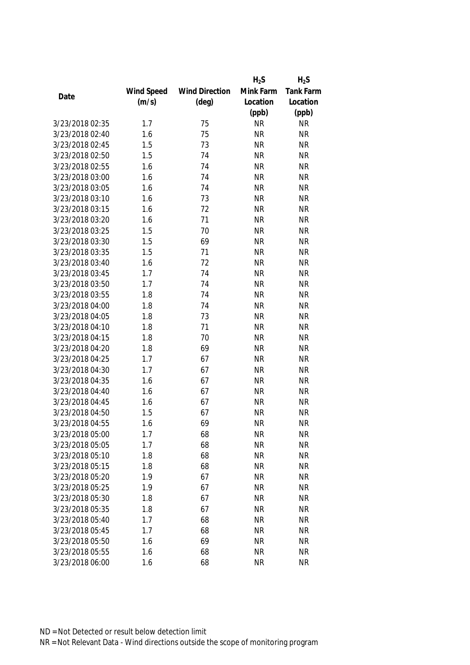|                 |            |                       | $H_2S$    | $H_2S$           |
|-----------------|------------|-----------------------|-----------|------------------|
|                 | Wind Speed | <b>Wind Direction</b> | Mink Farm | <b>Tank Farm</b> |
| Date            | (m/s)      | $(\text{deg})$        | Location  | Location         |
|                 |            |                       | (ppb)     | (ppb)            |
| 3/23/2018 02:35 | 1.7        | 75                    | <b>NR</b> | <b>NR</b>        |
| 3/23/2018 02:40 | 1.6        | 75                    | <b>NR</b> | <b>NR</b>        |
| 3/23/2018 02:45 | 1.5        | 73                    | <b>NR</b> | <b>NR</b>        |
| 3/23/2018 02:50 | 1.5        | 74                    | <b>NR</b> | <b>NR</b>        |
| 3/23/2018 02:55 | 1.6        | 74                    | <b>NR</b> | <b>NR</b>        |
| 3/23/2018 03:00 | 1.6        | 74                    | <b>NR</b> | <b>NR</b>        |
| 3/23/2018 03:05 | 1.6        | 74                    | <b>NR</b> | <b>NR</b>        |
| 3/23/2018 03:10 | 1.6        | 73                    | <b>NR</b> | <b>NR</b>        |
| 3/23/2018 03:15 | 1.6        | 72                    | <b>NR</b> | <b>NR</b>        |
| 3/23/2018 03:20 | 1.6        | 71                    | <b>NR</b> | <b>NR</b>        |
| 3/23/2018 03:25 | 1.5        | 70                    | <b>NR</b> | <b>NR</b>        |
| 3/23/2018 03:30 | 1.5        | 69                    | <b>NR</b> | <b>NR</b>        |
| 3/23/2018 03:35 | 1.5        | 71                    | <b>NR</b> | <b>NR</b>        |
| 3/23/2018 03:40 | 1.6        | 72                    | <b>NR</b> | <b>NR</b>        |
| 3/23/2018 03:45 | 1.7        | 74                    | <b>NR</b> | <b>NR</b>        |
| 3/23/2018 03:50 | 1.7        | 74                    | <b>NR</b> | <b>NR</b>        |
| 3/23/2018 03:55 | 1.8        | 74                    | <b>NR</b> | <b>NR</b>        |
| 3/23/2018 04:00 | 1.8        | 74                    | <b>NR</b> | <b>NR</b>        |
| 3/23/2018 04:05 | 1.8        | 73                    | <b>NR</b> | <b>NR</b>        |
| 3/23/2018 04:10 | 1.8        | 71                    | <b>NR</b> | <b>NR</b>        |
| 3/23/2018 04:15 | 1.8        | 70                    | <b>NR</b> | <b>NR</b>        |
| 3/23/2018 04:20 | 1.8        | 69                    | <b>NR</b> | <b>NR</b>        |
| 3/23/2018 04:25 | 1.7        | 67                    | <b>NR</b> | <b>NR</b>        |
| 3/23/2018 04:30 | 1.7        | 67                    | <b>NR</b> | <b>NR</b>        |
| 3/23/2018 04:35 | 1.6        | 67                    | <b>NR</b> | <b>NR</b>        |
| 3/23/2018 04:40 | 1.6        | 67                    | <b>NR</b> | <b>NR</b>        |
| 3/23/2018 04:45 | 1.6        | 67                    | <b>NR</b> | <b>NR</b>        |
| 3/23/2018 04:50 | 1.5        | 67                    | <b>NR</b> | <b>NR</b>        |
| 3/23/2018 04:55 | 1.6        | 69                    | <b>NR</b> | <b>NR</b>        |
| 3/23/2018 05:00 | 1.7        | 68                    | <b>NR</b> | <b>NR</b>        |
| 3/23/2018 05:05 | 1.7        | 68                    | <b>NR</b> | <b>NR</b>        |
| 3/23/2018 05:10 | 1.8        | 68                    | <b>NR</b> | <b>NR</b>        |
| 3/23/2018 05:15 | 1.8        | 68                    | <b>NR</b> | <b>NR</b>        |
| 3/23/2018 05:20 | 1.9        | 67                    | <b>NR</b> | <b>NR</b>        |
| 3/23/2018 05:25 | 1.9        | 67                    | <b>NR</b> | <b>NR</b>        |
| 3/23/2018 05:30 | 1.8        | 67                    | <b>NR</b> | <b>NR</b>        |
| 3/23/2018 05:35 | 1.8        | 67                    | <b>NR</b> | <b>NR</b>        |
| 3/23/2018 05:40 | 1.7        | 68                    | <b>NR</b> | <b>NR</b>        |
| 3/23/2018 05:45 | 1.7        | 68                    | <b>NR</b> | <b>NR</b>        |
| 3/23/2018 05:50 | 1.6        | 69                    | <b>NR</b> | <b>NR</b>        |
| 3/23/2018 05:55 | 1.6        | 68                    | <b>NR</b> | <b>NR</b>        |
|                 |            |                       |           |                  |
| 3/23/2018 06:00 | 1.6        | 68                    | <b>NR</b> | <b>NR</b>        |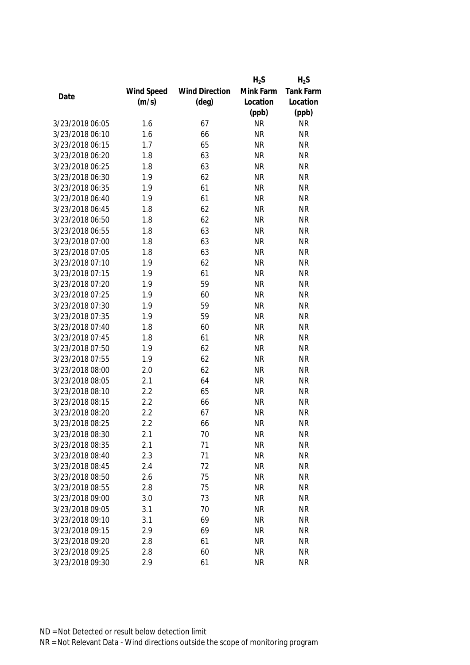|                 |            |                       | $H_2S$    | $H_2S$           |
|-----------------|------------|-----------------------|-----------|------------------|
|                 | Wind Speed | <b>Wind Direction</b> | Mink Farm | <b>Tank Farm</b> |
| Date            | (m/s)      | $(\text{deg})$        | Location  | Location         |
|                 |            |                       | (ppb)     | (ppb)            |
| 3/23/2018 06:05 | 1.6        | 67                    | <b>NR</b> | <b>NR</b>        |
| 3/23/2018 06:10 | 1.6        | 66                    | <b>NR</b> | <b>NR</b>        |
| 3/23/2018 06:15 | 1.7        | 65                    | <b>NR</b> | <b>NR</b>        |
| 3/23/2018 06:20 | 1.8        | 63                    | <b>NR</b> | <b>NR</b>        |
| 3/23/2018 06:25 | 1.8        | 63                    | <b>NR</b> | <b>NR</b>        |
| 3/23/2018 06:30 | 1.9        | 62                    | <b>NR</b> | <b>NR</b>        |
| 3/23/2018 06:35 | 1.9        | 61                    | <b>NR</b> | <b>NR</b>        |
| 3/23/2018 06:40 | 1.9        | 61                    | <b>NR</b> | <b>NR</b>        |
| 3/23/2018 06:45 | 1.8        | 62                    | <b>NR</b> | <b>NR</b>        |
| 3/23/2018 06:50 | 1.8        | 62                    | <b>NR</b> | <b>NR</b>        |
| 3/23/2018 06:55 | 1.8        | 63                    | <b>NR</b> | <b>NR</b>        |
| 3/23/2018 07:00 | 1.8        | 63                    | <b>NR</b> | <b>NR</b>        |
| 3/23/2018 07:05 | 1.8        | 63                    | <b>NR</b> | <b>NR</b>        |
| 3/23/2018 07:10 | 1.9        | 62                    | <b>NR</b> | <b>NR</b>        |
| 3/23/2018 07:15 | 1.9        | 61                    | <b>NR</b> | <b>NR</b>        |
| 3/23/2018 07:20 | 1.9        | 59                    | <b>NR</b> | <b>NR</b>        |
| 3/23/2018 07:25 | 1.9        | 60                    | <b>NR</b> | <b>NR</b>        |
| 3/23/2018 07:30 | 1.9        | 59                    | <b>NR</b> | <b>NR</b>        |
| 3/23/2018 07:35 | 1.9        | 59                    | <b>NR</b> | <b>NR</b>        |
| 3/23/2018 07:40 | 1.8        | 60                    | <b>NR</b> | <b>NR</b>        |
| 3/23/2018 07:45 | 1.8        | 61                    | <b>NR</b> | <b>NR</b>        |
| 3/23/2018 07:50 | 1.9        | 62                    | <b>NR</b> | <b>NR</b>        |
| 3/23/2018 07:55 | 1.9        | 62                    | <b>NR</b> | <b>NR</b>        |
| 3/23/2018 08:00 | 2.0        | 62                    | <b>NR</b> | <b>NR</b>        |
| 3/23/2018 08:05 | 2.1        | 64                    | <b>NR</b> | <b>NR</b>        |
| 3/23/2018 08:10 | 2.2        | 65                    | <b>NR</b> | <b>NR</b>        |
| 3/23/2018 08:15 | 2.2        | 66                    | <b>NR</b> | <b>NR</b>        |
| 3/23/2018 08:20 | 2.2        | 67                    | <b>NR</b> | <b>NR</b>        |
| 3/23/2018 08:25 | 2.2        | 66                    | <b>NR</b> | <b>NR</b>        |
| 3/23/2018 08:30 | 2.1        | 70                    | <b>NR</b> | <b>NR</b>        |
| 3/23/2018 08:35 | 2.1        | 71                    | <b>NR</b> | <b>NR</b>        |
| 3/23/2018 08:40 | 2.3        | 71                    | <b>NR</b> | <b>NR</b>        |
| 3/23/2018 08:45 | 2.4        | 72                    | <b>NR</b> | <b>NR</b>        |
| 3/23/2018 08:50 | 2.6        | 75                    | <b>NR</b> | <b>NR</b>        |
| 3/23/2018 08:55 | 2.8        | 75                    | <b>NR</b> | <b>NR</b>        |
| 3/23/2018 09:00 | 3.0        | 73                    | <b>NR</b> | <b>NR</b>        |
| 3/23/2018 09:05 | 3.1        | 70                    | <b>NR</b> | <b>NR</b>        |
| 3/23/2018 09:10 | 3.1        | 69                    | <b>NR</b> | <b>NR</b>        |
| 3/23/2018 09:15 | 2.9        | 69                    | <b>NR</b> | <b>NR</b>        |
| 3/23/2018 09:20 | 2.8        | 61                    | <b>NR</b> | <b>NR</b>        |
| 3/23/2018 09:25 | 2.8        | 60                    | <b>NR</b> | <b>NR</b>        |
| 3/23/2018 09:30 | 2.9        | 61                    | <b>NR</b> | <b>NR</b>        |
|                 |            |                       |           |                  |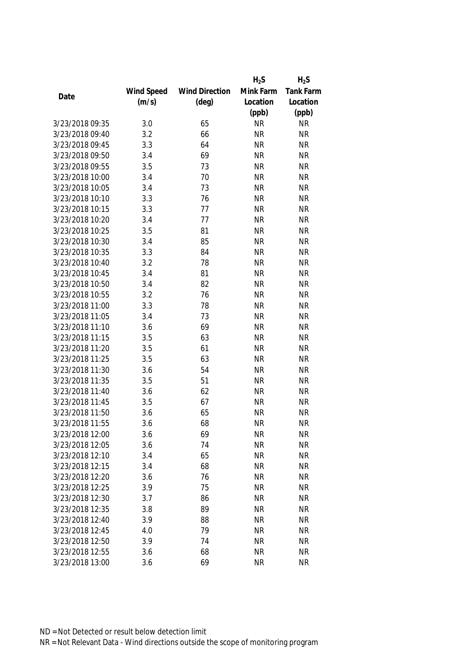|                 |            |                       | $H_2S$    | $H_2S$           |
|-----------------|------------|-----------------------|-----------|------------------|
|                 | Wind Speed | <b>Wind Direction</b> | Mink Farm | <b>Tank Farm</b> |
| Date            | (m/s)      | $(\text{deg})$        | Location  | Location         |
|                 |            |                       | (ppb)     | (ppb)            |
| 3/23/2018 09:35 | 3.0        | 65                    | <b>NR</b> | <b>NR</b>        |
| 3/23/2018 09:40 | 3.2        | 66                    | <b>NR</b> | <b>NR</b>        |
| 3/23/2018 09:45 | 3.3        | 64                    | <b>NR</b> | <b>NR</b>        |
| 3/23/2018 09:50 | 3.4        | 69                    | <b>NR</b> | <b>NR</b>        |
| 3/23/2018 09:55 | 3.5        | 73                    | <b>NR</b> | <b>NR</b>        |
| 3/23/2018 10:00 | 3.4        | 70                    | <b>NR</b> | <b>NR</b>        |
| 3/23/2018 10:05 | 3.4        | 73                    | <b>NR</b> | <b>NR</b>        |
| 3/23/2018 10:10 | 3.3        | 76                    | <b>NR</b> | <b>NR</b>        |
| 3/23/2018 10:15 | 3.3        | 77                    | <b>NR</b> | <b>NR</b>        |
| 3/23/2018 10:20 | 3.4        | 77                    | <b>NR</b> | <b>NR</b>        |
| 3/23/2018 10:25 | 3.5        | 81                    | <b>NR</b> | <b>NR</b>        |
| 3/23/2018 10:30 | 3.4        | 85                    | <b>NR</b> | <b>NR</b>        |
| 3/23/2018 10:35 | 3.3        | 84                    | <b>NR</b> | <b>NR</b>        |
| 3/23/2018 10:40 | 3.2        | 78                    | <b>NR</b> | <b>NR</b>        |
| 3/23/2018 10:45 | 3.4        | 81                    | <b>NR</b> | <b>NR</b>        |
| 3/23/2018 10:50 | 3.4        | 82                    | <b>NR</b> | <b>NR</b>        |
| 3/23/2018 10:55 | 3.2        | 76                    | <b>NR</b> | <b>NR</b>        |
| 3/23/2018 11:00 | 3.3        | 78                    | <b>NR</b> | <b>NR</b>        |
| 3/23/2018 11:05 | 3.4        | 73                    | <b>NR</b> | <b>NR</b>        |
| 3/23/2018 11:10 | 3.6        | 69                    | <b>NR</b> | <b>NR</b>        |
| 3/23/2018 11:15 | 3.5        | 63                    | <b>NR</b> | <b>NR</b>        |
| 3/23/2018 11:20 | 3.5        | 61                    | <b>NR</b> | <b>NR</b>        |
| 3/23/2018 11:25 | 3.5        | 63                    | <b>NR</b> | <b>NR</b>        |
| 3/23/2018 11:30 | 3.6        | 54                    | <b>NR</b> | <b>NR</b>        |
| 3/23/2018 11:35 | 3.5        | 51                    | <b>NR</b> | <b>NR</b>        |
| 3/23/2018 11:40 | 3.6        | 62                    | <b>NR</b> | <b>NR</b>        |
| 3/23/2018 11:45 | 3.5        | 67                    | <b>NR</b> | <b>NR</b>        |
| 3/23/2018 11:50 | 3.6        | 65                    | <b>NR</b> | <b>NR</b>        |
| 3/23/2018 11:55 | 3.6        | 68                    | <b>NR</b> | <b>NR</b>        |
| 3/23/2018 12:00 | 3.6        | 69                    | <b>NR</b> | <b>NR</b>        |
| 3/23/2018 12:05 | 3.6        | 74                    | <b>NR</b> | <b>NR</b>        |
| 3/23/2018 12:10 | 3.4        | 65                    | <b>NR</b> | <b>NR</b>        |
| 3/23/2018 12:15 | 3.4        | 68                    | <b>NR</b> | <b>NR</b>        |
| 3/23/2018 12:20 | 3.6        | 76                    | <b>NR</b> | <b>NR</b>        |
| 3/23/2018 12:25 | 3.9        | 75                    | <b>NR</b> | <b>NR</b>        |
| 3/23/2018 12:30 | 3.7        | 86                    | <b>NR</b> | <b>NR</b>        |
| 3/23/2018 12:35 | 3.8        | 89                    | <b>NR</b> | <b>NR</b>        |
| 3/23/2018 12:40 | 3.9        | 88                    | <b>NR</b> | <b>NR</b>        |
| 3/23/2018 12:45 | 4.0        | 79                    | <b>NR</b> | <b>NR</b>        |
| 3/23/2018 12:50 | 3.9        | 74                    | <b>NR</b> | <b>NR</b>        |
| 3/23/2018 12:55 | 3.6        | 68                    | <b>NR</b> | <b>NR</b>        |
|                 |            |                       |           |                  |
| 3/23/2018 13:00 | 3.6        | 69                    | <b>NR</b> | <b>NR</b>        |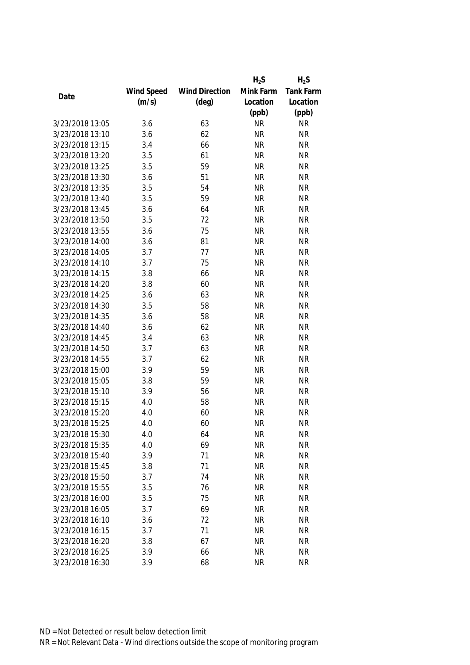|                 |            |                       | $H_2S$    | $H_2S$           |
|-----------------|------------|-----------------------|-----------|------------------|
|                 | Wind Speed | <b>Wind Direction</b> | Mink Farm | <b>Tank Farm</b> |
| Date            | (m/s)      | $(\text{deg})$        | Location  | Location         |
|                 |            |                       | (ppb)     | (ppb)            |
| 3/23/2018 13:05 | 3.6        | 63                    | <b>NR</b> | <b>NR</b>        |
| 3/23/2018 13:10 | 3.6        | 62                    | <b>NR</b> | <b>NR</b>        |
| 3/23/2018 13:15 | 3.4        | 66                    | <b>NR</b> | <b>NR</b>        |
| 3/23/2018 13:20 | 3.5        | 61                    | <b>NR</b> | <b>NR</b>        |
| 3/23/2018 13:25 | 3.5        | 59                    | <b>NR</b> | <b>NR</b>        |
| 3/23/2018 13:30 | 3.6        | 51                    | <b>NR</b> | <b>NR</b>        |
| 3/23/2018 13:35 | 3.5        | 54                    | <b>NR</b> | <b>NR</b>        |
| 3/23/2018 13:40 | 3.5        | 59                    | <b>NR</b> | <b>NR</b>        |
| 3/23/2018 13:45 | 3.6        | 64                    | <b>NR</b> | <b>NR</b>        |
| 3/23/2018 13:50 | 3.5        | 72                    | <b>NR</b> | <b>NR</b>        |
| 3/23/2018 13:55 | 3.6        | 75                    | <b>NR</b> | <b>NR</b>        |
| 3/23/2018 14:00 | 3.6        | 81                    | <b>NR</b> | <b>NR</b>        |
| 3/23/2018 14:05 | 3.7        | 77                    | <b>NR</b> | <b>NR</b>        |
| 3/23/2018 14:10 | 3.7        | 75                    | <b>NR</b> | <b>NR</b>        |
| 3/23/2018 14:15 | 3.8        | 66                    | <b>NR</b> | <b>NR</b>        |
| 3/23/2018 14:20 | 3.8        | 60                    | <b>NR</b> | <b>NR</b>        |
| 3/23/2018 14:25 | 3.6        | 63                    | <b>NR</b> | <b>NR</b>        |
| 3/23/2018 14:30 | 3.5        | 58                    | <b>NR</b> | <b>NR</b>        |
| 3/23/2018 14:35 | 3.6        | 58                    | <b>NR</b> | <b>NR</b>        |
| 3/23/2018 14:40 | 3.6        | 62                    | <b>NR</b> | <b>NR</b>        |
| 3/23/2018 14:45 | 3.4        | 63                    | <b>NR</b> | <b>NR</b>        |
| 3/23/2018 14:50 | 3.7        | 63                    | <b>NR</b> | <b>NR</b>        |
| 3/23/2018 14:55 | 3.7        | 62                    | <b>NR</b> | <b>NR</b>        |
| 3/23/2018 15:00 | 3.9        | 59                    | <b>NR</b> | <b>NR</b>        |
| 3/23/2018 15:05 | 3.8        | 59                    | <b>NR</b> | <b>NR</b>        |
| 3/23/2018 15:10 | 3.9        | 56                    | <b>NR</b> | <b>NR</b>        |
| 3/23/2018 15:15 | 4.0        | 58                    | <b>NR</b> | <b>NR</b>        |
| 3/23/2018 15:20 | 4.0        | 60                    | <b>NR</b> | <b>NR</b>        |
| 3/23/2018 15:25 | 4.0        | 60                    | <b>NR</b> | <b>NR</b>        |
| 3/23/2018 15:30 | 4.0        | 64                    | <b>NR</b> | <b>NR</b>        |
| 3/23/2018 15:35 | 4.0        | 69                    | <b>NR</b> | <b>NR</b>        |
| 3/23/2018 15:40 | 3.9        | 71                    | <b>NR</b> | <b>NR</b>        |
| 3/23/2018 15:45 | 3.8        | 71                    | <b>NR</b> | <b>NR</b>        |
| 3/23/2018 15:50 | 3.7        | 74                    | <b>NR</b> | <b>NR</b>        |
| 3/23/2018 15:55 | 3.5        | 76                    | <b>NR</b> | <b>NR</b>        |
| 3/23/2018 16:00 | 3.5        | 75                    | <b>NR</b> | <b>NR</b>        |
| 3/23/2018 16:05 | 3.7        | 69                    | <b>NR</b> | <b>NR</b>        |
| 3/23/2018 16:10 | 3.6        | 72                    | <b>NR</b> | <b>NR</b>        |
| 3/23/2018 16:15 | 3.7        | 71                    | <b>NR</b> | <b>NR</b>        |
| 3/23/2018 16:20 | 3.8        | 67                    | <b>NR</b> | <b>NR</b>        |
| 3/23/2018 16:25 | 3.9        | 66                    | <b>NR</b> | <b>NR</b>        |
| 3/23/2018 16:30 | 3.9        | 68                    | <b>NR</b> | <b>NR</b>        |
|                 |            |                       |           |                  |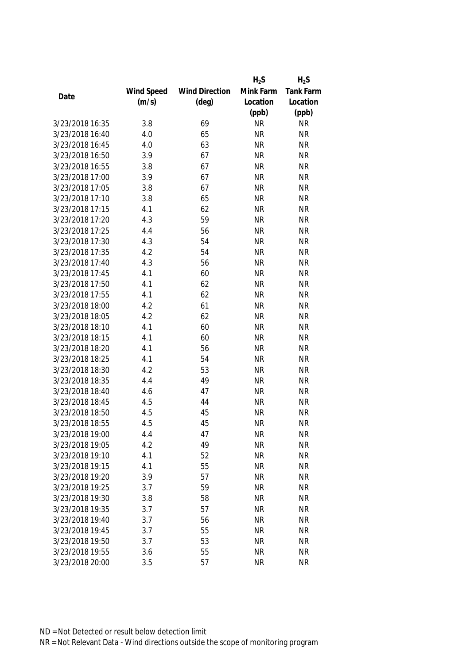|                 |            |                       | $H_2S$    | $H_2S$           |
|-----------------|------------|-----------------------|-----------|------------------|
|                 | Wind Speed | <b>Wind Direction</b> | Mink Farm | <b>Tank Farm</b> |
| Date            | (m/s)      | $(\text{deg})$        | Location  | Location         |
|                 |            |                       | (ppb)     | (ppb)            |
| 3/23/2018 16:35 | 3.8        | 69                    | <b>NR</b> | <b>NR</b>        |
| 3/23/2018 16:40 | 4.0        | 65                    | <b>NR</b> | <b>NR</b>        |
| 3/23/2018 16:45 | 4.0        | 63                    | <b>NR</b> | <b>NR</b>        |
| 3/23/2018 16:50 | 3.9        | 67                    | <b>NR</b> | <b>NR</b>        |
| 3/23/2018 16:55 | 3.8        | 67                    | <b>NR</b> | <b>NR</b>        |
| 3/23/2018 17:00 | 3.9        | 67                    | <b>NR</b> | <b>NR</b>        |
| 3/23/2018 17:05 | 3.8        | 67                    | <b>NR</b> | <b>NR</b>        |
| 3/23/2018 17:10 | 3.8        | 65                    | <b>NR</b> | <b>NR</b>        |
| 3/23/2018 17:15 | 4.1        | 62                    | <b>NR</b> | <b>NR</b>        |
| 3/23/2018 17:20 | 4.3        | 59                    | <b>NR</b> | <b>NR</b>        |
| 3/23/2018 17:25 | 4.4        | 56                    | <b>NR</b> | <b>NR</b>        |
| 3/23/2018 17:30 | 4.3        | 54                    | <b>NR</b> | <b>NR</b>        |
| 3/23/2018 17:35 | 4.2        | 54                    | <b>NR</b> | <b>NR</b>        |
| 3/23/2018 17:40 | 4.3        | 56                    | <b>NR</b> | <b>NR</b>        |
| 3/23/2018 17:45 | 4.1        | 60                    | <b>NR</b> | <b>NR</b>        |
| 3/23/2018 17:50 | 4.1        | 62                    | <b>NR</b> | <b>NR</b>        |
| 3/23/2018 17:55 | 4.1        | 62                    | <b>NR</b> | <b>NR</b>        |
| 3/23/2018 18:00 | 4.2        | 61                    | <b>NR</b> | <b>NR</b>        |
| 3/23/2018 18:05 | 4.2        | 62                    | <b>NR</b> | <b>NR</b>        |
| 3/23/2018 18:10 | 4.1        | 60                    | <b>NR</b> | <b>NR</b>        |
| 3/23/2018 18:15 | 4.1        | 60                    | <b>NR</b> | <b>NR</b>        |
| 3/23/2018 18:20 | 4.1        | 56                    | <b>NR</b> | <b>NR</b>        |
| 3/23/2018 18:25 | 4.1        | 54                    | <b>NR</b> | <b>NR</b>        |
| 3/23/2018 18:30 | 4.2        | 53                    | <b>NR</b> | <b>NR</b>        |
| 3/23/2018 18:35 | 4.4        | 49                    | <b>NR</b> | <b>NR</b>        |
| 3/23/2018 18:40 | 4.6        | 47                    | <b>NR</b> | <b>NR</b>        |
| 3/23/2018 18:45 | 4.5        | 44                    | <b>NR</b> | <b>NR</b>        |
| 3/23/2018 18:50 | 4.5        | 45                    | <b>NR</b> | <b>NR</b>        |
| 3/23/2018 18:55 | 4.5        | 45                    | <b>NR</b> | <b>NR</b>        |
| 3/23/2018 19:00 | 4.4        | 47                    | <b>NR</b> | <b>NR</b>        |
| 3/23/2018 19:05 | 4.2        | 49                    | <b>NR</b> | <b>NR</b>        |
| 3/23/2018 19:10 | 4.1        | 52                    | <b>NR</b> | <b>NR</b>        |
| 3/23/2018 19:15 | 4.1        | 55                    | <b>NR</b> | <b>NR</b>        |
| 3/23/2018 19:20 | 3.9        | 57                    | <b>NR</b> | <b>NR</b>        |
| 3/23/2018 19:25 | 3.7        | 59                    | <b>NR</b> | <b>NR</b>        |
| 3/23/2018 19:30 | 3.8        | 58                    | <b>NR</b> | <b>NR</b>        |
| 3/23/2018 19:35 | 3.7        | 57                    | <b>NR</b> | <b>NR</b>        |
| 3/23/2018 19:40 | 3.7        | 56                    | <b>NR</b> | <b>NR</b>        |
| 3/23/2018 19:45 | 3.7        | 55                    | <b>NR</b> | <b>NR</b>        |
| 3/23/2018 19:50 | 3.7        | 53                    | <b>NR</b> | <b>NR</b>        |
| 3/23/2018 19:55 | 3.6        | 55                    | <b>NR</b> | <b>NR</b>        |
|                 |            |                       |           |                  |
| 3/23/2018 20:00 | 3.5        | 57                    | <b>NR</b> | <b>NR</b>        |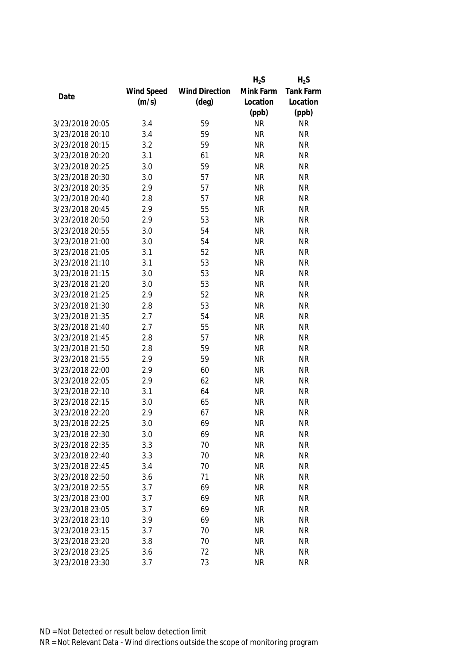|                 |            |                       | $H_2S$    | $H_2S$           |
|-----------------|------------|-----------------------|-----------|------------------|
|                 | Wind Speed | <b>Wind Direction</b> | Mink Farm | <b>Tank Farm</b> |
| Date            | (m/s)      | $(\text{deg})$        | Location  | Location         |
|                 |            |                       | (ppb)     | (ppb)            |
| 3/23/2018 20:05 | 3.4        | 59                    | <b>NR</b> | <b>NR</b>        |
| 3/23/2018 20:10 | 3.4        | 59                    | <b>NR</b> | <b>NR</b>        |
| 3/23/2018 20:15 | 3.2        | 59                    | <b>NR</b> | <b>NR</b>        |
| 3/23/2018 20:20 | 3.1        | 61                    | <b>NR</b> | <b>NR</b>        |
| 3/23/2018 20:25 | 3.0        | 59                    | <b>NR</b> | <b>NR</b>        |
| 3/23/2018 20:30 | 3.0        | 57                    | <b>NR</b> | <b>NR</b>        |
| 3/23/2018 20:35 | 2.9        | 57                    | <b>NR</b> | <b>NR</b>        |
| 3/23/2018 20:40 | 2.8        | 57                    | <b>NR</b> | <b>NR</b>        |
| 3/23/2018 20:45 | 2.9        | 55                    | <b>NR</b> | <b>NR</b>        |
| 3/23/2018 20:50 | 2.9        | 53                    | <b>NR</b> | <b>NR</b>        |
| 3/23/2018 20:55 | 3.0        | 54                    | <b>NR</b> | <b>NR</b>        |
| 3/23/2018 21:00 | 3.0        | 54                    | <b>NR</b> | <b>NR</b>        |
| 3/23/2018 21:05 | 3.1        | 52                    | <b>NR</b> | <b>NR</b>        |
| 3/23/2018 21:10 | 3.1        | 53                    | <b>NR</b> | <b>NR</b>        |
| 3/23/2018 21:15 | 3.0        | 53                    | <b>NR</b> | <b>NR</b>        |
| 3/23/2018 21:20 | 3.0        | 53                    | <b>NR</b> | <b>NR</b>        |
| 3/23/2018 21:25 | 2.9        | 52                    | <b>NR</b> | <b>NR</b>        |
| 3/23/2018 21:30 | 2.8        | 53                    | <b>NR</b> | <b>NR</b>        |
| 3/23/2018 21:35 | 2.7        | 54                    | <b>NR</b> | <b>NR</b>        |
| 3/23/2018 21:40 | 2.7        | 55                    | <b>NR</b> | <b>NR</b>        |
| 3/23/2018 21:45 | 2.8        | 57                    | <b>NR</b> | <b>NR</b>        |
| 3/23/2018 21:50 | 2.8        | 59                    | <b>NR</b> | <b>NR</b>        |
| 3/23/2018 21:55 | 2.9        | 59                    | <b>NR</b> | <b>NR</b>        |
| 3/23/2018 22:00 | 2.9        | 60                    | <b>NR</b> | <b>NR</b>        |
| 3/23/2018 22:05 | 2.9        | 62                    | <b>NR</b> | <b>NR</b>        |
| 3/23/2018 22:10 | 3.1        | 64                    | <b>NR</b> | <b>NR</b>        |
| 3/23/2018 22:15 | 3.0        | 65                    | <b>NR</b> | <b>NR</b>        |
| 3/23/2018 22:20 | 2.9        | 67                    | <b>NR</b> | <b>NR</b>        |
| 3/23/2018 22:25 | 3.0        | 69                    | <b>NR</b> | <b>NR</b>        |
| 3/23/2018 22:30 | 3.0        | 69                    | <b>NR</b> | <b>NR</b>        |
| 3/23/2018 22:35 | 3.3        | 70                    | <b>NR</b> | <b>NR</b>        |
| 3/23/2018 22:40 | 3.3        | 70                    | <b>NR</b> | <b>NR</b>        |
| 3/23/2018 22:45 | 3.4        | 70                    | <b>NR</b> | <b>NR</b>        |
| 3/23/2018 22:50 | 3.6        | 71                    | <b>NR</b> | <b>NR</b>        |
| 3/23/2018 22:55 | 3.7        | 69                    | <b>NR</b> | <b>NR</b>        |
| 3/23/2018 23:00 | 3.7        | 69                    | <b>NR</b> | <b>NR</b>        |
| 3/23/2018 23:05 | 3.7        | 69                    | <b>NR</b> | <b>NR</b>        |
| 3/23/2018 23:10 | 3.9        | 69                    | <b>NR</b> | <b>NR</b>        |
| 3/23/2018 23:15 | 3.7        | 70                    | <b>NR</b> | <b>NR</b>        |
| 3/23/2018 23:20 | 3.8        | 70                    | <b>NR</b> | <b>NR</b>        |
| 3/23/2018 23:25 | 3.6        | 72                    | <b>NR</b> | <b>NR</b>        |
| 3/23/2018 23:30 | 3.7        | 73                    | <b>NR</b> | <b>NR</b>        |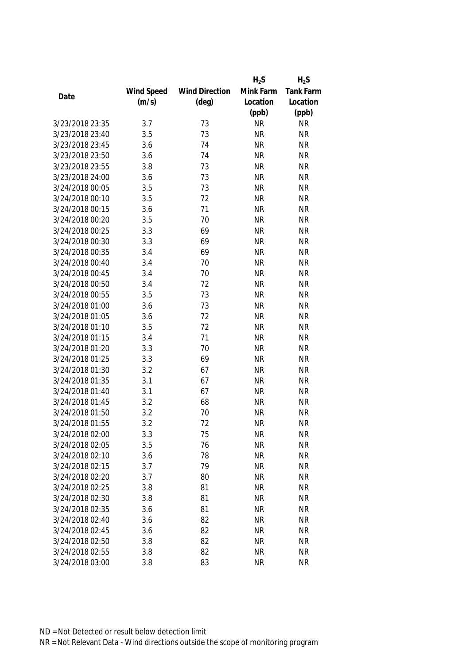|                 |            |                       | $H_2S$    | $H_2S$           |
|-----------------|------------|-----------------------|-----------|------------------|
|                 | Wind Speed | <b>Wind Direction</b> | Mink Farm | <b>Tank Farm</b> |
| Date            | (m/s)      | $(\text{deg})$        | Location  | Location         |
|                 |            |                       | (ppb)     | (ppb)            |
| 3/23/2018 23:35 | 3.7        | 73                    | <b>NR</b> | <b>NR</b>        |
| 3/23/2018 23:40 | 3.5        | 73                    | <b>NR</b> | <b>NR</b>        |
| 3/23/2018 23:45 | 3.6        | 74                    | <b>NR</b> | <b>NR</b>        |
| 3/23/2018 23:50 | 3.6        | 74                    | <b>NR</b> | <b>NR</b>        |
| 3/23/2018 23:55 | 3.8        | 73                    | <b>NR</b> | <b>NR</b>        |
| 3/23/2018 24:00 | 3.6        | 73                    | <b>NR</b> | <b>NR</b>        |
| 3/24/2018 00:05 | 3.5        | 73                    | <b>NR</b> | <b>NR</b>        |
| 3/24/2018 00:10 | 3.5        | 72                    | <b>NR</b> | <b>NR</b>        |
| 3/24/2018 00:15 | 3.6        | 71                    | <b>NR</b> | <b>NR</b>        |
| 3/24/2018 00:20 | 3.5        | 70                    | <b>NR</b> | <b>NR</b>        |
| 3/24/2018 00:25 | 3.3        | 69                    | <b>NR</b> | <b>NR</b>        |
| 3/24/2018 00:30 | 3.3        | 69                    | <b>NR</b> | <b>NR</b>        |
| 3/24/2018 00:35 | 3.4        | 69                    | <b>NR</b> | <b>NR</b>        |
| 3/24/2018 00:40 | 3.4        | 70                    | <b>NR</b> | <b>NR</b>        |
| 3/24/2018 00:45 | 3.4        | 70                    | <b>NR</b> | <b>NR</b>        |
| 3/24/2018 00:50 | 3.4        | 72                    | <b>NR</b> | <b>NR</b>        |
| 3/24/2018 00:55 | 3.5        | 73                    | <b>NR</b> | <b>NR</b>        |
| 3/24/2018 01:00 | 3.6        | 73                    | <b>NR</b> | <b>NR</b>        |
| 3/24/2018 01:05 | 3.6        | 72                    | <b>NR</b> | <b>NR</b>        |
| 3/24/2018 01:10 | 3.5        | 72                    | <b>NR</b> | <b>NR</b>        |
| 3/24/2018 01:15 | 3.4        | 71                    | <b>NR</b> | <b>NR</b>        |
| 3/24/2018 01:20 | 3.3        | 70                    | <b>NR</b> | <b>NR</b>        |
| 3/24/2018 01:25 | 3.3        | 69                    | <b>NR</b> | <b>NR</b>        |
| 3/24/2018 01:30 | 3.2        | 67                    | <b>NR</b> | <b>NR</b>        |
| 3/24/2018 01:35 | 3.1        | 67                    | <b>NR</b> | <b>NR</b>        |
| 3/24/2018 01:40 | 3.1        | 67                    | <b>NR</b> | <b>NR</b>        |
| 3/24/2018 01:45 | 3.2        | 68                    | <b>NR</b> | <b>NR</b>        |
| 3/24/2018 01:50 | 3.2        | 70                    | <b>NR</b> | <b>NR</b>        |
| 3/24/2018 01:55 | 3.2        | 72                    | <b>NR</b> | <b>NR</b>        |
| 3/24/2018 02:00 | 3.3        | 75                    | <b>NR</b> | <b>NR</b>        |
| 3/24/2018 02:05 | 3.5        | 76                    | <b>NR</b> | <b>NR</b>        |
| 3/24/2018 02:10 | 3.6        | 78                    | <b>NR</b> | <b>NR</b>        |
| 3/24/2018 02:15 | 3.7        | 79                    | <b>NR</b> | <b>NR</b>        |
| 3/24/2018 02:20 | 3.7        | 80                    | <b>NR</b> | <b>NR</b>        |
| 3/24/2018 02:25 | 3.8        | 81                    | <b>NR</b> | <b>NR</b>        |
| 3/24/2018 02:30 | 3.8        | 81                    | <b>NR</b> | <b>NR</b>        |
| 3/24/2018 02:35 | 3.6        | 81                    | <b>NR</b> | <b>NR</b>        |
| 3/24/2018 02:40 | 3.6        | 82                    | <b>NR</b> | <b>NR</b>        |
| 3/24/2018 02:45 | 3.6        | 82                    | <b>NR</b> | <b>NR</b>        |
| 3/24/2018 02:50 | 3.8        | 82                    | <b>NR</b> | <b>NR</b>        |
| 3/24/2018 02:55 | 3.8        | 82                    | <b>NR</b> | <b>NR</b>        |
| 3/24/2018 03:00 | 3.8        | 83                    | <b>NR</b> | <b>NR</b>        |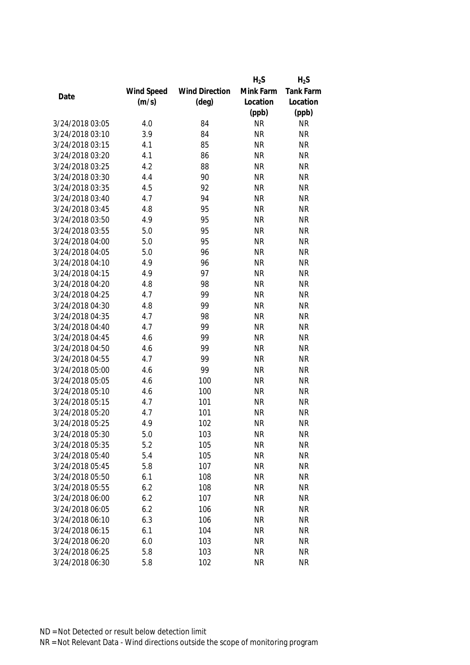|                 |            |                       | $H_2S$    | $H_2S$    |
|-----------------|------------|-----------------------|-----------|-----------|
|                 | Wind Speed | <b>Wind Direction</b> | Mink Farm | Tank Farm |
| Date            | (m/s)      | $(\text{deg})$        | Location  | Location  |
|                 |            |                       | (ppb)     | (ppb)     |
| 3/24/2018 03:05 | 4.0        | 84                    | <b>NR</b> | <b>NR</b> |
| 3/24/2018 03:10 | 3.9        | 84                    | <b>NR</b> | <b>NR</b> |
| 3/24/2018 03:15 | 4.1        | 85                    | <b>NR</b> | <b>NR</b> |
| 3/24/2018 03:20 | 4.1        | 86                    | <b>NR</b> | <b>NR</b> |
| 3/24/2018 03:25 | 4.2        | 88                    | <b>NR</b> | <b>NR</b> |
| 3/24/2018 03:30 | 4.4        | 90                    | <b>NR</b> | <b>NR</b> |
| 3/24/2018 03:35 | 4.5        | 92                    | <b>NR</b> | <b>NR</b> |
| 3/24/2018 03:40 | 4.7        | 94                    | <b>NR</b> | <b>NR</b> |
| 3/24/2018 03:45 | 4.8        | 95                    | <b>NR</b> | <b>NR</b> |
| 3/24/2018 03:50 | 4.9        | 95                    | <b>NR</b> | <b>NR</b> |
| 3/24/2018 03:55 | 5.0        | 95                    | <b>NR</b> | <b>NR</b> |
| 3/24/2018 04:00 | 5.0        | 95                    | <b>NR</b> | <b>NR</b> |
| 3/24/2018 04:05 | 5.0        | 96                    | <b>NR</b> | <b>NR</b> |
| 3/24/2018 04:10 | 4.9        | 96                    | <b>NR</b> | <b>NR</b> |
| 3/24/2018 04:15 | 4.9        | 97                    | <b>NR</b> | <b>NR</b> |
| 3/24/2018 04:20 | 4.8        | 98                    | <b>NR</b> | <b>NR</b> |
| 3/24/2018 04:25 | 4.7        | 99                    | <b>NR</b> | <b>NR</b> |
| 3/24/2018 04:30 | 4.8        | 99                    | <b>NR</b> | <b>NR</b> |
| 3/24/2018 04:35 | 4.7        | 98                    | <b>NR</b> | <b>NR</b> |
| 3/24/2018 04:40 | 4.7        | 99                    | <b>NR</b> | <b>NR</b> |
| 3/24/2018 04:45 | 4.6        | 99                    | <b>NR</b> | <b>NR</b> |
| 3/24/2018 04:50 | 4.6        | 99                    | <b>NR</b> | <b>NR</b> |
| 3/24/2018 04:55 | 4.7        | 99                    | <b>NR</b> | <b>NR</b> |
| 3/24/2018 05:00 | 4.6        | 99                    | <b>NR</b> | <b>NR</b> |
| 3/24/2018 05:05 | 4.6        | 100                   | <b>NR</b> | <b>NR</b> |
| 3/24/2018 05:10 | 4.6        | 100                   | <b>NR</b> | <b>NR</b> |
| 3/24/2018 05:15 | 4.7        | 101                   | <b>NR</b> | <b>NR</b> |
| 3/24/2018 05:20 | 4.7        | 101                   | <b>NR</b> | <b>NR</b> |
| 3/24/2018 05:25 | 4.9        | 102                   | <b>NR</b> | <b>NR</b> |
| 3/24/2018 05:30 | 5.0        | 103                   | <b>NR</b> | <b>NR</b> |
| 3/24/2018 05:35 | 5.2        | 105                   | <b>NR</b> | <b>NR</b> |
| 3/24/2018 05:40 | 5.4        | 105                   | <b>NR</b> | <b>NR</b> |
| 3/24/2018 05:45 | 5.8        | 107                   | <b>NR</b> | <b>NR</b> |
| 3/24/2018 05:50 | 6.1        | 108                   | <b>NR</b> | <b>NR</b> |
| 3/24/2018 05:55 | 6.2        | 108                   | <b>NR</b> | <b>NR</b> |
| 3/24/2018 06:00 | 6.2        | 107                   | <b>NR</b> | <b>NR</b> |
| 3/24/2018 06:05 | 6.2        | 106                   | <b>NR</b> | <b>NR</b> |
| 3/24/2018 06:10 | 6.3        | 106                   | <b>NR</b> | <b>NR</b> |
| 3/24/2018 06:15 | 6.1        | 104                   | <b>NR</b> | <b>NR</b> |
| 3/24/2018 06:20 | 6.0        | 103                   | <b>NR</b> | <b>NR</b> |
| 3/24/2018 06:25 | 5.8        | 103                   | <b>NR</b> | <b>NR</b> |
| 3/24/2018 06:30 | 5.8        | 102                   | <b>NR</b> | <b>NR</b> |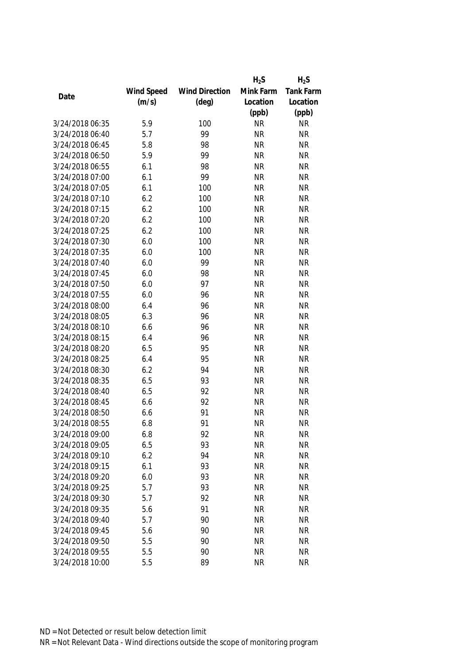|                 |            |                       | $H_2S$    | $H_2S$           |
|-----------------|------------|-----------------------|-----------|------------------|
|                 | Wind Speed | <b>Wind Direction</b> | Mink Farm | <b>Tank Farm</b> |
| Date            | (m/s)      | $(\text{deg})$        | Location  | Location         |
|                 |            |                       | (ppb)     | (ppb)            |
| 3/24/2018 06:35 | 5.9        | 100                   | <b>NR</b> | <b>NR</b>        |
| 3/24/2018 06:40 | 5.7        | 99                    | <b>NR</b> | <b>NR</b>        |
| 3/24/2018 06:45 | 5.8        | 98                    | <b>NR</b> | <b>NR</b>        |
| 3/24/2018 06:50 | 5.9        | 99                    | <b>NR</b> | <b>NR</b>        |
| 3/24/2018 06:55 | 6.1        | 98                    | <b>NR</b> | <b>NR</b>        |
| 3/24/2018 07:00 | 6.1        | 99                    | <b>NR</b> | <b>NR</b>        |
| 3/24/2018 07:05 | 6.1        | 100                   | <b>NR</b> | <b>NR</b>        |
| 3/24/2018 07:10 | 6.2        | 100                   | <b>NR</b> | <b>NR</b>        |
| 3/24/2018 07:15 | 6.2        | 100                   | <b>NR</b> | <b>NR</b>        |
| 3/24/2018 07:20 | 6.2        | 100                   | <b>NR</b> | <b>NR</b>        |
| 3/24/2018 07:25 | 6.2        | 100                   | <b>NR</b> | <b>NR</b>        |
| 3/24/2018 07:30 | 6.0        | 100                   | <b>NR</b> | <b>NR</b>        |
| 3/24/2018 07:35 | 6.0        | 100                   | <b>NR</b> | <b>NR</b>        |
| 3/24/2018 07:40 | 6.0        | 99                    | <b>NR</b> | <b>NR</b>        |
| 3/24/2018 07:45 | 6.0        | 98                    | <b>NR</b> | <b>NR</b>        |
| 3/24/2018 07:50 | 6.0        | 97                    | <b>NR</b> | <b>NR</b>        |
| 3/24/2018 07:55 | 6.0        | 96                    | <b>NR</b> | <b>NR</b>        |
| 3/24/2018 08:00 | 6.4        | 96                    | <b>NR</b> | <b>NR</b>        |
| 3/24/2018 08:05 | 6.3        | 96                    | <b>NR</b> | <b>NR</b>        |
| 3/24/2018 08:10 | 6.6        | 96                    | <b>NR</b> | <b>NR</b>        |
| 3/24/2018 08:15 | 6.4        | 96                    | <b>NR</b> | <b>NR</b>        |
| 3/24/2018 08:20 | 6.5        | 95                    | <b>NR</b> | <b>NR</b>        |
| 3/24/2018 08:25 | 6.4        | 95                    | <b>NR</b> | <b>NR</b>        |
| 3/24/2018 08:30 | 6.2        | 94                    | <b>NR</b> | <b>NR</b>        |
| 3/24/2018 08:35 | 6.5        | 93                    | <b>NR</b> | <b>NR</b>        |
| 3/24/2018 08:40 | 6.5        | 92                    | <b>NR</b> | <b>NR</b>        |
| 3/24/2018 08:45 | 6.6        | 92                    | <b>NR</b> | <b>NR</b>        |
| 3/24/2018 08:50 | 6.6        | 91                    | <b>NR</b> | <b>NR</b>        |
| 3/24/2018 08:55 | 6.8        | 91                    | <b>NR</b> | <b>NR</b>        |
| 3/24/2018 09:00 | 6.8        | 92                    | <b>NR</b> | <b>NR</b>        |
| 3/24/2018 09:05 | 6.5        | 93                    | <b>NR</b> | <b>NR</b>        |
| 3/24/2018 09:10 | 6.2        | 94                    | <b>NR</b> | <b>NR</b>        |
| 3/24/2018 09:15 | 6.1        | 93                    | <b>NR</b> | <b>NR</b>        |
| 3/24/2018 09:20 | 6.0        | 93                    | <b>NR</b> | <b>NR</b>        |
| 3/24/2018 09:25 | 5.7        | 93                    | <b>NR</b> | <b>NR</b>        |
| 3/24/2018 09:30 | 5.7        | 92                    | <b>NR</b> | <b>NR</b>        |
| 3/24/2018 09:35 | 5.6        | 91                    | <b>NR</b> | <b>NR</b>        |
| 3/24/2018 09:40 | 5.7        | 90                    | <b>NR</b> | <b>NR</b>        |
| 3/24/2018 09:45 | 5.6        | 90                    | <b>NR</b> | <b>NR</b>        |
| 3/24/2018 09:50 | 5.5        | 90                    | <b>NR</b> | <b>NR</b>        |
| 3/24/2018 09:55 | 5.5        | 90                    | <b>NR</b> | <b>NR</b>        |
| 3/24/2018 10:00 | 5.5        | 89                    | <b>NR</b> | <b>NR</b>        |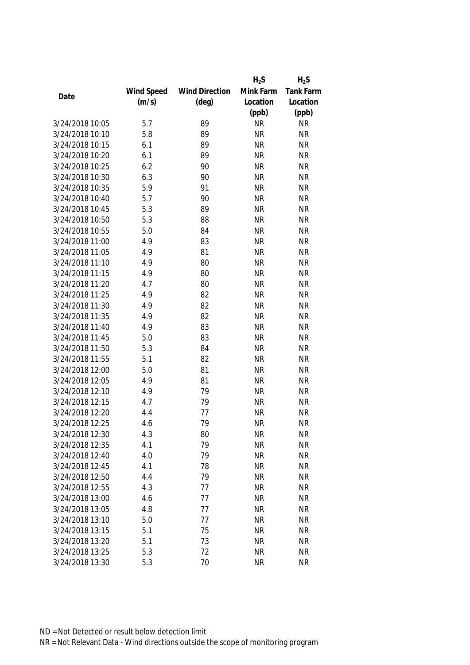|                 |            |                       | $H_2S$    | $H_2S$           |
|-----------------|------------|-----------------------|-----------|------------------|
|                 | Wind Speed | <b>Wind Direction</b> | Mink Farm | <b>Tank Farm</b> |
| Date            | (m/s)      | $(\text{deg})$        | Location  | Location         |
|                 |            |                       | (ppb)     | (ppb)            |
| 3/24/2018 10:05 | 5.7        | 89                    | <b>NR</b> | <b>NR</b>        |
| 3/24/2018 10:10 | 5.8        | 89                    | <b>NR</b> | <b>NR</b>        |
| 3/24/2018 10:15 | 6.1        | 89                    | <b>NR</b> | <b>NR</b>        |
| 3/24/2018 10:20 | 6.1        | 89                    | <b>NR</b> | <b>NR</b>        |
| 3/24/2018 10:25 | 6.2        | 90                    | <b>NR</b> | <b>NR</b>        |
| 3/24/2018 10:30 | 6.3        | 90                    | <b>NR</b> | <b>NR</b>        |
| 3/24/2018 10:35 | 5.9        | 91                    | <b>NR</b> | <b>NR</b>        |
| 3/24/2018 10:40 | 5.7        | 90                    | <b>NR</b> | <b>NR</b>        |
| 3/24/2018 10:45 | 5.3        | 89                    | <b>NR</b> | <b>NR</b>        |
| 3/24/2018 10:50 | 5.3        | 88                    | <b>NR</b> | <b>NR</b>        |
| 3/24/2018 10:55 | 5.0        | 84                    | <b>NR</b> | <b>NR</b>        |
| 3/24/2018 11:00 | 4.9        | 83                    | <b>NR</b> | <b>NR</b>        |
| 3/24/2018 11:05 | 4.9        | 81                    | <b>NR</b> | <b>NR</b>        |
| 3/24/2018 11:10 | 4.9        | 80                    | <b>NR</b> | <b>NR</b>        |
| 3/24/2018 11:15 | 4.9        | 80                    | <b>NR</b> | <b>NR</b>        |
| 3/24/2018 11:20 | 4.7        | 80                    | <b>NR</b> | <b>NR</b>        |
| 3/24/2018 11:25 | 4.9        | 82                    | <b>NR</b> | <b>NR</b>        |
| 3/24/2018 11:30 | 4.9        | 82                    | <b>NR</b> | <b>NR</b>        |
| 3/24/2018 11:35 | 4.9        | 82                    | <b>NR</b> | <b>NR</b>        |
| 3/24/2018 11:40 | 4.9        | 83                    | <b>NR</b> | <b>NR</b>        |
| 3/24/2018 11:45 | 5.0        | 83                    | <b>NR</b> | <b>NR</b>        |
| 3/24/2018 11:50 | 5.3        | 84                    | <b>NR</b> | <b>NR</b>        |
| 3/24/2018 11:55 | 5.1        | 82                    | <b>NR</b> | <b>NR</b>        |
| 3/24/2018 12:00 | 5.0        | 81                    | <b>NR</b> | <b>NR</b>        |
| 3/24/2018 12:05 | 4.9        | 81                    | <b>NR</b> | <b>NR</b>        |
| 3/24/2018 12:10 | 4.9        | 79                    | <b>NR</b> | <b>NR</b>        |
| 3/24/2018 12:15 | 4.7        | 79                    | <b>NR</b> | <b>NR</b>        |
| 3/24/2018 12:20 | 4.4        | 77                    | <b>NR</b> | <b>NR</b>        |
| 3/24/2018 12:25 | 4.6        | 79                    | <b>NR</b> | <b>NR</b>        |
| 3/24/2018 12:30 | 4.3        | 80                    | <b>NR</b> | <b>NR</b>        |
| 3/24/2018 12:35 | 4.1        | 79                    | <b>NR</b> | <b>NR</b>        |
| 3/24/2018 12:40 | 4.0        | 79                    | <b>NR</b> | <b>NR</b>        |
| 3/24/2018 12:45 | 4.1        | 78                    | <b>NR</b> | <b>NR</b>        |
| 3/24/2018 12:50 | 4.4        | 79                    | <b>NR</b> | <b>NR</b>        |
| 3/24/2018 12:55 | 4.3        | 77                    | <b>NR</b> | <b>NR</b>        |
| 3/24/2018 13:00 | 4.6        | 77                    | <b>NR</b> | <b>NR</b>        |
| 3/24/2018 13:05 | 4.8        | 77                    | <b>NR</b> | <b>NR</b>        |
| 3/24/2018 13:10 | 5.0        | 77                    | <b>NR</b> | <b>NR</b>        |
| 3/24/2018 13:15 | 5.1        | 75                    | <b>NR</b> | <b>NR</b>        |
| 3/24/2018 13:20 | 5.1        | 73                    | <b>NR</b> | <b>NR</b>        |
| 3/24/2018 13:25 | 5.3        | 72                    | <b>NR</b> | <b>NR</b>        |
| 3/24/2018 13:30 | 5.3        | 70                    | <b>NR</b> | <b>NR</b>        |
|                 |            |                       |           |                  |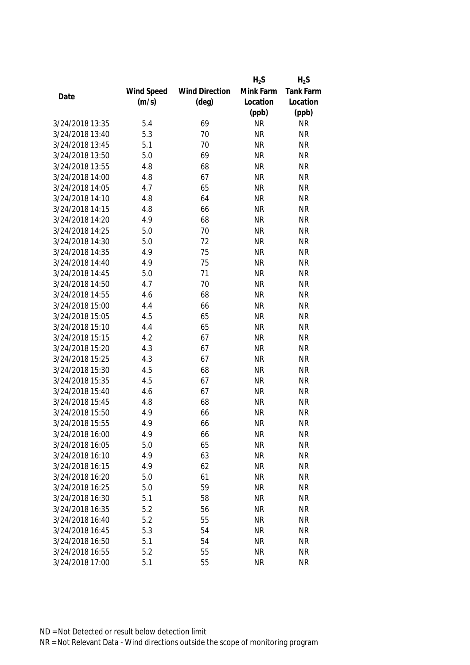|                 |            |                       | $H_2S$    | $H_2S$           |
|-----------------|------------|-----------------------|-----------|------------------|
|                 | Wind Speed | <b>Wind Direction</b> | Mink Farm | <b>Tank Farm</b> |
| Date            | (m/s)      | $(\text{deg})$        | Location  | Location         |
|                 |            |                       | (ppb)     | (ppb)            |
| 3/24/2018 13:35 | 5.4        | 69                    | <b>NR</b> | <b>NR</b>        |
| 3/24/2018 13:40 | 5.3        | 70                    | <b>NR</b> | <b>NR</b>        |
| 3/24/2018 13:45 | 5.1        | 70                    | <b>NR</b> | <b>NR</b>        |
| 3/24/2018 13:50 | 5.0        | 69                    | <b>NR</b> | <b>NR</b>        |
| 3/24/2018 13:55 | 4.8        | 68                    | <b>NR</b> | <b>NR</b>        |
| 3/24/2018 14:00 | 4.8        | 67                    | <b>NR</b> | <b>NR</b>        |
| 3/24/2018 14:05 | 4.7        | 65                    | <b>NR</b> | <b>NR</b>        |
| 3/24/2018 14:10 | 4.8        | 64                    | <b>NR</b> | <b>NR</b>        |
| 3/24/2018 14:15 | 4.8        | 66                    | <b>NR</b> | <b>NR</b>        |
| 3/24/2018 14:20 | 4.9        | 68                    | <b>NR</b> | <b>NR</b>        |
| 3/24/2018 14:25 | 5.0        | 70                    | <b>NR</b> | <b>NR</b>        |
| 3/24/2018 14:30 | 5.0        | 72                    | <b>NR</b> | <b>NR</b>        |
| 3/24/2018 14:35 | 4.9        | 75                    | <b>NR</b> | <b>NR</b>        |
| 3/24/2018 14:40 | 4.9        | 75                    | <b>NR</b> | <b>NR</b>        |
| 3/24/2018 14:45 | 5.0        | 71                    | <b>NR</b> | <b>NR</b>        |
| 3/24/2018 14:50 | 4.7        | 70                    | <b>NR</b> | <b>NR</b>        |
| 3/24/2018 14:55 | 4.6        | 68                    | <b>NR</b> | <b>NR</b>        |
| 3/24/2018 15:00 | 4.4        | 66                    | <b>NR</b> | <b>NR</b>        |
| 3/24/2018 15:05 | 4.5        | 65                    | <b>NR</b> | <b>NR</b>        |
| 3/24/2018 15:10 | 4.4        | 65                    | <b>NR</b> | <b>NR</b>        |
| 3/24/2018 15:15 | 4.2        | 67                    | <b>NR</b> | <b>NR</b>        |
| 3/24/2018 15:20 | 4.3        | 67                    | <b>NR</b> | <b>NR</b>        |
| 3/24/2018 15:25 | 4.3        | 67                    | <b>NR</b> | <b>NR</b>        |
| 3/24/2018 15:30 | 4.5        | 68                    | <b>NR</b> | <b>NR</b>        |
| 3/24/2018 15:35 | 4.5        | 67                    | <b>NR</b> | <b>NR</b>        |
| 3/24/2018 15:40 | 4.6        | 67                    | <b>NR</b> | <b>NR</b>        |
| 3/24/2018 15:45 | 4.8        | 68                    | <b>NR</b> | <b>NR</b>        |
| 3/24/2018 15:50 | 4.9        | 66                    | <b>NR</b> | <b>NR</b>        |
| 3/24/2018 15:55 | 4.9        | 66                    | <b>NR</b> | <b>NR</b>        |
| 3/24/2018 16:00 | 4.9        | 66                    | <b>NR</b> | <b>NR</b>        |
| 3/24/2018 16:05 | 5.0        | 65                    | <b>NR</b> | <b>NR</b>        |
| 3/24/2018 16:10 | 4.9        | 63                    | <b>NR</b> | <b>NR</b>        |
| 3/24/2018 16:15 | 4.9        | 62                    | <b>NR</b> | <b>NR</b>        |
| 3/24/2018 16:20 | 5.0        | 61                    | <b>NR</b> | <b>NR</b>        |
| 3/24/2018 16:25 | 5.0        | 59                    | <b>NR</b> | <b>NR</b>        |
| 3/24/2018 16:30 | 5.1        | 58                    | <b>NR</b> | <b>NR</b>        |
| 3/24/2018 16:35 | 5.2        | 56                    | <b>NR</b> | <b>NR</b>        |
| 3/24/2018 16:40 | 5.2        | 55                    | <b>NR</b> | <b>NR</b>        |
| 3/24/2018 16:45 | 5.3        | 54                    | <b>NR</b> | <b>NR</b>        |
| 3/24/2018 16:50 | 5.1        | 54                    | <b>NR</b> | <b>NR</b>        |
| 3/24/2018 16:55 | 5.2        | 55                    | <b>NR</b> | <b>NR</b>        |
|                 |            |                       |           |                  |
| 3/24/2018 17:00 | 5.1        | 55                    | <b>NR</b> | <b>NR</b>        |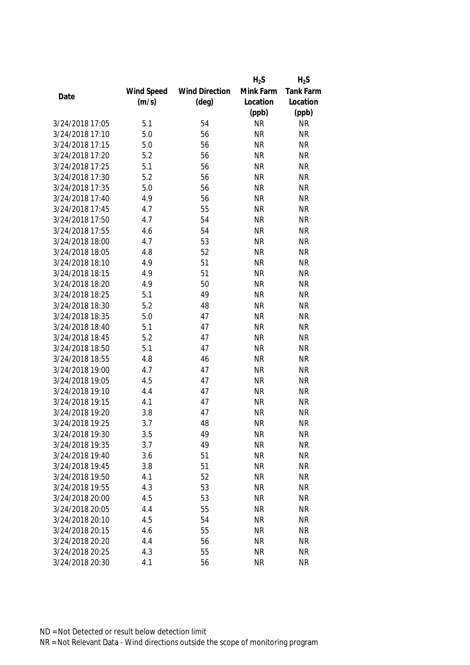|                 |            |                       | $H_2S$    | $H_2S$           |
|-----------------|------------|-----------------------|-----------|------------------|
|                 | Wind Speed | <b>Wind Direction</b> | Mink Farm | <b>Tank Farm</b> |
| Date            | (m/s)      | $(\text{deg})$        | Location  | Location         |
|                 |            |                       | (ppb)     | (ppb)            |
| 3/24/2018 17:05 | 5.1        | 54                    | <b>NR</b> | <b>NR</b>        |
| 3/24/2018 17:10 | 5.0        | 56                    | <b>NR</b> | <b>NR</b>        |
| 3/24/2018 17:15 | 5.0        | 56                    | <b>NR</b> | <b>NR</b>        |
| 3/24/2018 17:20 | 5.2        | 56                    | <b>NR</b> | <b>NR</b>        |
| 3/24/2018 17:25 | 5.1        | 56                    | <b>NR</b> | <b>NR</b>        |
| 3/24/2018 17:30 | 5.2        | 56                    | <b>NR</b> | <b>NR</b>        |
| 3/24/2018 17:35 | 5.0        | 56                    | <b>NR</b> | <b>NR</b>        |
| 3/24/2018 17:40 | 4.9        | 56                    | <b>NR</b> | <b>NR</b>        |
| 3/24/2018 17:45 | 4.7        | 55                    | <b>NR</b> | <b>NR</b>        |
| 3/24/2018 17:50 | 4.7        | 54                    | <b>NR</b> | <b>NR</b>        |
| 3/24/2018 17:55 | 4.6        | 54                    | <b>NR</b> | <b>NR</b>        |
| 3/24/2018 18:00 | 4.7        | 53                    | <b>NR</b> | <b>NR</b>        |
| 3/24/2018 18:05 | 4.8        | 52                    | <b>NR</b> | <b>NR</b>        |
| 3/24/2018 18:10 | 4.9        | 51                    | <b>NR</b> | <b>NR</b>        |
| 3/24/2018 18:15 | 4.9        | 51                    | <b>NR</b> | <b>NR</b>        |
| 3/24/2018 18:20 | 4.9        | 50                    | <b>NR</b> | <b>NR</b>        |
| 3/24/2018 18:25 | 5.1        | 49                    | <b>NR</b> | <b>NR</b>        |
| 3/24/2018 18:30 | 5.2        | 48                    | <b>NR</b> | <b>NR</b>        |
| 3/24/2018 18:35 | 5.0        | 47                    | <b>NR</b> | <b>NR</b>        |
| 3/24/2018 18:40 | 5.1        | 47                    | <b>NR</b> | <b>NR</b>        |
| 3/24/2018 18:45 | 5.2        | 47                    | <b>NR</b> | <b>NR</b>        |
| 3/24/2018 18:50 | 5.1        | 47                    | <b>NR</b> | <b>NR</b>        |
| 3/24/2018 18:55 | 4.8        | 46                    | <b>NR</b> | <b>NR</b>        |
| 3/24/2018 19:00 | 4.7        | 47                    | <b>NR</b> | <b>NR</b>        |
| 3/24/2018 19:05 | 4.5        | 47                    | <b>NR</b> | <b>NR</b>        |
| 3/24/2018 19:10 | 4.4        | 47                    | <b>NR</b> | <b>NR</b>        |
| 3/24/2018 19:15 | 4.1        | 47                    | <b>NR</b> | <b>NR</b>        |
| 3/24/2018 19:20 | 3.8        | 47                    | <b>NR</b> | <b>NR</b>        |
| 3/24/2018 19:25 | 3.7        | 48                    | <b>NR</b> | <b>NR</b>        |
| 3/24/2018 19:30 | 3.5        | 49                    | <b>NR</b> | <b>NR</b>        |
| 3/24/2018 19:35 | 3.7        | 49                    | <b>NR</b> | <b>NR</b>        |
| 3/24/2018 19:40 | 3.6        | 51                    | <b>NR</b> | <b>NR</b>        |
| 3/24/2018 19:45 | 3.8        | 51                    | <b>NR</b> | <b>NR</b>        |
| 3/24/2018 19:50 | 4.1        | 52                    | <b>NR</b> | <b>NR</b>        |
| 3/24/2018 19:55 | 4.3        | 53                    | <b>NR</b> | <b>NR</b>        |
| 3/24/2018 20:00 | 4.5        | 53                    | <b>NR</b> | <b>NR</b>        |
| 3/24/2018 20:05 | 4.4        | 55                    | <b>NR</b> | <b>NR</b>        |
| 3/24/2018 20:10 | 4.5        | 54                    | <b>NR</b> | <b>NR</b>        |
| 3/24/2018 20:15 | 4.6        | 55                    | <b>NR</b> | <b>NR</b>        |
| 3/24/2018 20:20 | 4.4        | 56                    | <b>NR</b> | <b>NR</b>        |
| 3/24/2018 20:25 | 4.3        | 55                    | <b>NR</b> | <b>NR</b>        |
|                 |            |                       |           |                  |
| 3/24/2018 20:30 | 4.1        | 56                    | <b>NR</b> | <b>NR</b>        |